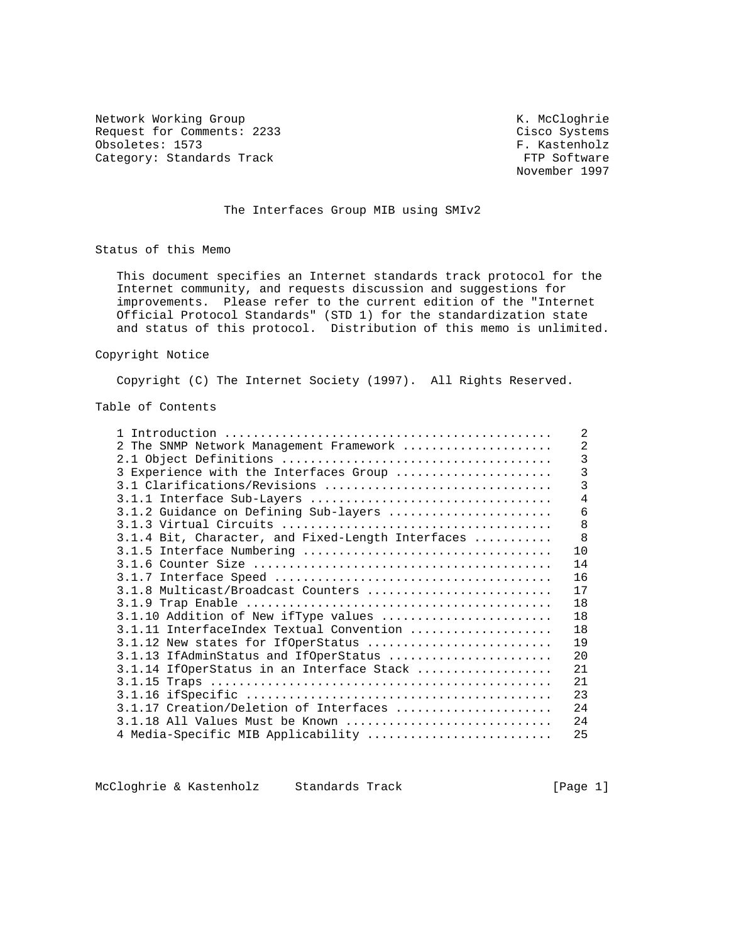Network Working Group Network Working Group Network Working Group Request for Comments: 2233 Cisco Systems<br>
Obsoletes: 1573 F. Kastenholz Obsoletes: 1573<br>Category: Standards Track Category: Standards Track Category: Standards Track

November 1997

## The Interfaces Group MIB using SMIv2

Status of this Memo

 This document specifies an Internet standards track protocol for the Internet community, and requests discussion and suggestions for improvements. Please refer to the current edition of the "Internet Official Protocol Standards" (STD 1) for the standardization state and status of this protocol. Distribution of this memo is unlimited.

#### Copyright Notice

Copyright (C) The Internet Society (1997). All Rights Reserved.

Table of Contents

|                                                   | $\mathfrak{D}$ |
|---------------------------------------------------|----------------|
| 2 The SNMP Network Management Framework           | $\overline{2}$ |
|                                                   | 3              |
| 3 Experience with the Interfaces Group            | 3              |
| 3.1 Clarifications/Revisions                      | 3              |
| 3.1.1 Interface Sub-Layers                        | 4              |
| 3.1.2 Guidance on Defining Sub-layers             | 6              |
|                                                   | 8              |
| 3.1.4 Bit, Character, and Fixed-Length Interfaces | 8              |
|                                                   | 1 <sub>0</sub> |
|                                                   | 14             |
|                                                   | 16             |
| 3.1.8 Multicast/Broadcast Counters                | 17             |
|                                                   | 18             |
| 3.1.10 Addition of New ifType values              | 18             |
| 3.1.11 InterfaceIndex Textual Convention          | 18             |
| 3.1.12 New states for IfOperStatus                | 19             |
| 3.1.13 IfAdminStatus and IfOperStatus             | 20             |
| 3.1.14 IfOperStatus in an Interface Stack         | 21             |
|                                                   | 21             |
|                                                   | 23             |
| 3.1.17 Creation/Deletion of Interfaces            | 2.4            |
| 3.1.18 All Values Must be Known                   | 24             |
| 4 Media-Specific MIB Applicability                | 25             |

McCloghrie & Kastenholz Standards Track [Page 1]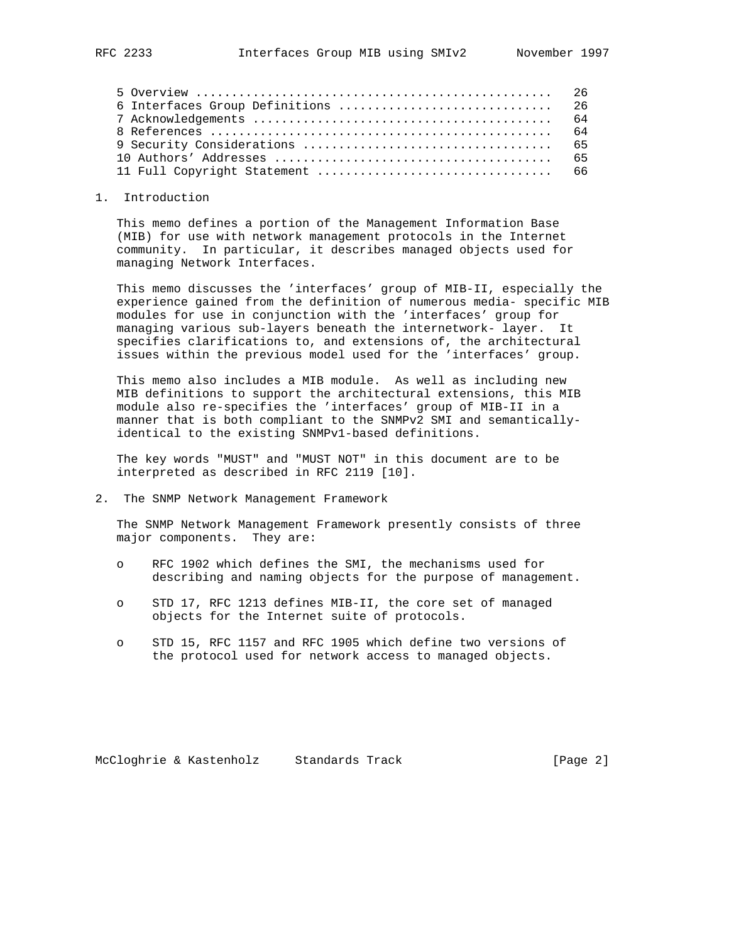| 6 Interfaces Group Definitions  26 |  |
|------------------------------------|--|
|                                    |  |
|                                    |  |
|                                    |  |
|                                    |  |
|                                    |  |

#### 1. Introduction

 This memo defines a portion of the Management Information Base (MIB) for use with network management protocols in the Internet community. In particular, it describes managed objects used for managing Network Interfaces.

 This memo discusses the 'interfaces' group of MIB-II, especially the experience gained from the definition of numerous media- specific MIB modules for use in conjunction with the 'interfaces' group for managing various sub-layers beneath the internetwork- layer. It specifies clarifications to, and extensions of, the architectural issues within the previous model used for the 'interfaces' group.

 This memo also includes a MIB module. As well as including new MIB definitions to support the architectural extensions, this MIB module also re-specifies the 'interfaces' group of MIB-II in a manner that is both compliant to the SNMPv2 SMI and semantically identical to the existing SNMPv1-based definitions.

 The key words "MUST" and "MUST NOT" in this document are to be interpreted as described in RFC 2119 [10].

2. The SNMP Network Management Framework

 The SNMP Network Management Framework presently consists of three major components. They are:

- o RFC 1902 which defines the SMI, the mechanisms used for describing and naming objects for the purpose of management.
- o STD 17, RFC 1213 defines MIB-II, the core set of managed objects for the Internet suite of protocols.
- o STD 15, RFC 1157 and RFC 1905 which define two versions of the protocol used for network access to managed objects.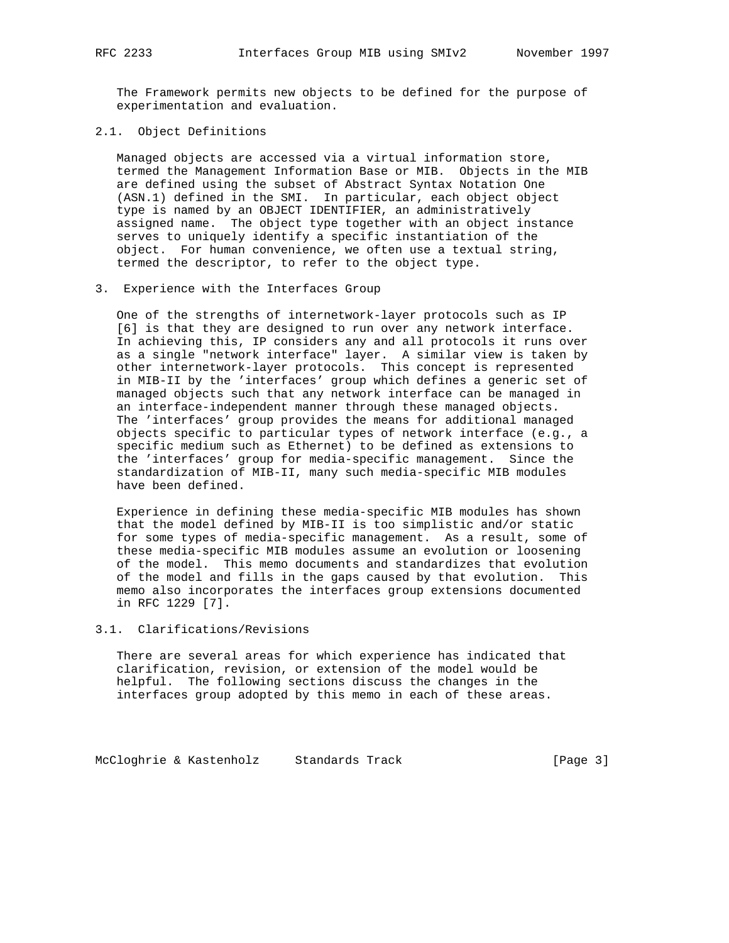The Framework permits new objects to be defined for the purpose of experimentation and evaluation.

2.1. Object Definitions

 Managed objects are accessed via a virtual information store, termed the Management Information Base or MIB. Objects in the MIB are defined using the subset of Abstract Syntax Notation One (ASN.1) defined in the SMI. In particular, each object object type is named by an OBJECT IDENTIFIER, an administratively assigned name. The object type together with an object instance serves to uniquely identify a specific instantiation of the object. For human convenience, we often use a textual string, termed the descriptor, to refer to the object type.

3. Experience with the Interfaces Group

 One of the strengths of internetwork-layer protocols such as IP [6] is that they are designed to run over any network interface. In achieving this, IP considers any and all protocols it runs over as a single "network interface" layer. A similar view is taken by other internetwork-layer protocols. This concept is represented in MIB-II by the 'interfaces' group which defines a generic set of managed objects such that any network interface can be managed in an interface-independent manner through these managed objects. The 'interfaces' group provides the means for additional managed objects specific to particular types of network interface (e.g., a specific medium such as Ethernet) to be defined as extensions to the 'interfaces' group for media-specific management. Since the standardization of MIB-II, many such media-specific MIB modules have been defined.

 Experience in defining these media-specific MIB modules has shown that the model defined by MIB-II is too simplistic and/or static for some types of media-specific management. As a result, some of these media-specific MIB modules assume an evolution or loosening of the model. This memo documents and standardizes that evolution of the model and fills in the gaps caused by that evolution. This memo also incorporates the interfaces group extensions documented in RFC 1229 [7].

## 3.1. Clarifications/Revisions

 There are several areas for which experience has indicated that clarification, revision, or extension of the model would be helpful. The following sections discuss the changes in the interfaces group adopted by this memo in each of these areas.

McCloghrie & Kastenholz Standards Track [Page 3]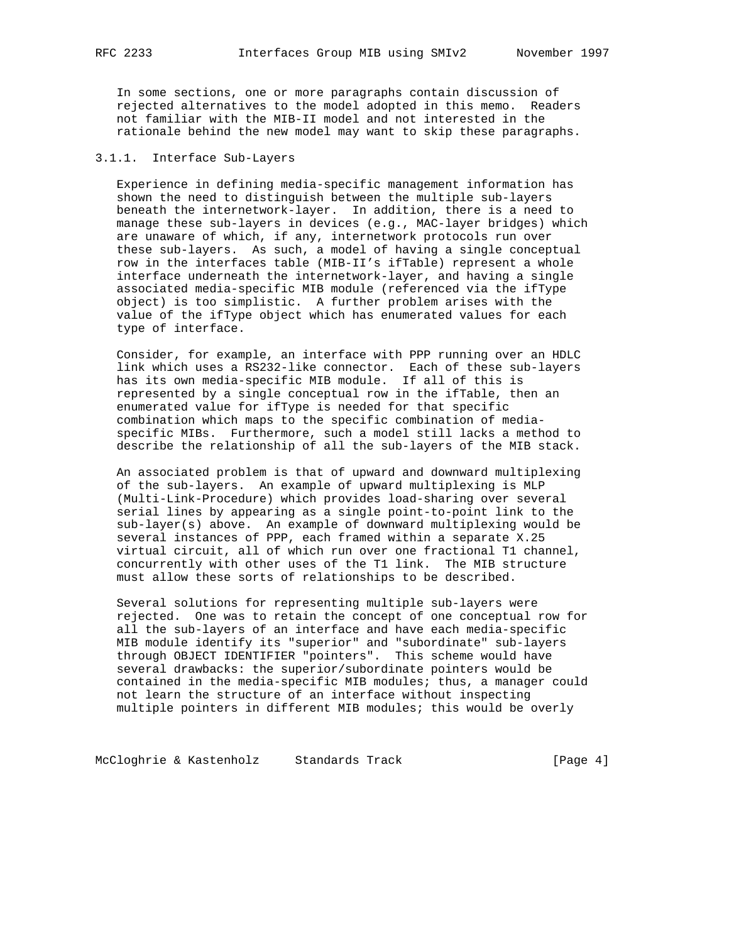In some sections, one or more paragraphs contain discussion of rejected alternatives to the model adopted in this memo. Readers not familiar with the MIB-II model and not interested in the rationale behind the new model may want to skip these paragraphs.

## 3.1.1. Interface Sub-Layers

 Experience in defining media-specific management information has shown the need to distinguish between the multiple sub-layers beneath the internetwork-layer. In addition, there is a need to manage these sub-layers in devices (e.g., MAC-layer bridges) which are unaware of which, if any, internetwork protocols run over these sub-layers. As such, a model of having a single conceptual row in the interfaces table (MIB-II's ifTable) represent a whole interface underneath the internetwork-layer, and having a single associated media-specific MIB module (referenced via the ifType object) is too simplistic. A further problem arises with the value of the ifType object which has enumerated values for each type of interface.

 Consider, for example, an interface with PPP running over an HDLC link which uses a RS232-like connector. Each of these sub-layers has its own media-specific MIB module. If all of this is represented by a single conceptual row in the ifTable, then an enumerated value for ifType is needed for that specific combination which maps to the specific combination of media specific MIBs. Furthermore, such a model still lacks a method to describe the relationship of all the sub-layers of the MIB stack.

 An associated problem is that of upward and downward multiplexing of the sub-layers. An example of upward multiplexing is MLP (Multi-Link-Procedure) which provides load-sharing over several serial lines by appearing as a single point-to-point link to the sub-layer(s) above. An example of downward multiplexing would be several instances of PPP, each framed within a separate X.25 virtual circuit, all of which run over one fractional T1 channel, concurrently with other uses of the T1 link. The MIB structure must allow these sorts of relationships to be described.

 Several solutions for representing multiple sub-layers were rejected. One was to retain the concept of one conceptual row for all the sub-layers of an interface and have each media-specific MIB module identify its "superior" and "subordinate" sub-layers through OBJECT IDENTIFIER "pointers". This scheme would have several drawbacks: the superior/subordinate pointers would be contained in the media-specific MIB modules; thus, a manager could not learn the structure of an interface without inspecting multiple pointers in different MIB modules; this would be overly

McCloghrie & Kastenholz Standards Track [Page 4]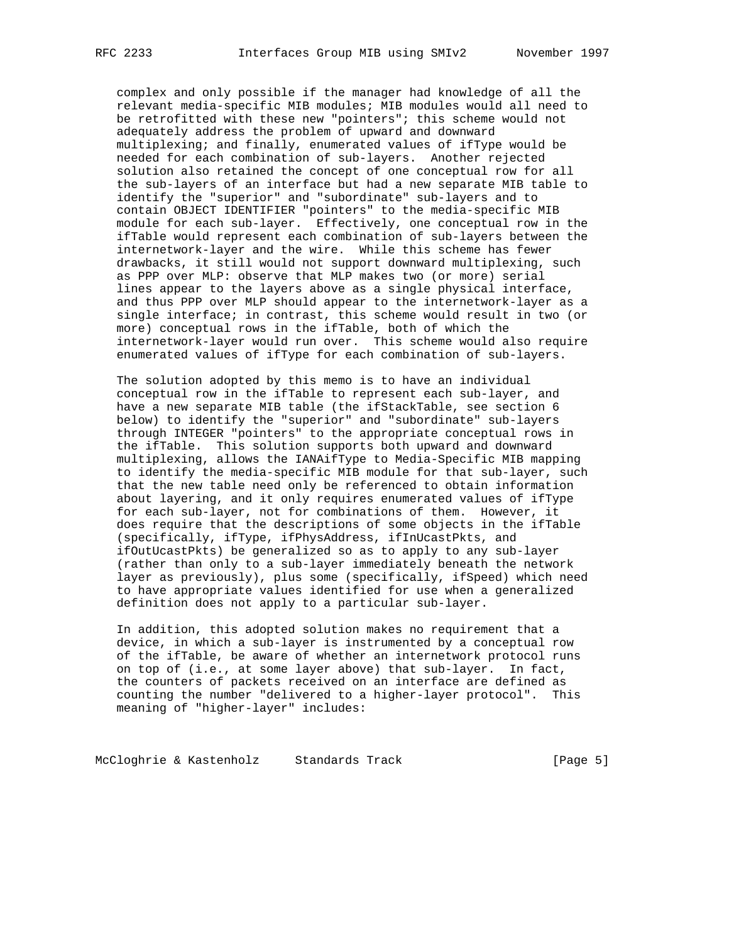complex and only possible if the manager had knowledge of all the relevant media-specific MIB modules; MIB modules would all need to be retrofitted with these new "pointers"; this scheme would not adequately address the problem of upward and downward multiplexing; and finally, enumerated values of ifType would be needed for each combination of sub-layers. Another rejected solution also retained the concept of one conceptual row for all the sub-layers of an interface but had a new separate MIB table to identify the "superior" and "subordinate" sub-layers and to contain OBJECT IDENTIFIER "pointers" to the media-specific MIB module for each sub-layer. Effectively, one conceptual row in the ifTable would represent each combination of sub-layers between the internetwork-layer and the wire. While this scheme has fewer drawbacks, it still would not support downward multiplexing, such as PPP over MLP: observe that MLP makes two (or more) serial lines appear to the layers above as a single physical interface, and thus PPP over MLP should appear to the internetwork-layer as a single interface; in contrast, this scheme would result in two (or more) conceptual rows in the ifTable, both of which the internetwork-layer would run over. This scheme would also require enumerated values of ifType for each combination of sub-layers.

 The solution adopted by this memo is to have an individual conceptual row in the ifTable to represent each sub-layer, and have a new separate MIB table (the ifStackTable, see section 6 below) to identify the "superior" and "subordinate" sub-layers through INTEGER "pointers" to the appropriate conceptual rows in the ifTable. This solution supports both upward and downward multiplexing, allows the IANAifType to Media-Specific MIB mapping to identify the media-specific MIB module for that sub-layer, such that the new table need only be referenced to obtain information about layering, and it only requires enumerated values of ifType for each sub-layer, not for combinations of them. However, it does require that the descriptions of some objects in the ifTable (specifically, ifType, ifPhysAddress, ifInUcastPkts, and ifOutUcastPkts) be generalized so as to apply to any sub-layer (rather than only to a sub-layer immediately beneath the network layer as previously), plus some (specifically, ifSpeed) which need to have appropriate values identified for use when a generalized definition does not apply to a particular sub-layer.

 In addition, this adopted solution makes no requirement that a device, in which a sub-layer is instrumented by a conceptual row of the ifTable, be aware of whether an internetwork protocol runs on top of (i.e., at some layer above) that sub-layer. In fact, the counters of packets received on an interface are defined as counting the number "delivered to a higher-layer protocol". This meaning of "higher-layer" includes:

McCloghrie & Kastenholz Standards Track [Page 5]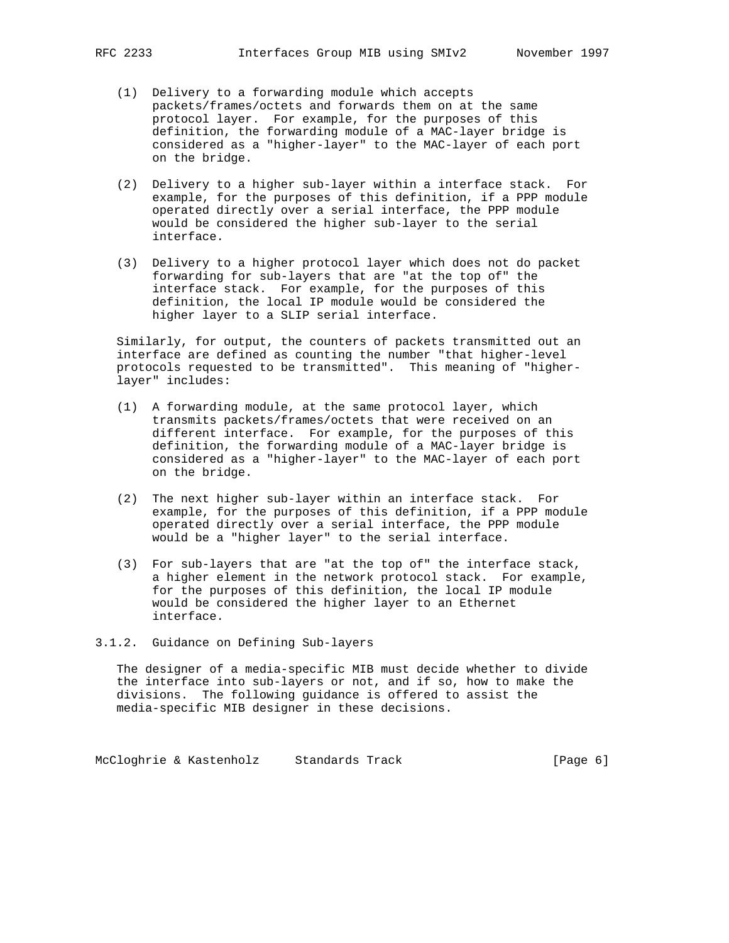- (1) Delivery to a forwarding module which accepts packets/frames/octets and forwards them on at the same protocol layer. For example, for the purposes of this definition, the forwarding module of a MAC-layer bridge is considered as a "higher-layer" to the MAC-layer of each port on the bridge.
- (2) Delivery to a higher sub-layer within a interface stack. For example, for the purposes of this definition, if a PPP module operated directly over a serial interface, the PPP module would be considered the higher sub-layer to the serial interface.
- (3) Delivery to a higher protocol layer which does not do packet forwarding for sub-layers that are "at the top of" the interface stack. For example, for the purposes of this definition, the local IP module would be considered the higher layer to a SLIP serial interface.

 Similarly, for output, the counters of packets transmitted out an interface are defined as counting the number "that higher-level protocols requested to be transmitted". This meaning of "higher layer" includes:

- (1) A forwarding module, at the same protocol layer, which transmits packets/frames/octets that were received on an different interface. For example, for the purposes of this definition, the forwarding module of a MAC-layer bridge is considered as a "higher-layer" to the MAC-layer of each port on the bridge.
- (2) The next higher sub-layer within an interface stack. For example, for the purposes of this definition, if a PPP module operated directly over a serial interface, the PPP module would be a "higher layer" to the serial interface.
- (3) For sub-layers that are "at the top of" the interface stack, a higher element in the network protocol stack. For example, for the purposes of this definition, the local IP module would be considered the higher layer to an Ethernet interface.

#### 3.1.2. Guidance on Defining Sub-layers

 The designer of a media-specific MIB must decide whether to divide the interface into sub-layers or not, and if so, how to make the divisions. The following guidance is offered to assist the media-specific MIB designer in these decisions.

McCloghrie & Kastenholz Standards Track [Page 6]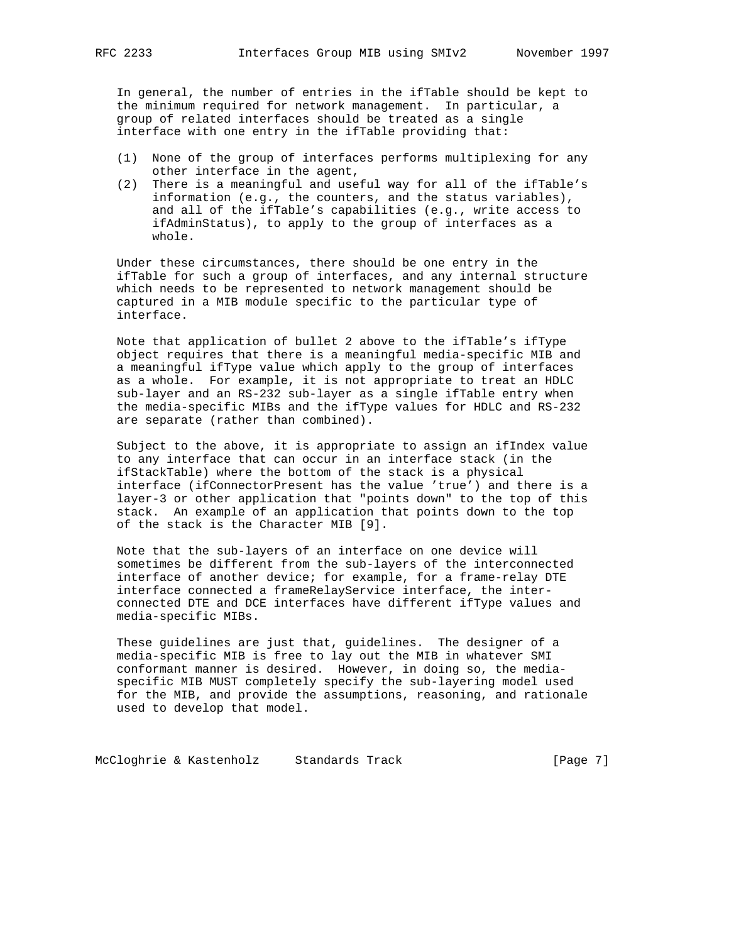In general, the number of entries in the ifTable should be kept to the minimum required for network management. In particular, a group of related interfaces should be treated as a single interface with one entry in the ifTable providing that:

- (1) None of the group of interfaces performs multiplexing for any other interface in the agent,
- (2) There is a meaningful and useful way for all of the ifTable's information (e.g., the counters, and the status variables), and all of the ifTable's capabilities (e.g., write access to ifAdminStatus), to apply to the group of interfaces as a whole.

 Under these circumstances, there should be one entry in the ifTable for such a group of interfaces, and any internal structure which needs to be represented to network management should be captured in a MIB module specific to the particular type of interface.

 Note that application of bullet 2 above to the ifTable's ifType object requires that there is a meaningful media-specific MIB and a meaningful ifType value which apply to the group of interfaces as a whole. For example, it is not appropriate to treat an HDLC sub-layer and an RS-232 sub-layer as a single ifTable entry when the media-specific MIBs and the ifType values for HDLC and RS-232 are separate (rather than combined).

 Subject to the above, it is appropriate to assign an ifIndex value to any interface that can occur in an interface stack (in the ifStackTable) where the bottom of the stack is a physical interface (ifConnectorPresent has the value 'true') and there is a layer-3 or other application that "points down" to the top of this stack. An example of an application that points down to the top of the stack is the Character MIB [9].

 Note that the sub-layers of an interface on one device will sometimes be different from the sub-layers of the interconnected interface of another device; for example, for a frame-relay DTE interface connected a frameRelayService interface, the inter connected DTE and DCE interfaces have different ifType values and media-specific MIBs.

 These guidelines are just that, guidelines. The designer of a media-specific MIB is free to lay out the MIB in whatever SMI conformant manner is desired. However, in doing so, the media specific MIB MUST completely specify the sub-layering model used for the MIB, and provide the assumptions, reasoning, and rationale used to develop that model.

McCloghrie & Kastenholz Standards Track [Page 7]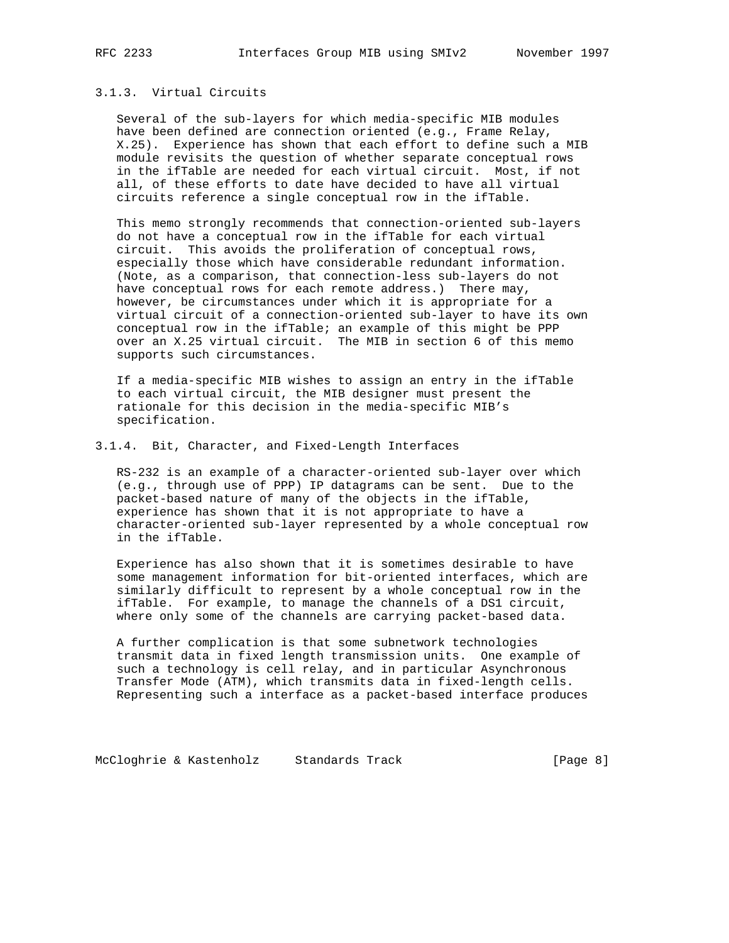## 3.1.3. Virtual Circuits

 Several of the sub-layers for which media-specific MIB modules have been defined are connection oriented (e.g., Frame Relay, X.25). Experience has shown that each effort to define such a MIB module revisits the question of whether separate conceptual rows in the ifTable are needed for each virtual circuit. Most, if not all, of these efforts to date have decided to have all virtual circuits reference a single conceptual row in the ifTable.

 This memo strongly recommends that connection-oriented sub-layers do not have a conceptual row in the ifTable for each virtual circuit. This avoids the proliferation of conceptual rows, especially those which have considerable redundant information. (Note, as a comparison, that connection-less sub-layers do not have conceptual rows for each remote address.) There may, however, be circumstances under which it is appropriate for a virtual circuit of a connection-oriented sub-layer to have its own conceptual row in the ifTable; an example of this might be PPP over an X.25 virtual circuit. The MIB in section 6 of this memo supports such circumstances.

 If a media-specific MIB wishes to assign an entry in the ifTable to each virtual circuit, the MIB designer must present the rationale for this decision in the media-specific MIB's specification.

#### 3.1.4. Bit, Character, and Fixed-Length Interfaces

 RS-232 is an example of a character-oriented sub-layer over which (e.g., through use of PPP) IP datagrams can be sent. Due to the packet-based nature of many of the objects in the ifTable, experience has shown that it is not appropriate to have a character-oriented sub-layer represented by a whole conceptual row in the ifTable.

 Experience has also shown that it is sometimes desirable to have some management information for bit-oriented interfaces, which are similarly difficult to represent by a whole conceptual row in the ifTable. For example, to manage the channels of a DS1 circuit, where only some of the channels are carrying packet-based data.

 A further complication is that some subnetwork technologies transmit data in fixed length transmission units. One example of such a technology is cell relay, and in particular Asynchronous Transfer Mode (ATM), which transmits data in fixed-length cells. Representing such a interface as a packet-based interface produces

McCloghrie & Kastenholz Standards Track [Page 8]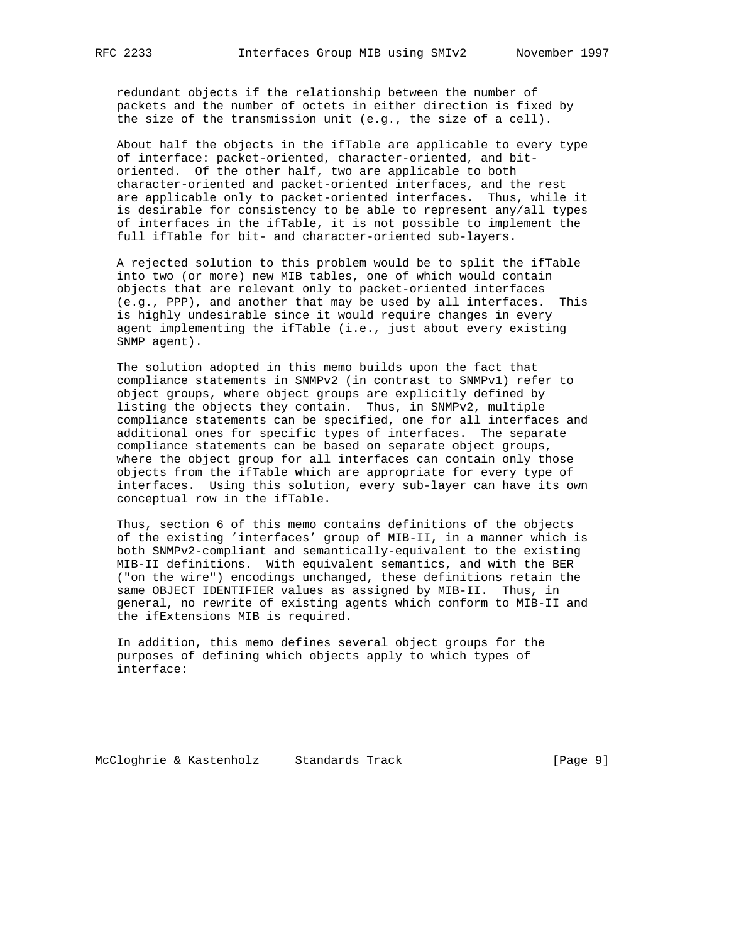redundant objects if the relationship between the number of packets and the number of octets in either direction is fixed by the size of the transmission unit (e.g., the size of a cell).

 About half the objects in the ifTable are applicable to every type of interface: packet-oriented, character-oriented, and bit oriented. Of the other half, two are applicable to both character-oriented and packet-oriented interfaces, and the rest are applicable only to packet-oriented interfaces. Thus, while it is desirable for consistency to be able to represent any/all types of interfaces in the ifTable, it is not possible to implement the full ifTable for bit- and character-oriented sub-layers.

 A rejected solution to this problem would be to split the ifTable into two (or more) new MIB tables, one of which would contain objects that are relevant only to packet-oriented interfaces (e.g., PPP), and another that may be used by all interfaces. This is highly undesirable since it would require changes in every agent implementing the ifTable (i.e., just about every existing SNMP agent).

 The solution adopted in this memo builds upon the fact that compliance statements in SNMPv2 (in contrast to SNMPv1) refer to object groups, where object groups are explicitly defined by listing the objects they contain. Thus, in SNMPv2, multiple compliance statements can be specified, one for all interfaces and additional ones for specific types of interfaces. The separate compliance statements can be based on separate object groups, where the object group for all interfaces can contain only those objects from the ifTable which are appropriate for every type of interfaces. Using this solution, every sub-layer can have its own conceptual row in the ifTable.

 Thus, section 6 of this memo contains definitions of the objects of the existing 'interfaces' group of MIB-II, in a manner which is both SNMPv2-compliant and semantically-equivalent to the existing MIB-II definitions. With equivalent semantics, and with the BER ("on the wire") encodings unchanged, these definitions retain the same OBJECT IDENTIFIER values as assigned by MIB-II. Thus, in general, no rewrite of existing agents which conform to MIB-II and the ifExtensions MIB is required.

 In addition, this memo defines several object groups for the purposes of defining which objects apply to which types of interface:

McCloghrie & Kastenholz Standards Track [Page 9]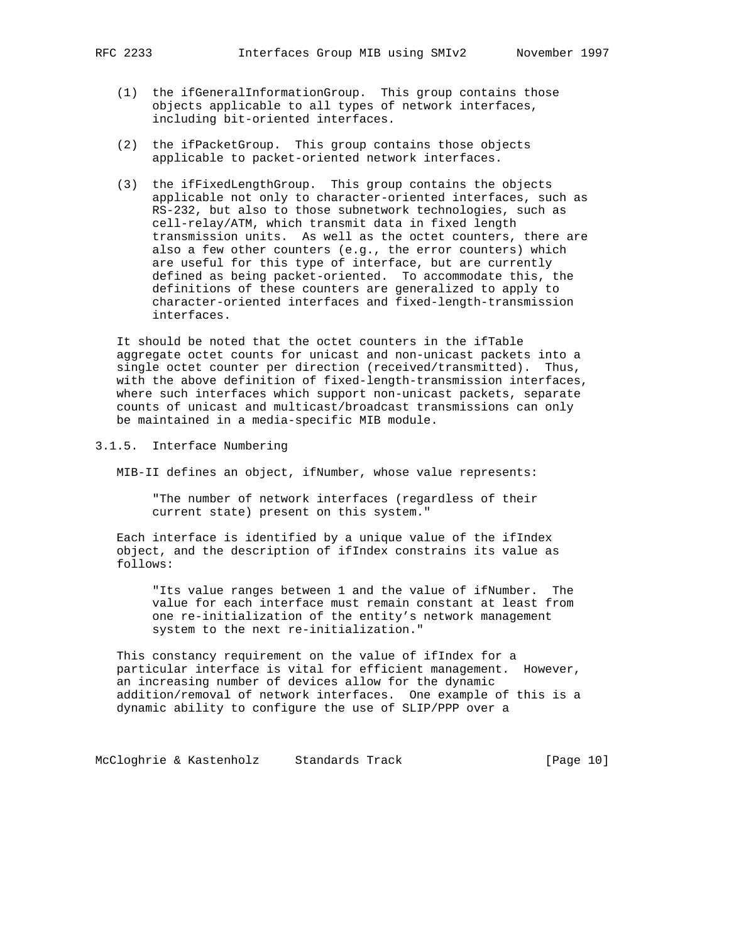- - (1) the ifGeneralInformationGroup. This group contains those objects applicable to all types of network interfaces, including bit-oriented interfaces.
	- (2) the ifPacketGroup. This group contains those objects applicable to packet-oriented network interfaces.
	- (3) the ifFixedLengthGroup. This group contains the objects applicable not only to character-oriented interfaces, such as RS-232, but also to those subnetwork technologies, such as cell-relay/ATM, which transmit data in fixed length transmission units. As well as the octet counters, there are also a few other counters (e.g., the error counters) which are useful for this type of interface, but are currently defined as being packet-oriented. To accommodate this, the definitions of these counters are generalized to apply to character-oriented interfaces and fixed-length-transmission interfaces.

 It should be noted that the octet counters in the ifTable aggregate octet counts for unicast and non-unicast packets into a single octet counter per direction (received/transmitted). Thus, with the above definition of fixed-length-transmission interfaces, where such interfaces which support non-unicast packets, separate counts of unicast and multicast/broadcast transmissions can only be maintained in a media-specific MIB module.

3.1.5. Interface Numbering

MIB-II defines an object, ifNumber, whose value represents:

 "The number of network interfaces (regardless of their current state) present on this system."

 Each interface is identified by a unique value of the ifIndex object, and the description of ifIndex constrains its value as follows:

 "Its value ranges between 1 and the value of ifNumber. The value for each interface must remain constant at least from one re-initialization of the entity's network management system to the next re-initialization."

 This constancy requirement on the value of ifIndex for a particular interface is vital for efficient management. However, an increasing number of devices allow for the dynamic addition/removal of network interfaces. One example of this is a dynamic ability to configure the use of SLIP/PPP over a

McCloghrie & Kastenholz Standards Track [Page 10]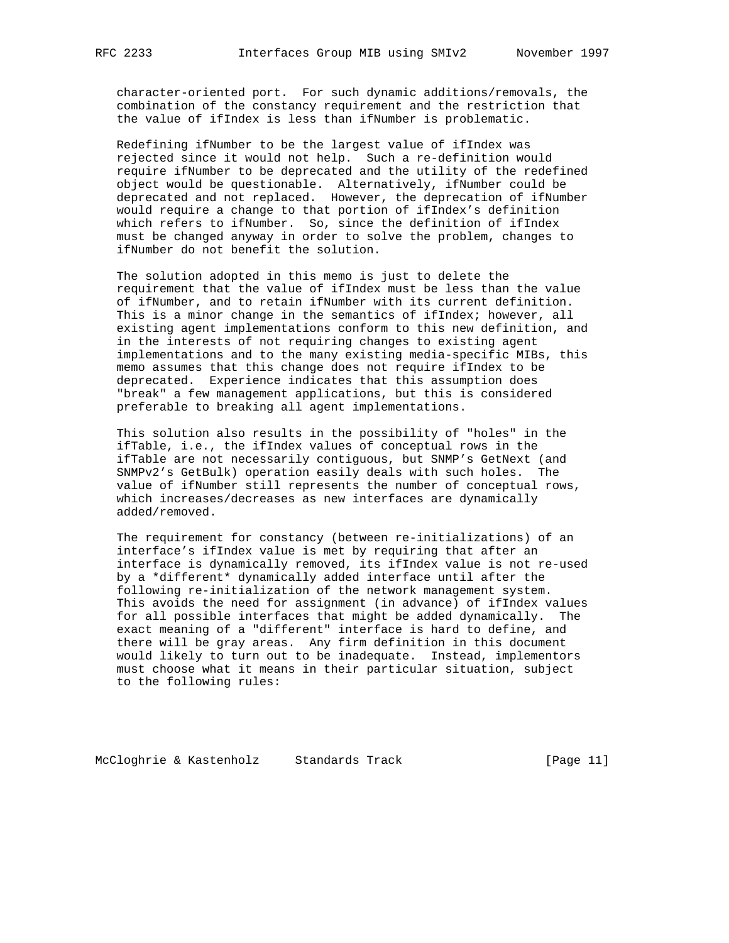character-oriented port. For such dynamic additions/removals, the combination of the constancy requirement and the restriction that the value of ifIndex is less than ifNumber is problematic.

 Redefining ifNumber to be the largest value of ifIndex was rejected since it would not help. Such a re-definition would require ifNumber to be deprecated and the utility of the redefined object would be questionable. Alternatively, ifNumber could be deprecated and not replaced. However, the deprecation of ifNumber would require a change to that portion of ifIndex's definition which refers to ifNumber. So, since the definition of ifIndex must be changed anyway in order to solve the problem, changes to ifNumber do not benefit the solution.

 The solution adopted in this memo is just to delete the requirement that the value of ifIndex must be less than the value of ifNumber, and to retain ifNumber with its current definition. This is a minor change in the semantics of ifIndex; however, all existing agent implementations conform to this new definition, and in the interests of not requiring changes to existing agent implementations and to the many existing media-specific MIBs, this memo assumes that this change does not require ifIndex to be deprecated. Experience indicates that this assumption does "break" a few management applications, but this is considered preferable to breaking all agent implementations.

 This solution also results in the possibility of "holes" in the ifTable, i.e., the ifIndex values of conceptual rows in the ifTable are not necessarily contiguous, but SNMP's GetNext (and SNMPv2's GetBulk) operation easily deals with such holes. The value of ifNumber still represents the number of conceptual rows, which increases/decreases as new interfaces are dynamically added/removed.

 The requirement for constancy (between re-initializations) of an interface's ifIndex value is met by requiring that after an interface is dynamically removed, its ifIndex value is not re-used by a \*different\* dynamically added interface until after the following re-initialization of the network management system. This avoids the need for assignment (in advance) of ifIndex values for all possible interfaces that might be added dynamically. The exact meaning of a "different" interface is hard to define, and there will be gray areas. Any firm definition in this document would likely to turn out to be inadequate. Instead, implementors must choose what it means in their particular situation, subject to the following rules:

McCloghrie & Kastenholz Standards Track [Page 11]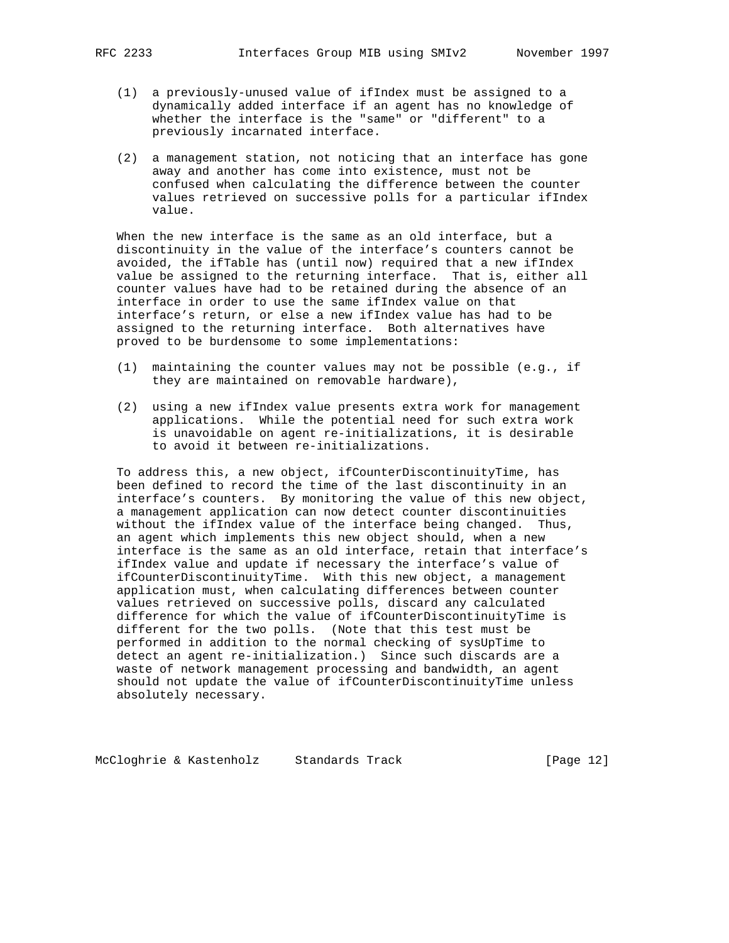- (1) a previously-unused value of ifIndex must be assigned to a dynamically added interface if an agent has no knowledge of whether the interface is the "same" or "different" to a previously incarnated interface.
- (2) a management station, not noticing that an interface has gone away and another has come into existence, must not be confused when calculating the difference between the counter values retrieved on successive polls for a particular ifIndex value.

 When the new interface is the same as an old interface, but a discontinuity in the value of the interface's counters cannot be avoided, the ifTable has (until now) required that a new ifIndex value be assigned to the returning interface. That is, either all counter values have had to be retained during the absence of an interface in order to use the same ifIndex value on that interface's return, or else a new ifIndex value has had to be assigned to the returning interface. Both alternatives have proved to be burdensome to some implementations:

- (1) maintaining the counter values may not be possible (e.g., if they are maintained on removable hardware),
- (2) using a new ifIndex value presents extra work for management applications. While the potential need for such extra work is unavoidable on agent re-initializations, it is desirable to avoid it between re-initializations.

 To address this, a new object, ifCounterDiscontinuityTime, has been defined to record the time of the last discontinuity in an interface's counters. By monitoring the value of this new object, a management application can now detect counter discontinuities without the ifIndex value of the interface being changed. Thus, an agent which implements this new object should, when a new interface is the same as an old interface, retain that interface's ifIndex value and update if necessary the interface's value of ifCounterDiscontinuityTime. With this new object, a management application must, when calculating differences between counter values retrieved on successive polls, discard any calculated difference for which the value of ifCounterDiscontinuityTime is different for the two polls. (Note that this test must be performed in addition to the normal checking of sysUpTime to detect an agent re-initialization.) Since such discards are a waste of network management processing and bandwidth, an agent should not update the value of ifCounterDiscontinuityTime unless absolutely necessary.

McCloghrie & Kastenholz Standards Track [Page 12]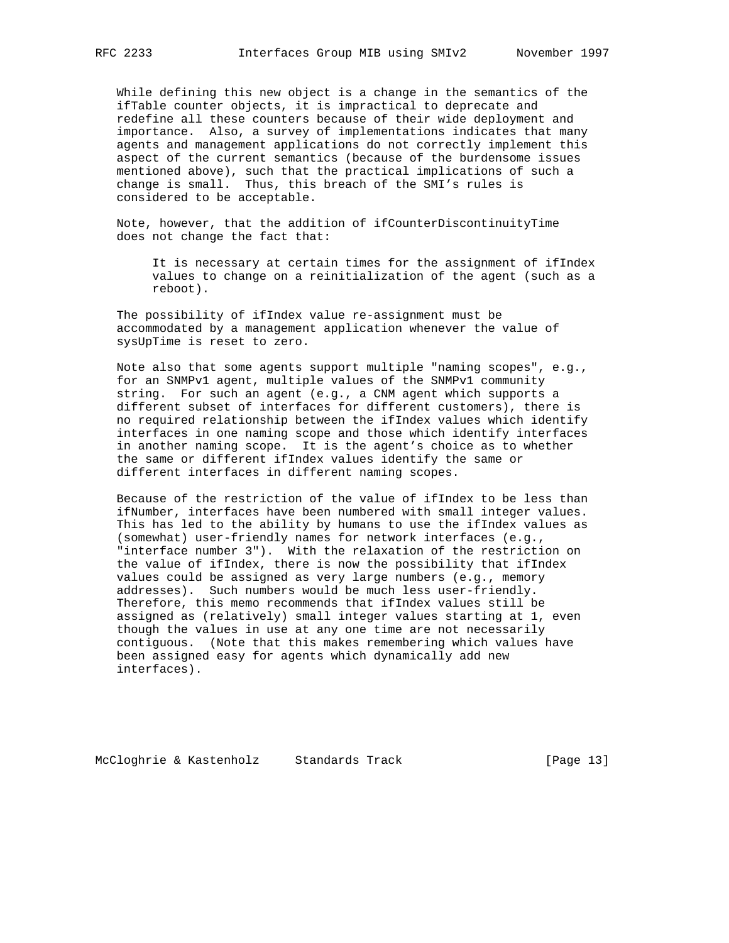While defining this new object is a change in the semantics of the ifTable counter objects, it is impractical to deprecate and redefine all these counters because of their wide deployment and importance. Also, a survey of implementations indicates that many agents and management applications do not correctly implement this aspect of the current semantics (because of the burdensome issues mentioned above), such that the practical implications of such a change is small. Thus, this breach of the SMI's rules is considered to be acceptable.

 Note, however, that the addition of ifCounterDiscontinuityTime does not change the fact that:

 It is necessary at certain times for the assignment of ifIndex values to change on a reinitialization of the agent (such as a reboot).

 The possibility of ifIndex value re-assignment must be accommodated by a management application whenever the value of sysUpTime is reset to zero.

 Note also that some agents support multiple "naming scopes", e.g., for an SNMPv1 agent, multiple values of the SNMPv1 community string. For such an agent (e.g., a CNM agent which supports a different subset of interfaces for different customers), there is no required relationship between the ifIndex values which identify interfaces in one naming scope and those which identify interfaces in another naming scope. It is the agent's choice as to whether the same or different ifIndex values identify the same or different interfaces in different naming scopes.

 Because of the restriction of the value of ifIndex to be less than ifNumber, interfaces have been numbered with small integer values. This has led to the ability by humans to use the ifIndex values as (somewhat) user-friendly names for network interfaces (e.g., "interface number 3"). With the relaxation of the restriction on the value of ifIndex, there is now the possibility that ifIndex values could be assigned as very large numbers (e.g., memory addresses). Such numbers would be much less user-friendly. Therefore, this memo recommends that ifIndex values still be assigned as (relatively) small integer values starting at 1, even though the values in use at any one time are not necessarily contiguous. (Note that this makes remembering which values have been assigned easy for agents which dynamically add new interfaces).

McCloghrie & Kastenholz Standards Track [Page 13]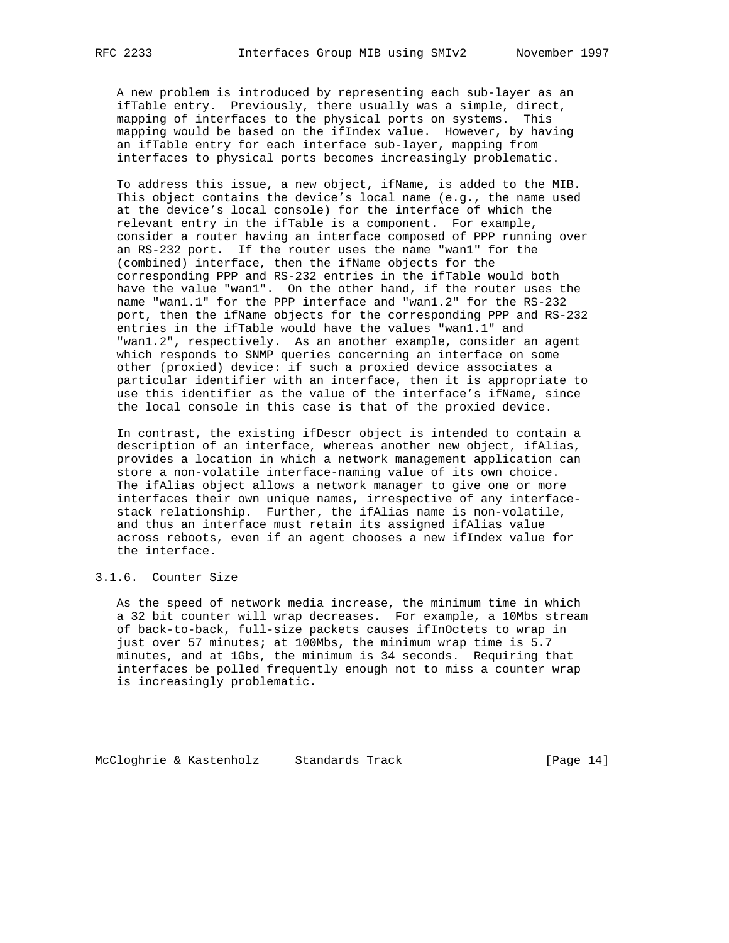A new problem is introduced by representing each sub-layer as an ifTable entry. Previously, there usually was a simple, direct, mapping of interfaces to the physical ports on systems. This mapping would be based on the ifIndex value. However, by having an ifTable entry for each interface sub-layer, mapping from interfaces to physical ports becomes increasingly problematic.

 To address this issue, a new object, ifName, is added to the MIB. This object contains the device's local name (e.g., the name used at the device's local console) for the interface of which the relevant entry in the ifTable is a component. For example, consider a router having an interface composed of PPP running over an RS-232 port. If the router uses the name "wan1" for the (combined) interface, then the ifName objects for the corresponding PPP and RS-232 entries in the ifTable would both have the value "wan1". On the other hand, if the router uses the name "wan1.1" for the PPP interface and "wan1.2" for the RS-232 port, then the ifName objects for the corresponding PPP and RS-232 entries in the ifTable would have the values "wan1.1" and "wan1.2", respectively. As an another example, consider an agent which responds to SNMP queries concerning an interface on some other (proxied) device: if such a proxied device associates a particular identifier with an interface, then it is appropriate to use this identifier as the value of the interface's ifName, since the local console in this case is that of the proxied device.

 In contrast, the existing ifDescr object is intended to contain a description of an interface, whereas another new object, ifAlias, provides a location in which a network management application can store a non-volatile interface-naming value of its own choice. The ifAlias object allows a network manager to give one or more interfaces their own unique names, irrespective of any interface stack relationship. Further, the ifAlias name is non-volatile, and thus an interface must retain its assigned ifAlias value across reboots, even if an agent chooses a new ifIndex value for the interface.

# 3.1.6. Counter Size

 As the speed of network media increase, the minimum time in which a 32 bit counter will wrap decreases. For example, a 10Mbs stream of back-to-back, full-size packets causes ifInOctets to wrap in just over 57 minutes; at 100Mbs, the minimum wrap time is 5.7 minutes, and at 1Gbs, the minimum is 34 seconds. Requiring that interfaces be polled frequently enough not to miss a counter wrap is increasingly problematic.

McCloghrie & Kastenholz Standards Track [Page 14]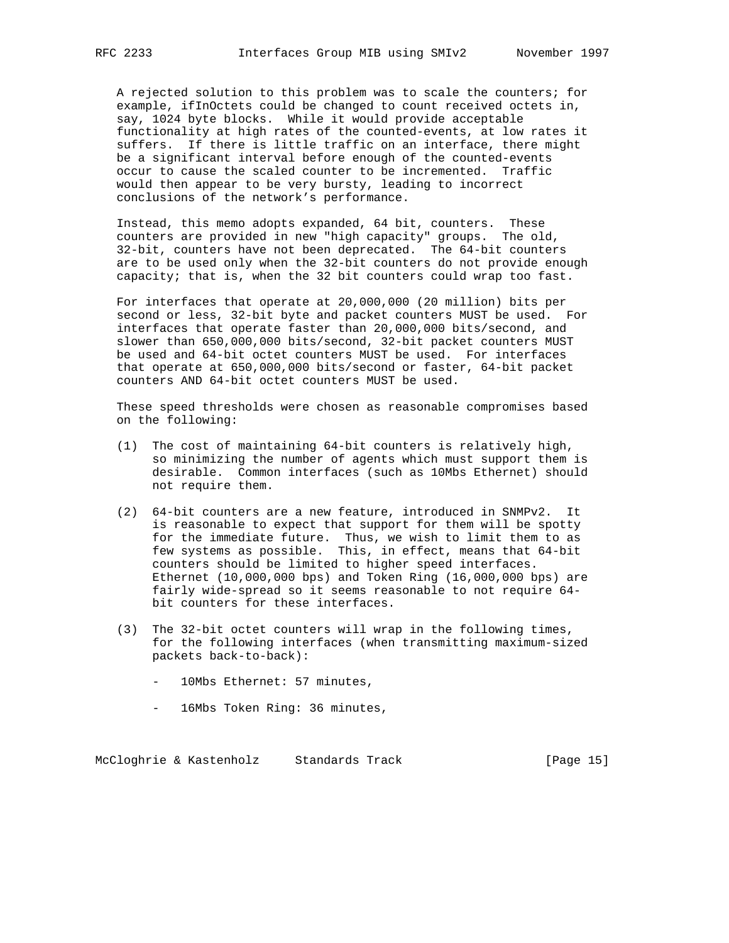A rejected solution to this problem was to scale the counters; for example, ifInOctets could be changed to count received octets in, say, 1024 byte blocks. While it would provide acceptable functionality at high rates of the counted-events, at low rates it suffers. If there is little traffic on an interface, there might be a significant interval before enough of the counted-events occur to cause the scaled counter to be incremented. Traffic would then appear to be very bursty, leading to incorrect conclusions of the network's performance.

 Instead, this memo adopts expanded, 64 bit, counters. These counters are provided in new "high capacity" groups. The old, 32-bit, counters have not been deprecated. The 64-bit counters are to be used only when the 32-bit counters do not provide enough capacity; that is, when the 32 bit counters could wrap too fast.

 For interfaces that operate at 20,000,000 (20 million) bits per second or less, 32-bit byte and packet counters MUST be used. For interfaces that operate faster than 20,000,000 bits/second, and slower than 650,000,000 bits/second, 32-bit packet counters MUST be used and 64-bit octet counters MUST be used. For interfaces that operate at 650,000,000 bits/second or faster, 64-bit packet counters AND 64-bit octet counters MUST be used.

 These speed thresholds were chosen as reasonable compromises based on the following:

- (1) The cost of maintaining 64-bit counters is relatively high, so minimizing the number of agents which must support them is desirable. Common interfaces (such as 10Mbs Ethernet) should not require them.
- (2) 64-bit counters are a new feature, introduced in SNMPv2. It is reasonable to expect that support for them will be spotty for the immediate future. Thus, we wish to limit them to as few systems as possible. This, in effect, means that 64-bit counters should be limited to higher speed interfaces. Ethernet (10,000,000 bps) and Token Ring (16,000,000 bps) are fairly wide-spread so it seems reasonable to not require 64 bit counters for these interfaces.
- (3) The 32-bit octet counters will wrap in the following times, for the following interfaces (when transmitting maximum-sized packets back-to-back):
	- 10Mbs Ethernet: 57 minutes,
	- 16Mbs Token Ring: 36 minutes,

McCloghrie & Kastenholz Standards Track [Page 15]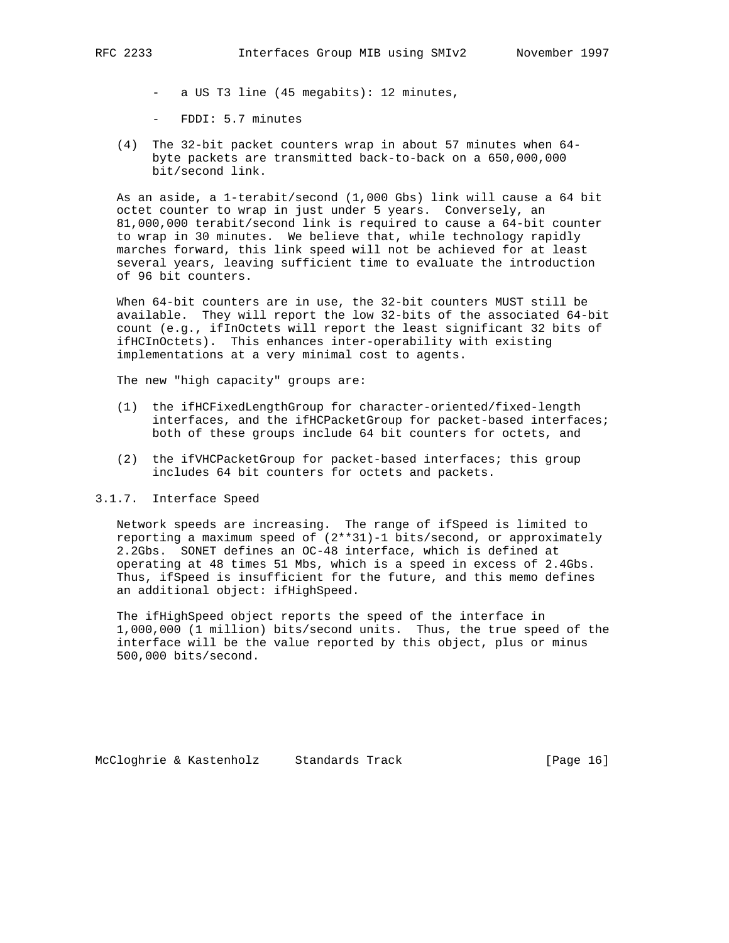- a US T3 line (45 megabits): 12 minutes,
- FDDI: 5.7 minutes
- (4) The 32-bit packet counters wrap in about 57 minutes when 64 byte packets are transmitted back-to-back on a 650,000,000 bit/second link.

 As an aside, a 1-terabit/second (1,000 Gbs) link will cause a 64 bit octet counter to wrap in just under 5 years. Conversely, an 81,000,000 terabit/second link is required to cause a 64-bit counter to wrap in 30 minutes. We believe that, while technology rapidly marches forward, this link speed will not be achieved for at least several years, leaving sufficient time to evaluate the introduction of 96 bit counters.

 When 64-bit counters are in use, the 32-bit counters MUST still be available. They will report the low 32-bits of the associated 64-bit count (e.g., ifInOctets will report the least significant 32 bits of ifHCInOctets). This enhances inter-operability with existing implementations at a very minimal cost to agents.

The new "high capacity" groups are:

- (1) the ifHCFixedLengthGroup for character-oriented/fixed-length interfaces, and the ifHCPacketGroup for packet-based interfaces; both of these groups include 64 bit counters for octets, and
- (2) the ifVHCPacketGroup for packet-based interfaces; this group includes 64 bit counters for octets and packets.

#### 3.1.7. Interface Speed

 Network speeds are increasing. The range of ifSpeed is limited to reporting a maximum speed of (2\*\*31)-1 bits/second, or approximately 2.2Gbs. SONET defines an OC-48 interface, which is defined at operating at 48 times 51 Mbs, which is a speed in excess of 2.4Gbs. Thus, ifSpeed is insufficient for the future, and this memo defines an additional object: ifHighSpeed.

 The ifHighSpeed object reports the speed of the interface in 1,000,000 (1 million) bits/second units. Thus, the true speed of the interface will be the value reported by this object, plus or minus 500,000 bits/second.

McCloghrie & Kastenholz Standards Track [Page 16]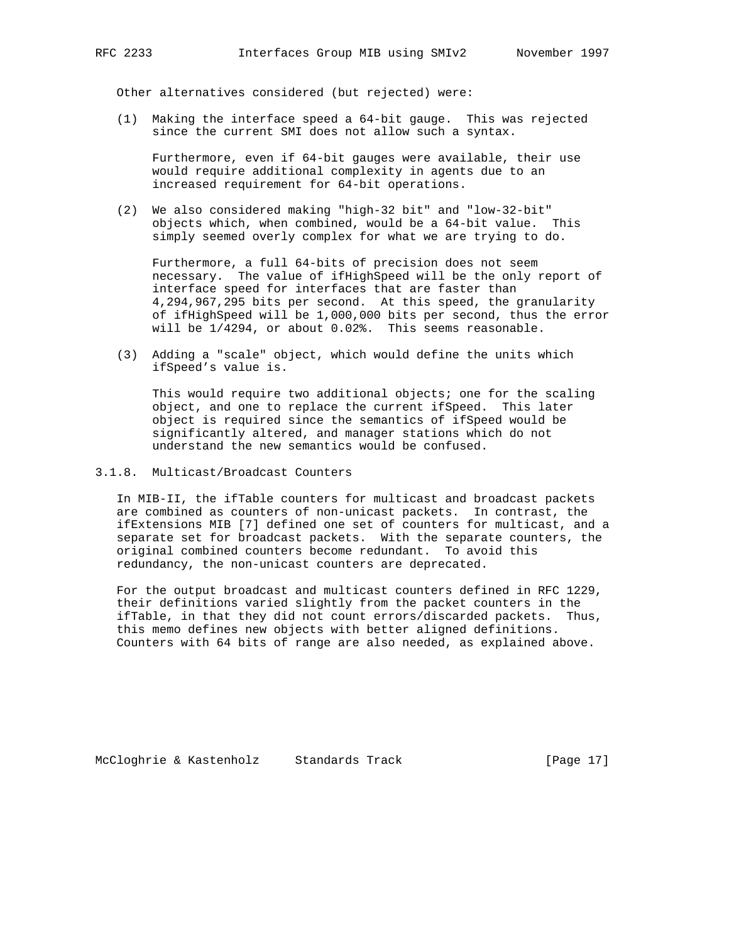Other alternatives considered (but rejected) were:

 (1) Making the interface speed a 64-bit gauge. This was rejected since the current SMI does not allow such a syntax.

 Furthermore, even if 64-bit gauges were available, their use would require additional complexity in agents due to an increased requirement for 64-bit operations.

 (2) We also considered making "high-32 bit" and "low-32-bit" objects which, when combined, would be a 64-bit value. This simply seemed overly complex for what we are trying to do.

 Furthermore, a full 64-bits of precision does not seem necessary. The value of ifHighSpeed will be the only report of interface speed for interfaces that are faster than 4,294,967,295 bits per second. At this speed, the granularity of ifHighSpeed will be 1,000,000 bits per second, thus the error will be 1/4294, or about 0.02%. This seems reasonable.

 (3) Adding a "scale" object, which would define the units which ifSpeed's value is.

 This would require two additional objects; one for the scaling object, and one to replace the current ifSpeed. This later object is required since the semantics of ifSpeed would be significantly altered, and manager stations which do not understand the new semantics would be confused.

## 3.1.8. Multicast/Broadcast Counters

 In MIB-II, the ifTable counters for multicast and broadcast packets are combined as counters of non-unicast packets. In contrast, the ifExtensions MIB [7] defined one set of counters for multicast, and a separate set for broadcast packets. With the separate counters, the original combined counters become redundant. To avoid this redundancy, the non-unicast counters are deprecated.

 For the output broadcast and multicast counters defined in RFC 1229, their definitions varied slightly from the packet counters in the ifTable, in that they did not count errors/discarded packets. Thus, this memo defines new objects with better aligned definitions. Counters with 64 bits of range are also needed, as explained above.

McCloghrie & Kastenholz Standards Track [Page 17]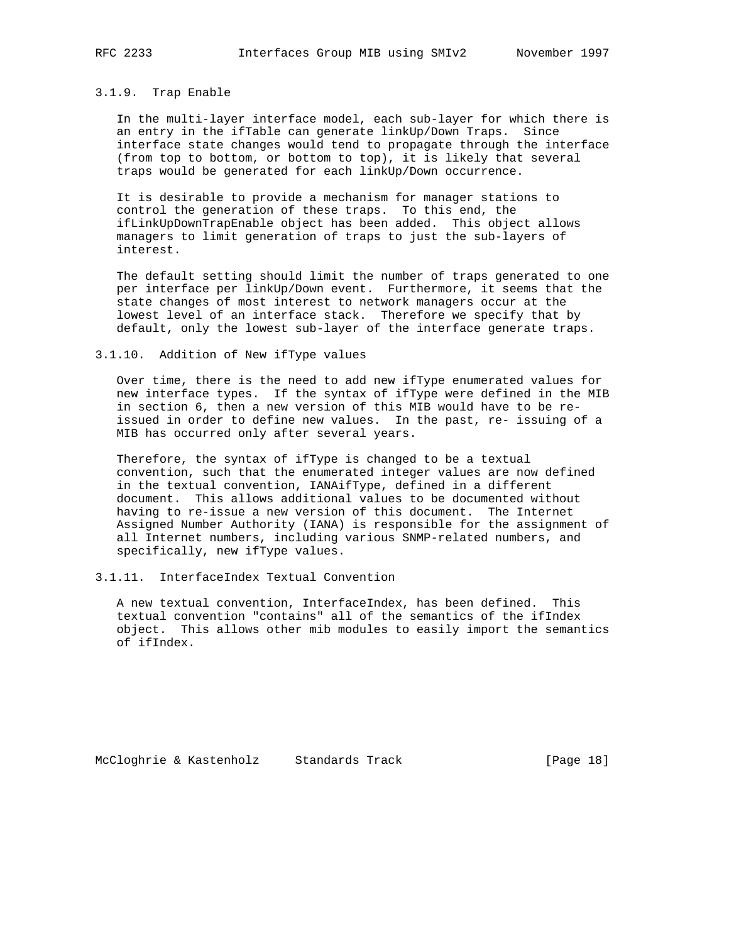#### 3.1.9. Trap Enable

 In the multi-layer interface model, each sub-layer for which there is an entry in the ifTable can generate linkUp/Down Traps. Since interface state changes would tend to propagate through the interface (from top to bottom, or bottom to top), it is likely that several traps would be generated for each linkUp/Down occurrence.

 It is desirable to provide a mechanism for manager stations to control the generation of these traps. To this end, the ifLinkUpDownTrapEnable object has been added. This object allows managers to limit generation of traps to just the sub-layers of interest.

 The default setting should limit the number of traps generated to one per interface per linkUp/Down event. Furthermore, it seems that the state changes of most interest to network managers occur at the lowest level of an interface stack. Therefore we specify that by default, only the lowest sub-layer of the interface generate traps.

## 3.1.10. Addition of New ifType values

 Over time, there is the need to add new ifType enumerated values for new interface types. If the syntax of ifType were defined in the MIB in section 6, then a new version of this MIB would have to be re issued in order to define new values. In the past, re- issuing of a MIB has occurred only after several years.

 Therefore, the syntax of ifType is changed to be a textual convention, such that the enumerated integer values are now defined in the textual convention, IANAifType, defined in a different document. This allows additional values to be documented without having to re-issue a new version of this document. The Internet Assigned Number Authority (IANA) is responsible for the assignment of all Internet numbers, including various SNMP-related numbers, and specifically, new ifType values.

## 3.1.11. InterfaceIndex Textual Convention

 A new textual convention, InterfaceIndex, has been defined. This textual convention "contains" all of the semantics of the ifIndex object. This allows other mib modules to easily import the semantics of ifIndex.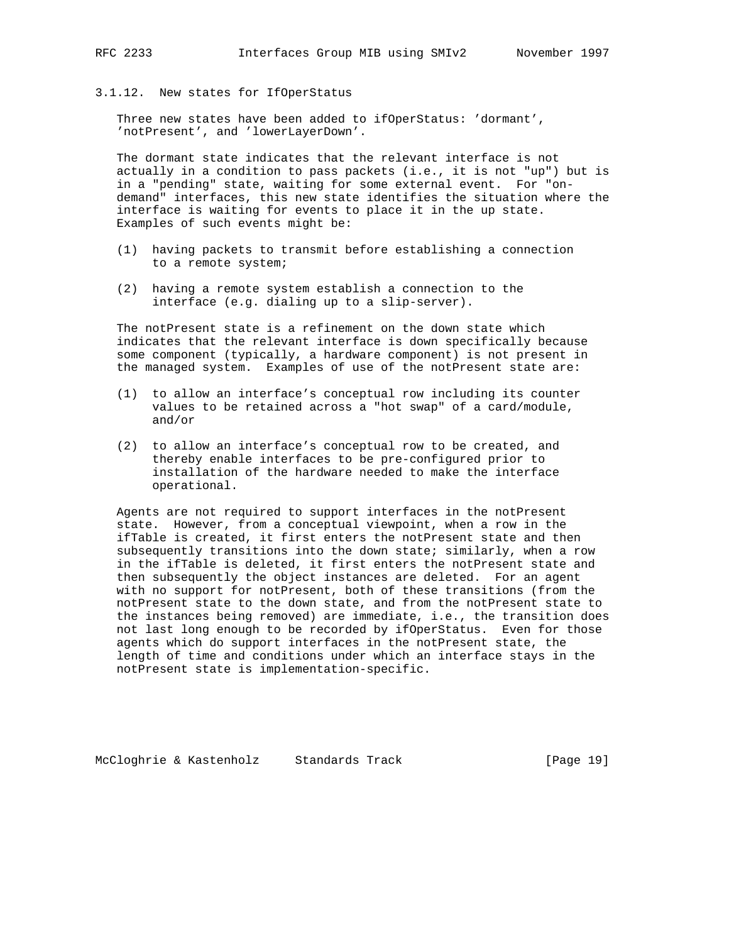3.1.12. New states for IfOperStatus

 Three new states have been added to ifOperStatus: 'dormant', 'notPresent', and 'lowerLayerDown'.

 The dormant state indicates that the relevant interface is not actually in a condition to pass packets (i.e., it is not "up") but is in a "pending" state, waiting for some external event. For "on demand" interfaces, this new state identifies the situation where the interface is waiting for events to place it in the up state. Examples of such events might be:

- (1) having packets to transmit before establishing a connection to a remote system;
- (2) having a remote system establish a connection to the interface (e.g. dialing up to a slip-server).

 The notPresent state is a refinement on the down state which indicates that the relevant interface is down specifically because some component (typically, a hardware component) is not present in the managed system. Examples of use of the notPresent state are:

- (1) to allow an interface's conceptual row including its counter values to be retained across a "hot swap" of a card/module, and/or
- (2) to allow an interface's conceptual row to be created, and thereby enable interfaces to be pre-configured prior to installation of the hardware needed to make the interface operational.

 Agents are not required to support interfaces in the notPresent state. However, from a conceptual viewpoint, when a row in the ifTable is created, it first enters the notPresent state and then subsequently transitions into the down state; similarly, when a row in the ifTable is deleted, it first enters the notPresent state and then subsequently the object instances are deleted. For an agent with no support for notPresent, both of these transitions (from the notPresent state to the down state, and from the notPresent state to the instances being removed) are immediate, i.e., the transition does not last long enough to be recorded by ifOperStatus. Even for those agents which do support interfaces in the notPresent state, the length of time and conditions under which an interface stays in the notPresent state is implementation-specific.

McCloghrie & Kastenholz Standards Track [Page 19]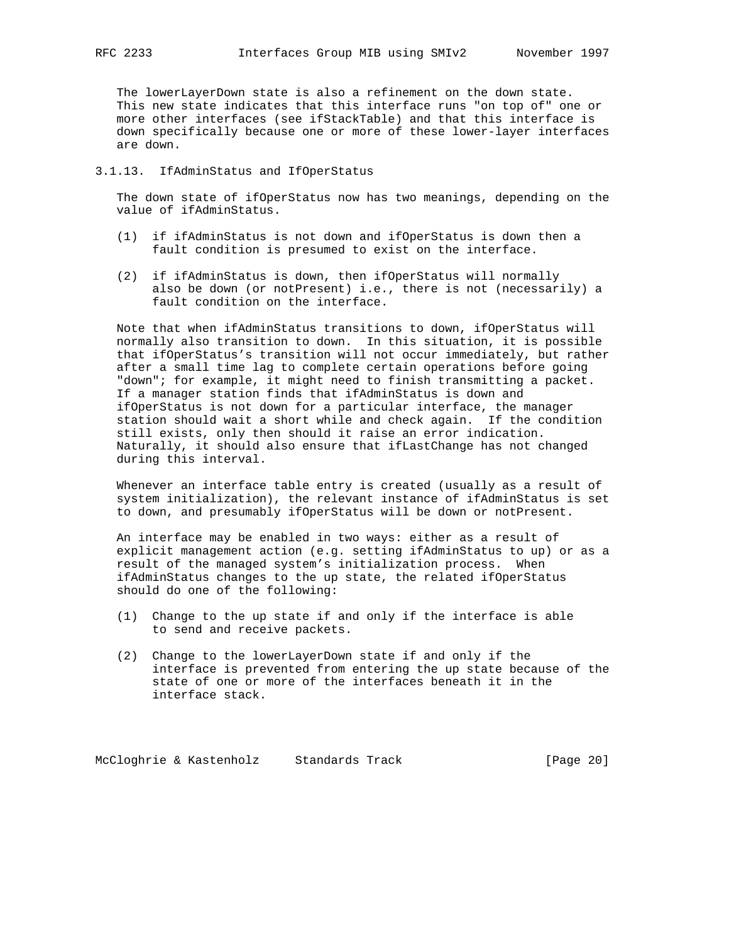The lowerLayerDown state is also a refinement on the down state. This new state indicates that this interface runs "on top of" one or more other interfaces (see ifStackTable) and that this interface is down specifically because one or more of these lower-layer interfaces are down.

#### 3.1.13. IfAdminStatus and IfOperStatus

 The down state of ifOperStatus now has two meanings, depending on the value of ifAdminStatus.

- (1) if ifAdminStatus is not down and ifOperStatus is down then a fault condition is presumed to exist on the interface.
- (2) if ifAdminStatus is down, then ifOperStatus will normally also be down (or notPresent) i.e., there is not (necessarily) a fault condition on the interface.

 Note that when ifAdminStatus transitions to down, ifOperStatus will normally also transition to down. In this situation, it is possible that ifOperStatus's transition will not occur immediately, but rather after a small time lag to complete certain operations before going "down"; for example, it might need to finish transmitting a packet. If a manager station finds that ifAdminStatus is down and ifOperStatus is not down for a particular interface, the manager station should wait a short while and check again. If the condition still exists, only then should it raise an error indication. Naturally, it should also ensure that ifLastChange has not changed during this interval.

 Whenever an interface table entry is created (usually as a result of system initialization), the relevant instance of ifAdminStatus is set to down, and presumably ifOperStatus will be down or notPresent.

 An interface may be enabled in two ways: either as a result of explicit management action (e.g. setting ifAdminStatus to up) or as a result of the managed system's initialization process. When ifAdminStatus changes to the up state, the related ifOperStatus should do one of the following:

- (1) Change to the up state if and only if the interface is able to send and receive packets.
- (2) Change to the lowerLayerDown state if and only if the interface is prevented from entering the up state because of the state of one or more of the interfaces beneath it in the interface stack.

McCloghrie & Kastenholz Standards Track [Page 20]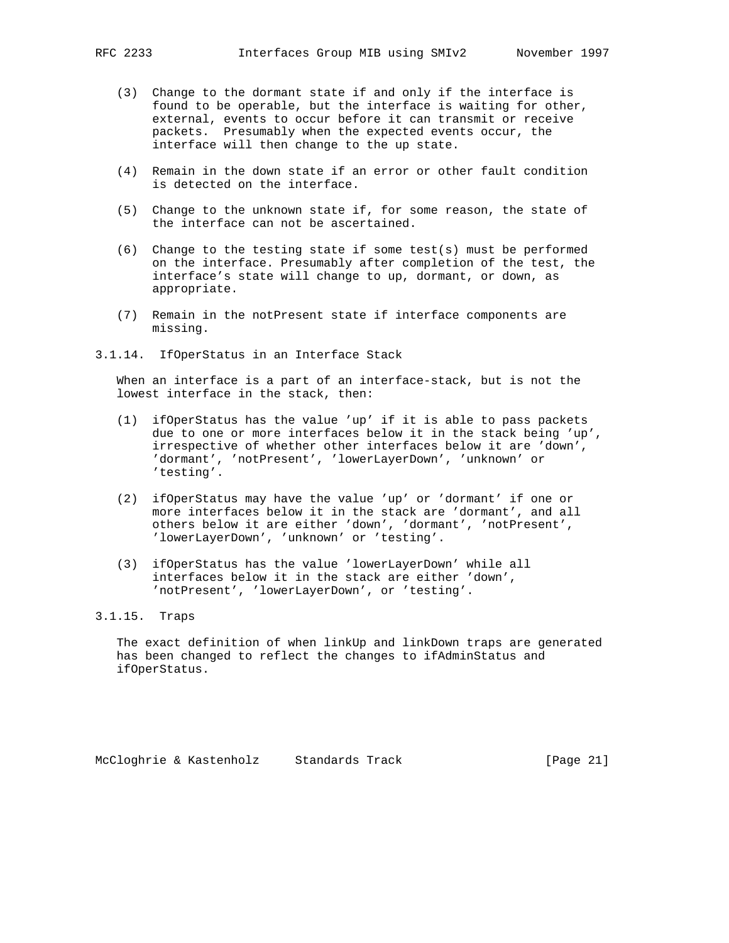- (3) Change to the dormant state if and only if the interface is found to be operable, but the interface is waiting for other, external, events to occur before it can transmit or receive packets. Presumably when the expected events occur, the interface will then change to the up state.
- (4) Remain in the down state if an error or other fault condition is detected on the interface.
- (5) Change to the unknown state if, for some reason, the state of the interface can not be ascertained.
- $(6)$  Change to the testing state if some test(s) must be performed on the interface. Presumably after completion of the test, the interface's state will change to up, dormant, or down, as appropriate.
- (7) Remain in the notPresent state if interface components are missing.
- 3.1.14. IfOperStatus in an Interface Stack

 When an interface is a part of an interface-stack, but is not the lowest interface in the stack, then:

- (1) ifOperStatus has the value 'up' if it is able to pass packets due to one or more interfaces below it in the stack being 'up', irrespective of whether other interfaces below it are 'down', 'dormant', 'notPresent', 'lowerLayerDown', 'unknown' or 'testing'.
- (2) ifOperStatus may have the value 'up' or 'dormant' if one or more interfaces below it in the stack are 'dormant', and all others below it are either 'down', 'dormant', 'notPresent', 'lowerLayerDown', 'unknown' or 'testing'.
- (3) ifOperStatus has the value 'lowerLayerDown' while all interfaces below it in the stack are either 'down', 'notPresent', 'lowerLayerDown', or 'testing'.

# 3.1.15. Traps

 The exact definition of when linkUp and linkDown traps are generated has been changed to reflect the changes to ifAdminStatus and ifOperStatus.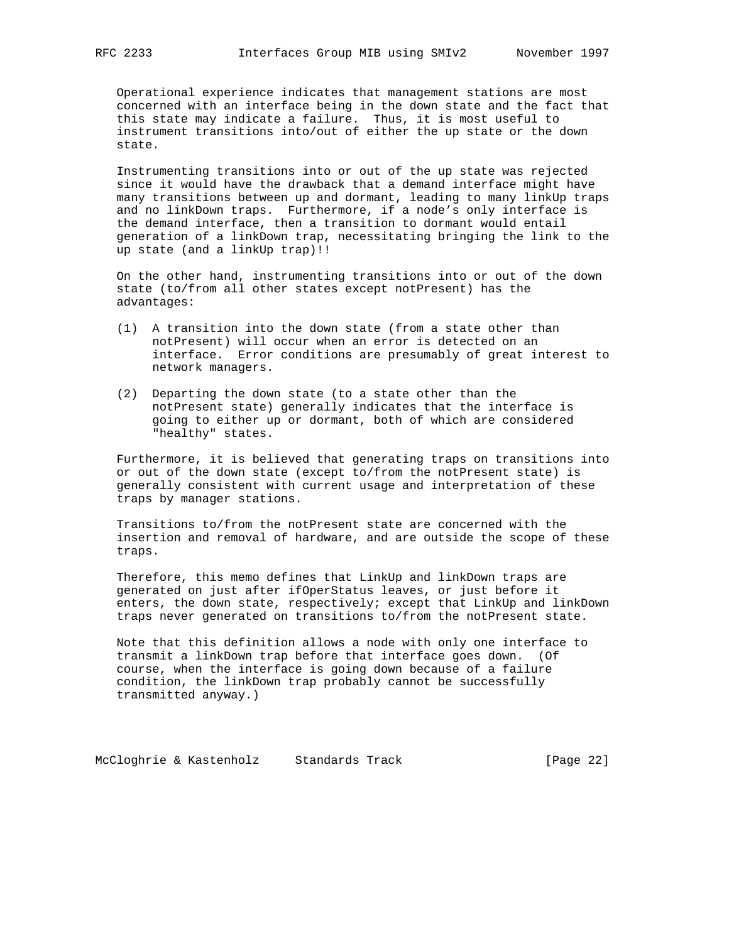Operational experience indicates that management stations are most concerned with an interface being in the down state and the fact that this state may indicate a failure. Thus, it is most useful to instrument transitions into/out of either the up state or the down state.

 Instrumenting transitions into or out of the up state was rejected since it would have the drawback that a demand interface might have many transitions between up and dormant, leading to many linkUp traps and no linkDown traps. Furthermore, if a node's only interface is the demand interface, then a transition to dormant would entail generation of a linkDown trap, necessitating bringing the link to the up state (and a linkUp trap)!!

 On the other hand, instrumenting transitions into or out of the down state (to/from all other states except notPresent) has the advantages:

- (1) A transition into the down state (from a state other than notPresent) will occur when an error is detected on an interface. Error conditions are presumably of great interest to network managers.
- (2) Departing the down state (to a state other than the notPresent state) generally indicates that the interface is going to either up or dormant, both of which are considered "healthy" states.

 Furthermore, it is believed that generating traps on transitions into or out of the down state (except to/from the notPresent state) is generally consistent with current usage and interpretation of these traps by manager stations.

 Transitions to/from the notPresent state are concerned with the insertion and removal of hardware, and are outside the scope of these traps.

 Therefore, this memo defines that LinkUp and linkDown traps are generated on just after ifOperStatus leaves, or just before it enters, the down state, respectively; except that LinkUp and linkDown traps never generated on transitions to/from the notPresent state.

 Note that this definition allows a node with only one interface to transmit a linkDown trap before that interface goes down. (Of course, when the interface is going down because of a failure condition, the linkDown trap probably cannot be successfully transmitted anyway.)

McCloghrie & Kastenholz Standards Track [Page 22]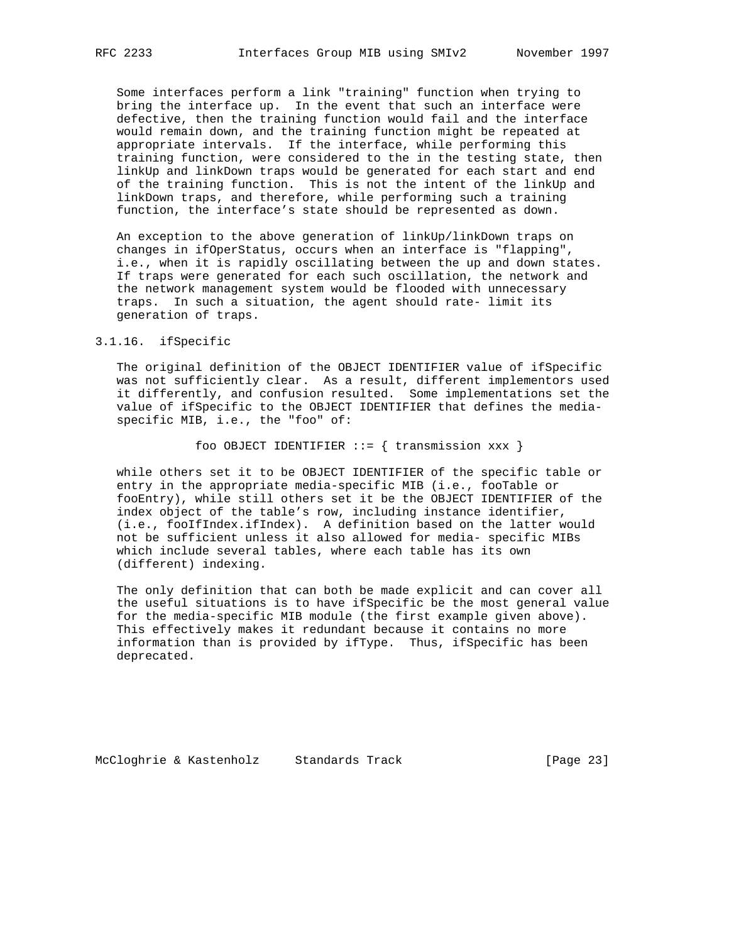Some interfaces perform a link "training" function when trying to bring the interface up. In the event that such an interface were defective, then the training function would fail and the interface would remain down, and the training function might be repeated at appropriate intervals. If the interface, while performing this training function, were considered to the in the testing state, then linkUp and linkDown traps would be generated for each start and end of the training function. This is not the intent of the linkUp and linkDown traps, and therefore, while performing such a training function, the interface's state should be represented as down.

 An exception to the above generation of linkUp/linkDown traps on changes in ifOperStatus, occurs when an interface is "flapping", i.e., when it is rapidly oscillating between the up and down states. If traps were generated for each such oscillation, the network and the network management system would be flooded with unnecessary traps. In such a situation, the agent should rate- limit its generation of traps.

#### 3.1.16. ifSpecific

 The original definition of the OBJECT IDENTIFIER value of ifSpecific was not sufficiently clear. As a result, different implementors used it differently, and confusion resulted. Some implementations set the value of ifSpecific to the OBJECT IDENTIFIER that defines the media specific MIB, i.e., the "foo" of:

foo OBJECT IDENTIFIER  $::=$  { transmission xxx }

 while others set it to be OBJECT IDENTIFIER of the specific table or entry in the appropriate media-specific MIB (i.e., fooTable or fooEntry), while still others set it be the OBJECT IDENTIFIER of the index object of the table's row, including instance identifier, (i.e., fooIfIndex.ifIndex). A definition based on the latter would not be sufficient unless it also allowed for media- specific MIBs which include several tables, where each table has its own (different) indexing.

 The only definition that can both be made explicit and can cover all the useful situations is to have ifSpecific be the most general value for the media-specific MIB module (the first example given above). This effectively makes it redundant because it contains no more information than is provided by ifType. Thus, ifSpecific has been deprecated.

McCloghrie & Kastenholz Standards Track [Page 23]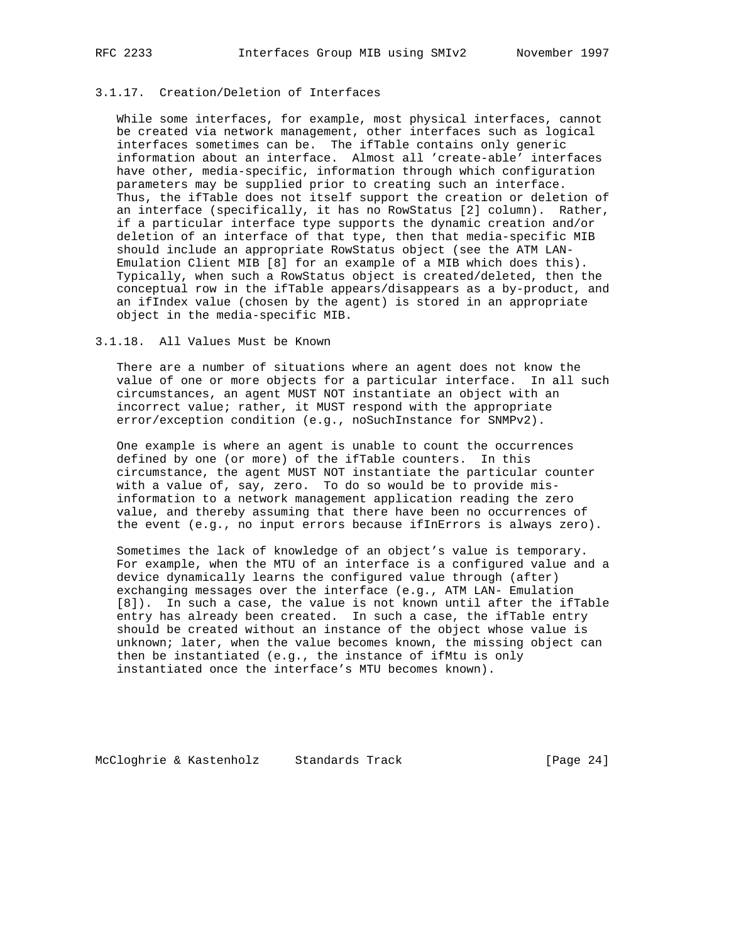## 3.1.17. Creation/Deletion of Interfaces

 While some interfaces, for example, most physical interfaces, cannot be created via network management, other interfaces such as logical interfaces sometimes can be. The ifTable contains only generic information about an interface. Almost all 'create-able' interfaces have other, media-specific, information through which configuration parameters may be supplied prior to creating such an interface. Thus, the ifTable does not itself support the creation or deletion of an interface (specifically, it has no RowStatus [2] column). Rather, if a particular interface type supports the dynamic creation and/or deletion of an interface of that type, then that media-specific MIB should include an appropriate RowStatus object (see the ATM LAN- Emulation Client MIB [8] for an example of a MIB which does this). Typically, when such a RowStatus object is created/deleted, then the conceptual row in the ifTable appears/disappears as a by-product, and an ifIndex value (chosen by the agent) is stored in an appropriate object in the media-specific MIB.

## 3.1.18. All Values Must be Known

 There are a number of situations where an agent does not know the value of one or more objects for a particular interface. In all such circumstances, an agent MUST NOT instantiate an object with an incorrect value; rather, it MUST respond with the appropriate error/exception condition (e.g., noSuchInstance for SNMPv2).

 One example is where an agent is unable to count the occurrences defined by one (or more) of the ifTable counters. In this circumstance, the agent MUST NOT instantiate the particular counter with a value of, say, zero. To do so would be to provide mis information to a network management application reading the zero value, and thereby assuming that there have been no occurrences of the event (e.g., no input errors because ifInErrors is always zero).

 Sometimes the lack of knowledge of an object's value is temporary. For example, when the MTU of an interface is a configured value and a device dynamically learns the configured value through (after) exchanging messages over the interface (e.g., ATM LAN- Emulation [8]). In such a case, the value is not known until after the ifTable entry has already been created. In such a case, the ifTable entry should be created without an instance of the object whose value is unknown; later, when the value becomes known, the missing object can then be instantiated (e.g., the instance of ifMtu is only instantiated once the interface's MTU becomes known).

McCloghrie & Kastenholz Standards Track [Page 24]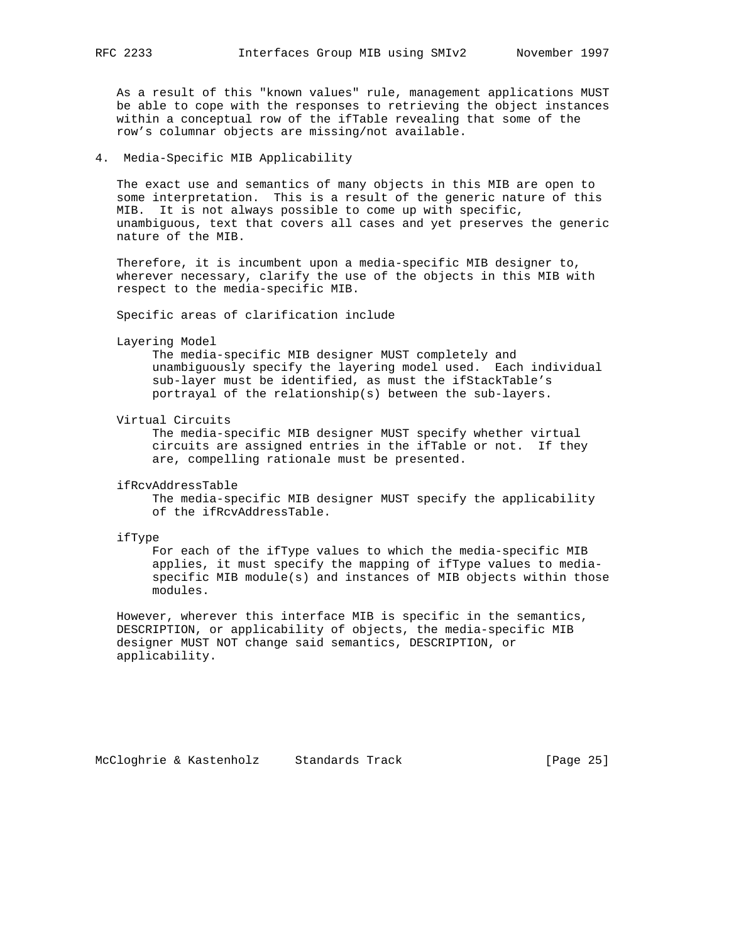As a result of this "known values" rule, management applications MUST be able to cope with the responses to retrieving the object instances within a conceptual row of the ifTable revealing that some of the row's columnar objects are missing/not available.

4. Media-Specific MIB Applicability

 The exact use and semantics of many objects in this MIB are open to some interpretation. This is a result of the generic nature of this MIB. It is not always possible to come up with specific, unambiguous, text that covers all cases and yet preserves the generic nature of the MIB.

 Therefore, it is incumbent upon a media-specific MIB designer to, wherever necessary, clarify the use of the objects in this MIB with respect to the media-specific MIB.

Specific areas of clarification include

Layering Model

 The media-specific MIB designer MUST completely and unambiguously specify the layering model used. Each individual sub-layer must be identified, as must the ifStackTable's portrayal of the relationship(s) between the sub-layers.

Virtual Circuits

 The media-specific MIB designer MUST specify whether virtual circuits are assigned entries in the ifTable or not. If they are, compelling rationale must be presented.

ifRcvAddressTable

 The media-specific MIB designer MUST specify the applicability of the ifRcvAddressTable.

ifType

 For each of the ifType values to which the media-specific MIB applies, it must specify the mapping of ifType values to media specific MIB module(s) and instances of MIB objects within those modules.

 However, wherever this interface MIB is specific in the semantics, DESCRIPTION, or applicability of objects, the media-specific MIB designer MUST NOT change said semantics, DESCRIPTION, or applicability.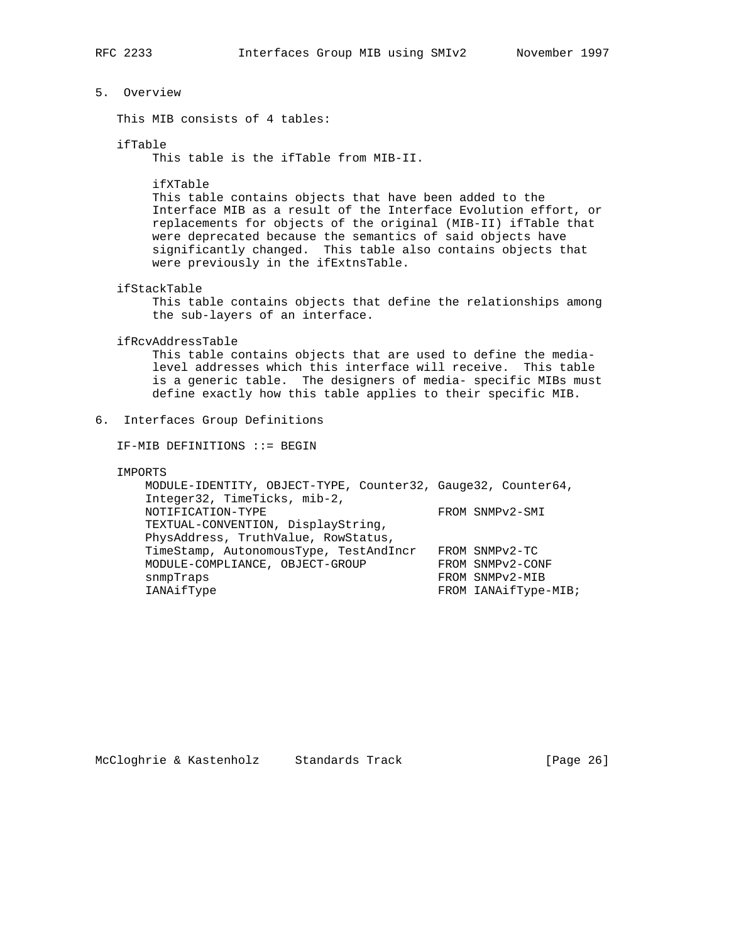# 5. Overview

This MIB consists of 4 tables:

#### ifTable

This table is the ifTable from MIB-II.

ifXTable

 This table contains objects that have been added to the Interface MIB as a result of the Interface Evolution effort, or replacements for objects of the original (MIB-II) ifTable that were deprecated because the semantics of said objects have significantly changed. This table also contains objects that were previously in the ifExtnsTable.

ifStackTable

 This table contains objects that define the relationships among the sub-layers of an interface.

#### ifRcvAddressTable

 This table contains objects that are used to define the media level addresses which this interface will receive. This table is a generic table. The designers of media- specific MIBs must define exactly how this table applies to their specific MIB.

6. Interfaces Group Definitions

IF-MIB DEFINITIONS ::= BEGIN

IMPORTS

 MODULE-IDENTITY, OBJECT-TYPE, Counter32, Gauge32, Counter64, Integer32, TimeTicks, mib-2, NOTIFICATION-TYPE FROM SNMPv2-SMI TEXTUAL-CONVENTION, DisplayString, PhysAddress, TruthValue, RowStatus, TimeStamp, AutonomousType, TestAndIncr FROM SNMPv2-TC MODULE-COMPLIANCE, OBJECT-GROUP FROM SNMPv2-CONF snmpTraps FROM SNMPv2-MIB IANAifType FROM IANAifType-MIB;

McCloghrie & Kastenholz Standards Track [Page 26]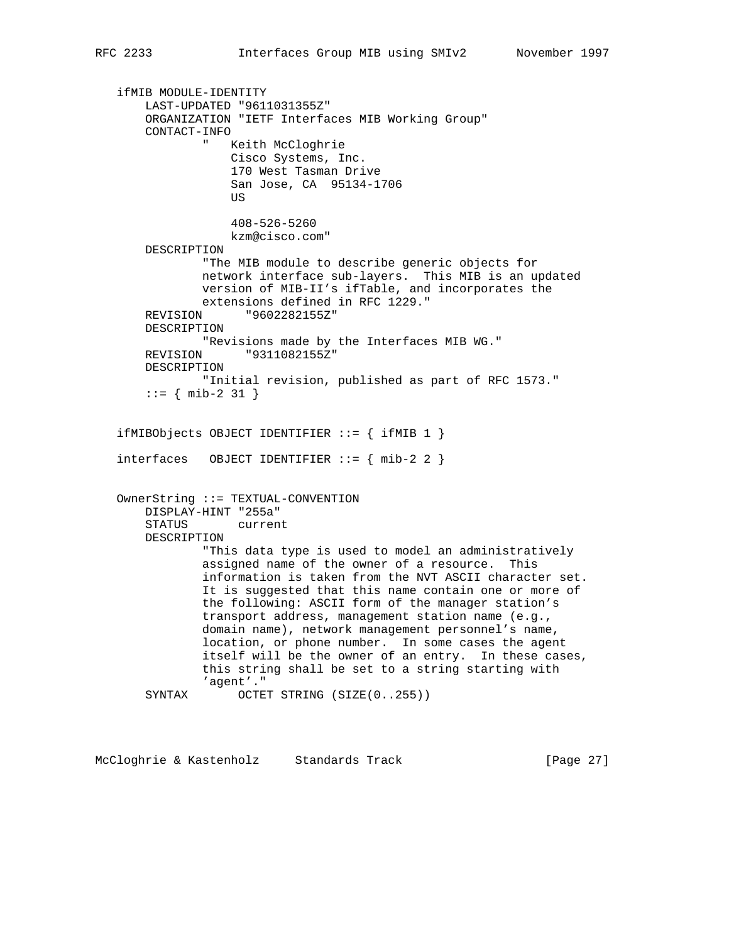ifMIB MODULE-IDENTITY LAST-UPDATED "9611031355Z" ORGANIZATION "IETF Interfaces MIB Working Group" CONTACT-INFO Keith McCloghrie Cisco Systems, Inc. 170 West Tasman Drive San Jose, CA 95134-1706 **US** *US*  408-526-5260 kzm@cisco.com" DESCRIPTION "The MIB module to describe generic objects for network interface sub-layers. This MIB is an updated version of MIB-II's ifTable, and incorporates the extensions defined in RFC 1229." REVISION "9602282155Z" DESCRIPTION "Revisions made by the Interfaces MIB WG." REVISION "9311082155Z" DESCRIPTION "Initial revision, published as part of RFC 1573."  $::=$  { mib-2 31 } ifMIBObjects OBJECT IDENTIFIER ::= { ifMIB 1 } interfaces OBJECT IDENTIFIER  $:= \{ mib-2 2 \}$  OwnerString ::= TEXTUAL-CONVENTION DISPLAY-HINT "255a" STATUS current DESCRIPTION "This data type is used to model an administratively assigned name of the owner of a resource. This information is taken from the NVT ASCII character set. It is suggested that this name contain one or more of the following: ASCII form of the manager station's transport address, management station name (e.g., domain name), network management personnel's name, location, or phone number. In some cases the agent itself will be the owner of an entry. In these cases, this string shall be set to a string starting with 'agent'." SYNTAX OCTET STRING (SIZE(0..255))

McCloghrie & Kastenholz Standards Track [Page 27]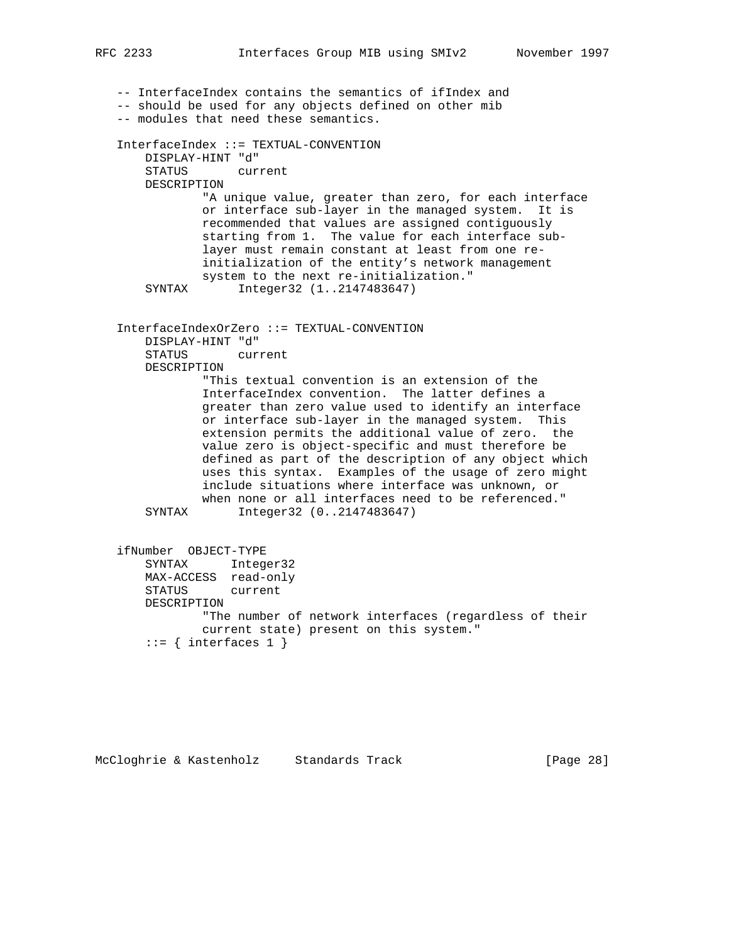-- InterfaceIndex contains the semantics of ifIndex and -- should be used for any objects defined on other mib -- modules that need these semantics. InterfaceIndex ::= TEXTUAL-CONVENTION DISPLAY-HINT "d" STATUS current DESCRIPTION "A unique value, greater than zero, for each interface or interface sub-layer in the managed system. It is recommended that values are assigned contiguously starting from 1. The value for each interface sub layer must remain constant at least from one re initialization of the entity's network management system to the next re-initialization." SYNTAX Integer32 (1..2147483647) InterfaceIndexOrZero ::= TEXTUAL-CONVENTION DISPLAY-HINT "d" STATUS current DESCRIPTION "This textual convention is an extension of the InterfaceIndex convention. The latter defines a greater than zero value used to identify an interface or interface sub-layer in the managed system. This extension permits the additional value of zero. the value zero is object-specific and must therefore be defined as part of the description of any object which uses this syntax. Examples of the usage of zero might include situations where interface was unknown, or when none or all interfaces need to be referenced." SYNTAX Integer32 (0..2147483647) ifNumber OBJECT-TYPE SYNTAX Integer32 MAX-ACCESS read-only STATUS current DESCRIPTION "The number of network interfaces (regardless of their current state) present on this system."

```
::= { interfaces 1 }
```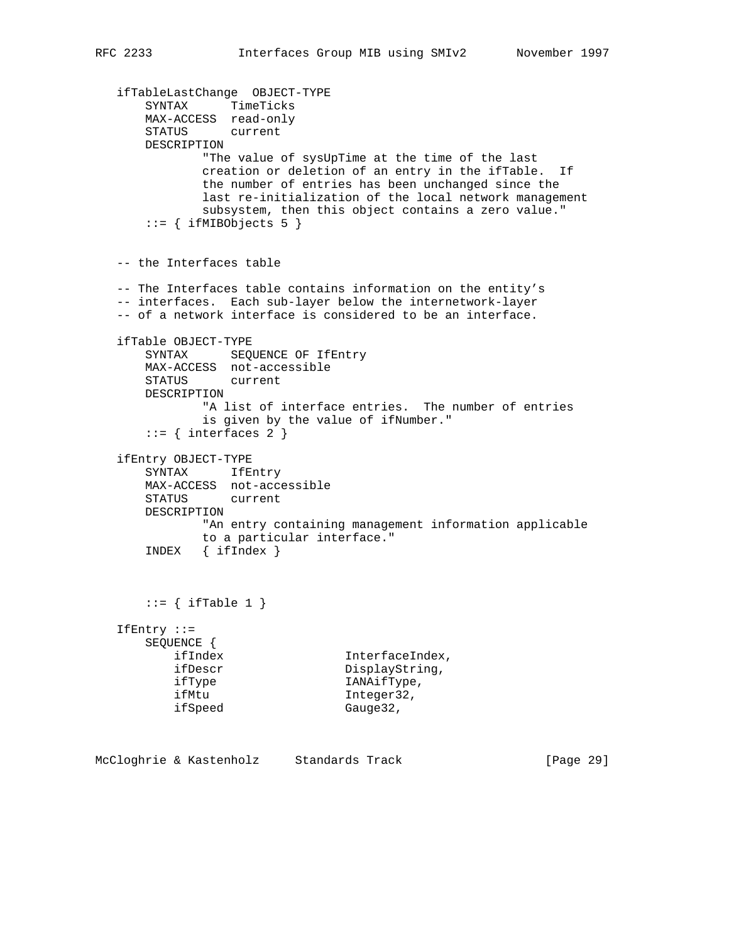```
 ifTableLastChange OBJECT-TYPE
 SYNTAX TimeTicks
 MAX-ACCESS read-only
      STATUS current
      DESCRIPTION
              "The value of sysUpTime at the time of the last
             creation or deletion of an entry in the ifTable. If
              the number of entries has been unchanged since the
              last re-initialization of the local network management
              subsystem, then this object contains a zero value."
      ::= { ifMIBObjects 5 }
   -- the Interfaces table
   -- The Interfaces table contains information on the entity's
   -- interfaces. Each sub-layer below the internetwork-layer
   -- of a network interface is considered to be an interface.
   ifTable OBJECT-TYPE
     SYNTAX SEQUENCE OF IfEntry
      MAX-ACCESS not-accessible
      STATUS current
      DESCRIPTION
              "A list of interface entries. The number of entries
              is given by the value of ifNumber."
      ::= { interfaces 2 }
   ifEntry OBJECT-TYPE
      SYNTAX IfEntry
      MAX-ACCESS not-accessible
      STATUS current
      DESCRIPTION
             "An entry containing management information applicable
             to a particular interface."
       INDEX { ifIndex }
      ::= { ifTable 1 }
   IfEntry ::=
      SEQUENCE {
ifIndex InterfaceIndex,
ifDescr DisplayString,
 ifType IANAifType,
 ifMtu Integer32,
ifSpeed Gauge32,
```
McCloghrie & Kastenholz Standards Track [Page 29]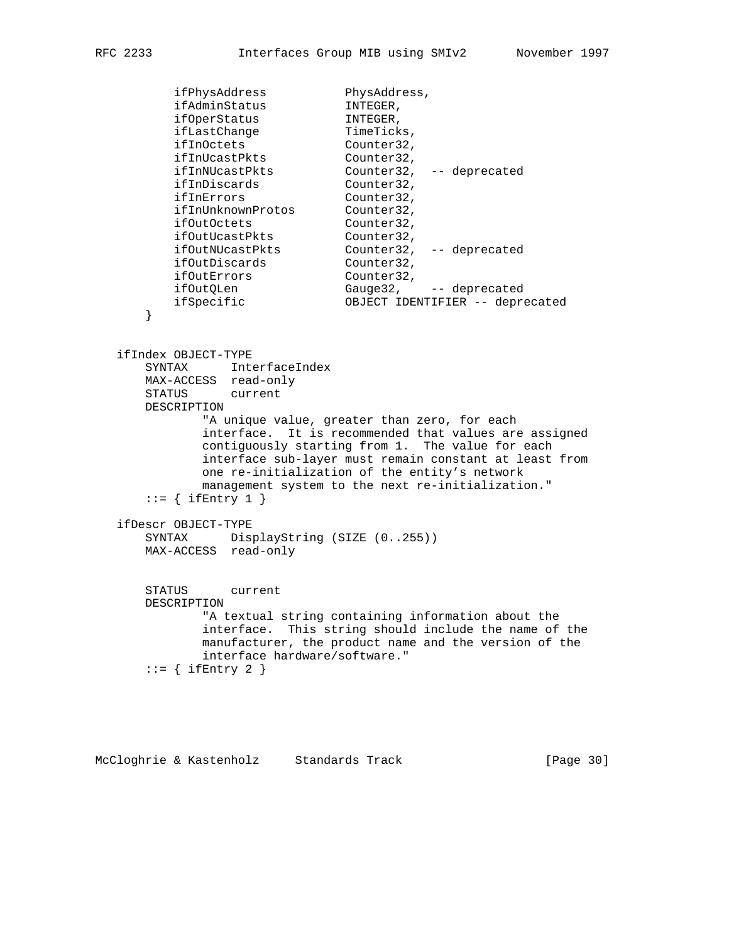```
ifPhysAddress PhysAddress,
ifAdminStatus INTEGER,
ifOperStatus INTEGER,
ifLastChange TimeTicks,
ifInOctets Counter32,
 ifInUcastPkts Counter32,
 ifInNUcastPkts Counter32, -- deprecated
ifInDiscards Counter32,
ifInErrors Counter32,
 ifInUnknownProtos Counter32,
ifOutOctets Counter32,
ifOutUcastPkts Counter32,
 ifOutNUcastPkts Counter32, -- deprecated
ifOutDiscards Counter32,
ifOutErrors Counter32,
ifOutQLen Gauge32, -- deprecated
 ifSpecific OBJECT IDENTIFIER -- deprecated
```
 ifIndex OBJECT-TYPE SYNTAX InterfaceIndex MAX-ACCESS read-only STATUS current DESCRIPTION "A unique value, greater than zero, for each interface. It is recommended that values are assigned contiguously starting from 1. The value for each interface sub-layer must remain constant at least from one re-initialization of the entity's network management system to the next re-initialization."  $::=$  { ifEntry 1 } ifDescr OBJECT-TYPE SYNTAX DisplayString (SIZE (0..255)) MAX-ACCESS read-only STATUS current DESCRIPTION "A textual string containing information about the interface. This string should include the name of the manufacturer, the product name and the version of the interface hardware/software."  $::=$  { ifEntry 2 }

}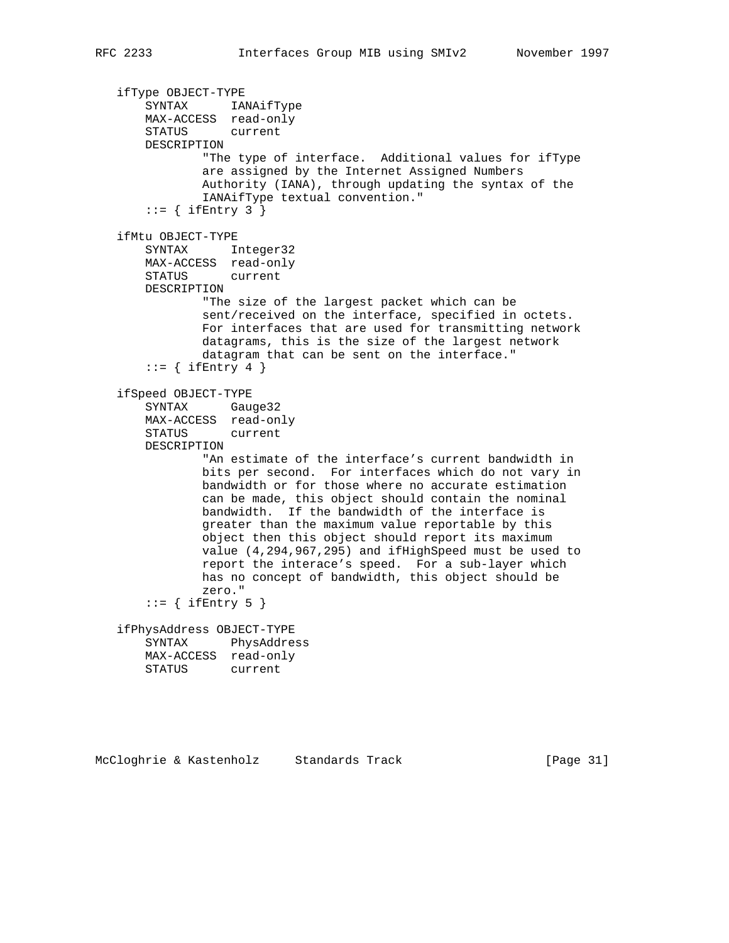```
 ifType OBJECT-TYPE
 SYNTAX IANAifType
 MAX-ACCESS read-only
       STATUS current
       DESCRIPTION
               "The type of interface. Additional values for ifType
               are assigned by the Internet Assigned Numbers
               Authority (IANA), through updating the syntax of the
               IANAifType textual convention."
      ::= { ifEntry 3 }
   ifMtu OBJECT-TYPE
       SYNTAX Integer32
       MAX-ACCESS read-only
       STATUS current
       DESCRIPTION
               "The size of the largest packet which can be
               sent/received on the interface, specified in octets.
               For interfaces that are used for transmitting network
               datagrams, this is the size of the largest network
               datagram that can be sent on the interface."
      ::= { ifEntry 4 }
   ifSpeed OBJECT-TYPE
       SYNTAX Gauge32
       MAX-ACCESS read-only
       STATUS current
       DESCRIPTION
               "An estimate of the interface's current bandwidth in
               bits per second. For interfaces which do not vary in
               bandwidth or for those where no accurate estimation
               can be made, this object should contain the nominal
               bandwidth. If the bandwidth of the interface is
               greater than the maximum value reportable by this
               object then this object should report its maximum
               value (4,294,967,295) and ifHighSpeed must be used to
               report the interace's speed. For a sub-layer which
               has no concept of bandwidth, this object should be
               zero."
      ::= { ifEntry 5 }
   ifPhysAddress OBJECT-TYPE
       SYNTAX PhysAddress
       MAX-ACCESS read-only
       STATUS current
```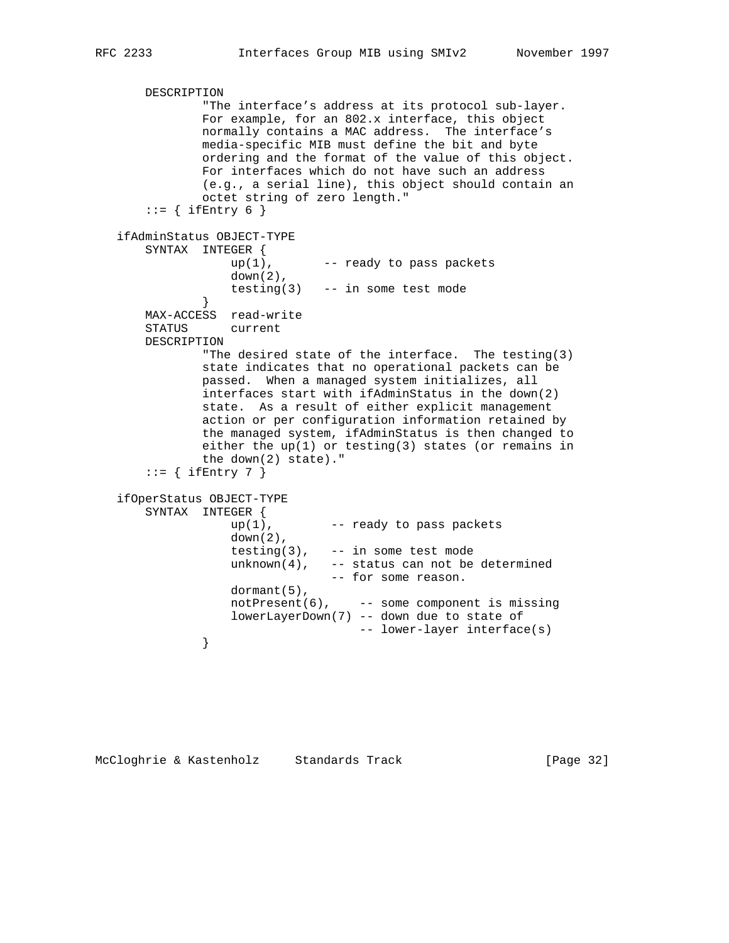```
 DESCRIPTION
               "The interface's address at its protocol sub-layer.
               For example, for an 802.x interface, this object
               normally contains a MAC address. The interface's
               media-specific MIB must define the bit and byte
               ordering and the format of the value of this object.
               For interfaces which do not have such an address
               (e.g., a serial line), this object should contain an
               octet string of zero length."
      ::= { ifEntry 6 }
   ifAdminStatus OBJECT-TYPE
       SYNTAX INTEGER {
                  up(1), --- ready to pass packets
                  \frac{1}{\text{down}(2)}, testing(3) -- in some test mode
 }
       MAX-ACCESS read-write
       STATUS current
       DESCRIPTION
               "The desired state of the interface. The testing(3)
               state indicates that no operational packets can be
               passed. When a managed system initializes, all
               interfaces start with ifAdminStatus in the down(2)
               state. As a result of either explicit management
               action or per configuration information retained by
               the managed system, ifAdminStatus is then changed to
               either the up(1) or testing(3) states (or remains in
               the down(2) state)."
      ::= { ifEntry 7 }
   ifOperStatus OBJECT-TYPE
       SYNTAX INTEGER {
                  up(1), -- ready to pass packets
                   down(2),
                  testing(3), -- in some test mode
                  unknown(4), -- status can not be determined
                                -- for some reason.
                  dormant(5),
                  notPresent(6), -- some component is missing
                   lowerLayerDown(7) -- down due to state of
              -- lower-layer interface(s)
 }
```
McCloghrie & Kastenholz Standards Track [Page 32]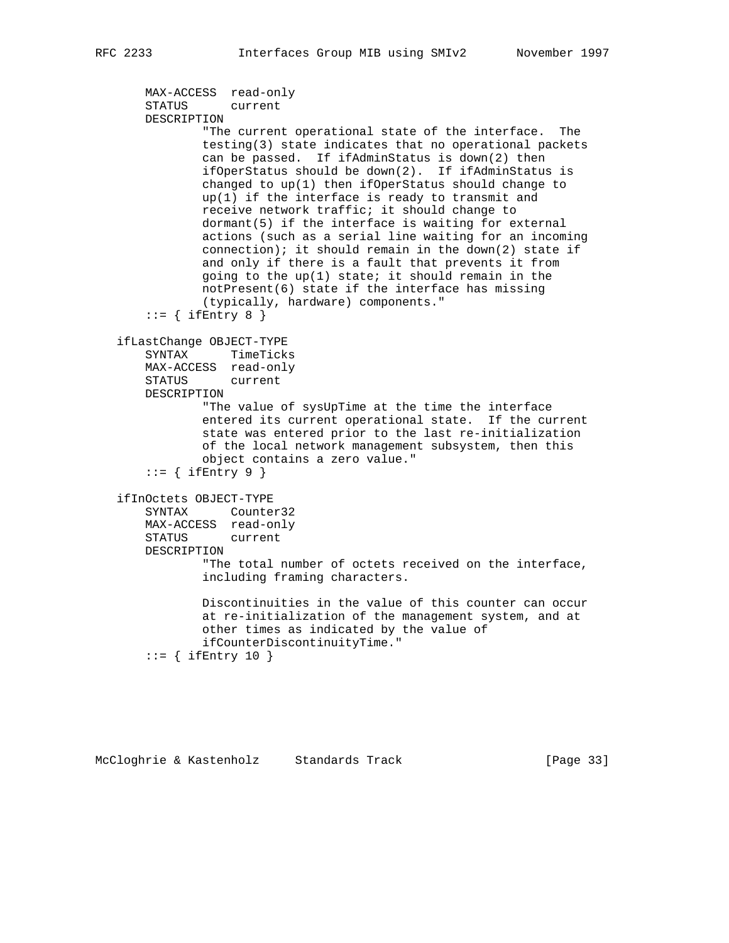```
 MAX-ACCESS read-only
    STATUS current
    DESCRIPTION
             "The current operational state of the interface. The
             testing(3) state indicates that no operational packets
             can be passed. If ifAdminStatus is down(2) then
             ifOperStatus should be down(2). If ifAdminStatus is
             changed to up(1) then ifOperStatus should change to
             up(1) if the interface is ready to transmit and
             receive network traffic; it should change to
            dormant(5) if the interface is waiting for external
             actions (such as a serial line waiting for an incoming
           connection); it should remain in the down(2) state if
             and only if there is a fault that prevents it from
            going to the up(1) state; it should remain in the
             notPresent(6) state if the interface has missing
             (typically, hardware) components."
    ::= { ifEntry 8 }
 ifLastChange OBJECT-TYPE
    SYNTAX TimeTicks
    MAX-ACCESS read-only
    STATUS current
    DESCRIPTION
             "The value of sysUpTime at the time the interface
             entered its current operational state. If the current
             state was entered prior to the last re-initialization
            of the local network management subsystem, then this
             object contains a zero value."
    ::= { ifEntry 9 }
 ifInOctets OBJECT-TYPE
    SYNTAX Counter32
    MAX-ACCESS read-only
    STATUS current
    DESCRIPTION
             "The total number of octets received on the interface,
             including framing characters.
             Discontinuities in the value of this counter can occur
             at re-initialization of the management system, and at
             other times as indicated by the value of
             ifCounterDiscontinuityTime."
    ::= { ifEntry 10 }
```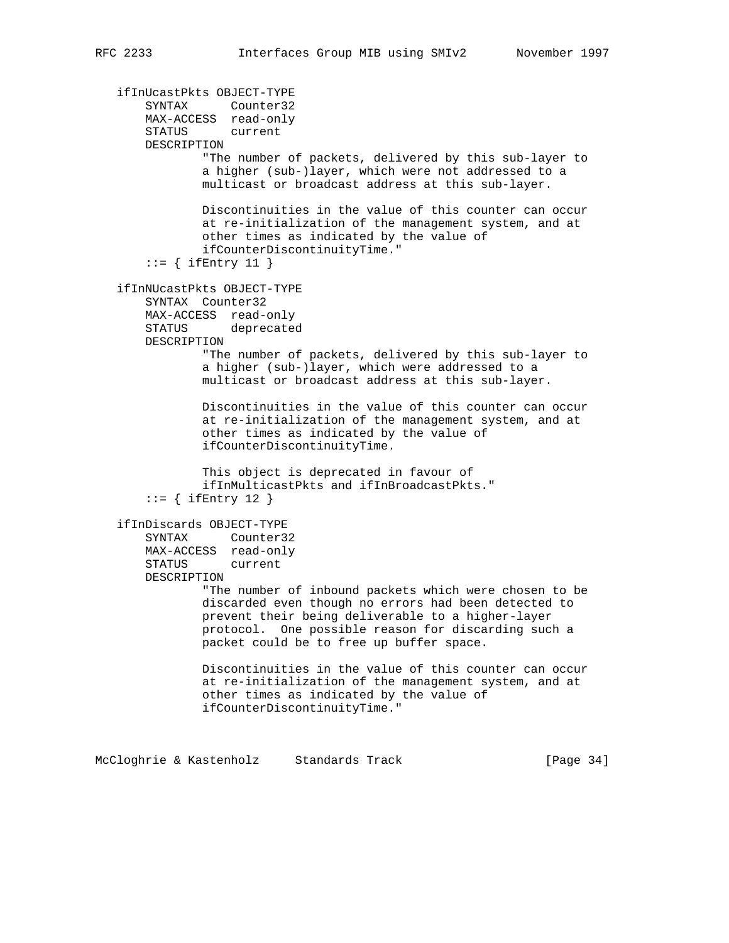```
 ifInUcastPkts OBJECT-TYPE
 SYNTAX Counter32
 MAX-ACCESS read-only
       STATUS current
       DESCRIPTION
               "The number of packets, delivered by this sub-layer to
               a higher (sub-)layer, which were not addressed to a
               multicast or broadcast address at this sub-layer.
               Discontinuities in the value of this counter can occur
               at re-initialization of the management system, and at
               other times as indicated by the value of
               ifCounterDiscontinuityTime."
      ::= { ifEntry 11 }
   ifInNUcastPkts OBJECT-TYPE
       SYNTAX Counter32
       MAX-ACCESS read-only
       STATUS deprecated
       DESCRIPTION
               "The number of packets, delivered by this sub-layer to
               a higher (sub-)layer, which were addressed to a
               multicast or broadcast address at this sub-layer.
               Discontinuities in the value of this counter can occur
               at re-initialization of the management system, and at
               other times as indicated by the value of
               ifCounterDiscontinuityTime.
               This object is deprecated in favour of
               ifInMulticastPkts and ifInBroadcastPkts."
      ::= { ifEntry 12 }
   ifInDiscards OBJECT-TYPE
       SYNTAX Counter32
       MAX-ACCESS read-only
       STATUS current
       DESCRIPTION
               "The number of inbound packets which were chosen to be
               discarded even though no errors had been detected to
               prevent their being deliverable to a higher-layer
               protocol. One possible reason for discarding such a
               packet could be to free up buffer space.
               Discontinuities in the value of this counter can occur
               at re-initialization of the management system, and at
               other times as indicated by the value of
               ifCounterDiscontinuityTime."
```
McCloghrie & Kastenholz Standards Track [Page 34]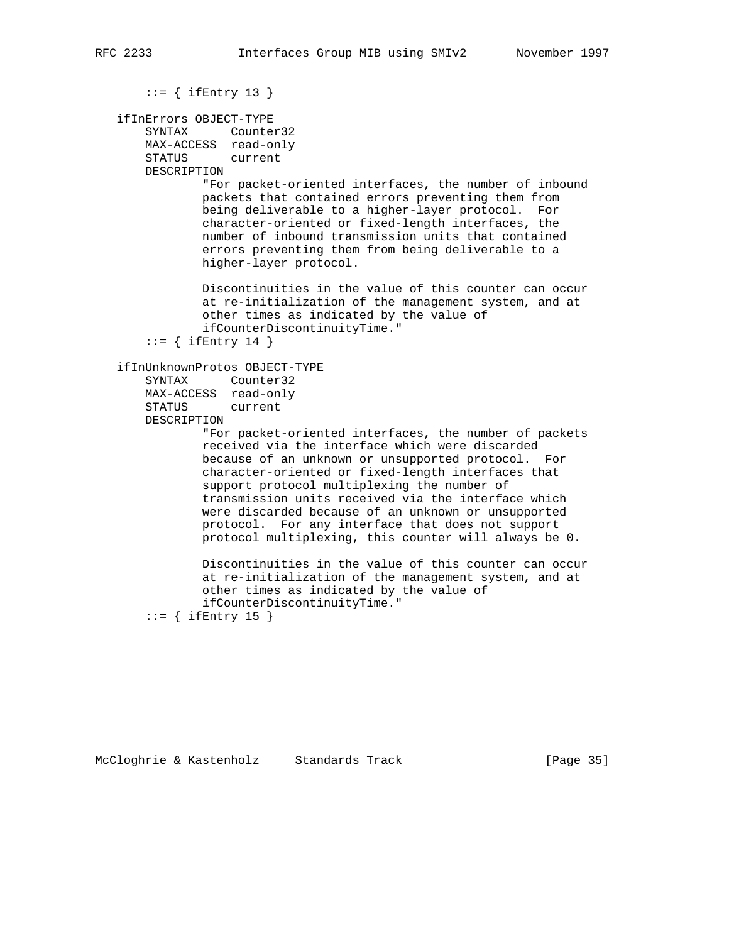```
 ::= { ifEntry 13 }
```

```
 ifInErrors OBJECT-TYPE
    SYNTAX Counter32
    MAX-ACCESS read-only
    STATUS current
```
DESCRIPTION

 "For packet-oriented interfaces, the number of inbound packets that contained errors preventing them from being deliverable to a higher-layer protocol. For character-oriented or fixed-length interfaces, the number of inbound transmission units that contained errors preventing them from being deliverable to a higher-layer protocol.

 Discontinuities in the value of this counter can occur at re-initialization of the management system, and at other times as indicated by the value of ifCounterDiscontinuityTime."

```
::= { ifEntry 14 }
```

```
 ifInUnknownProtos OBJECT-TYPE
```

```
 SYNTAX Counter32
 MAX-ACCESS read-only
 STATUS current
 DESCRIPTION
```
 "For packet-oriented interfaces, the number of packets received via the interface which were discarded because of an unknown or unsupported protocol. For character-oriented or fixed-length interfaces that support protocol multiplexing the number of transmission units received via the interface which were discarded because of an unknown or unsupported protocol. For any interface that does not support protocol multiplexing, this counter will always be 0.

 Discontinuities in the value of this counter can occur at re-initialization of the management system, and at other times as indicated by the value of ifCounterDiscontinuityTime."

 $::=$  { ifEntry 15 }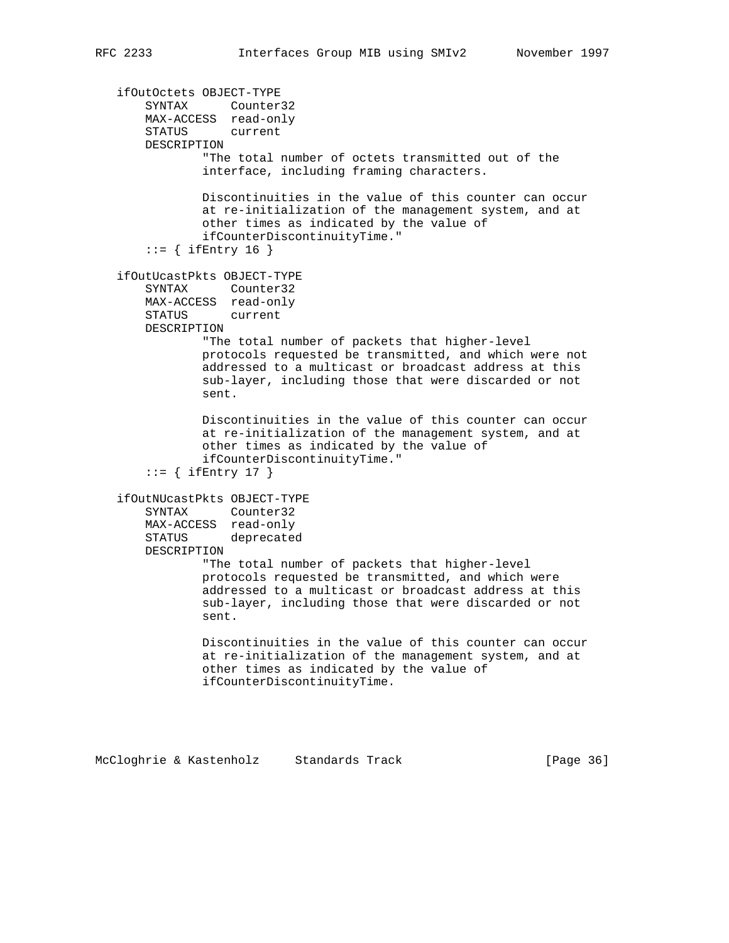```
 ifOutOctets OBJECT-TYPE
 SYNTAX Counter32
 MAX-ACCESS read-only
       STATUS current
       DESCRIPTION
               "The total number of octets transmitted out of the
               interface, including framing characters.
               Discontinuities in the value of this counter can occur
               at re-initialization of the management system, and at
               other times as indicated by the value of
               ifCounterDiscontinuityTime."
      ::= { ifEntry 16 }
   ifOutUcastPkts OBJECT-TYPE
       SYNTAX Counter32
       MAX-ACCESS read-only
       STATUS current
       DESCRIPTION
               "The total number of packets that higher-level
               protocols requested be transmitted, and which were not
               addressed to a multicast or broadcast address at this
               sub-layer, including those that were discarded or not
               sent.
               Discontinuities in the value of this counter can occur
               at re-initialization of the management system, and at
               other times as indicated by the value of
               ifCounterDiscontinuityTime."
      ::= { ifEntry 17 }
   ifOutNUcastPkts OBJECT-TYPE
       SYNTAX Counter32
       MAX-ACCESS read-only
       STATUS deprecated
       DESCRIPTION
               "The total number of packets that higher-level
               protocols requested be transmitted, and which were
               addressed to a multicast or broadcast address at this
               sub-layer, including those that were discarded or not
               sent.
               Discontinuities in the value of this counter can occur
               at re-initialization of the management system, and at
               other times as indicated by the value of
               ifCounterDiscontinuityTime.
```
McCloghrie & Kastenholz Standards Track [Page 36]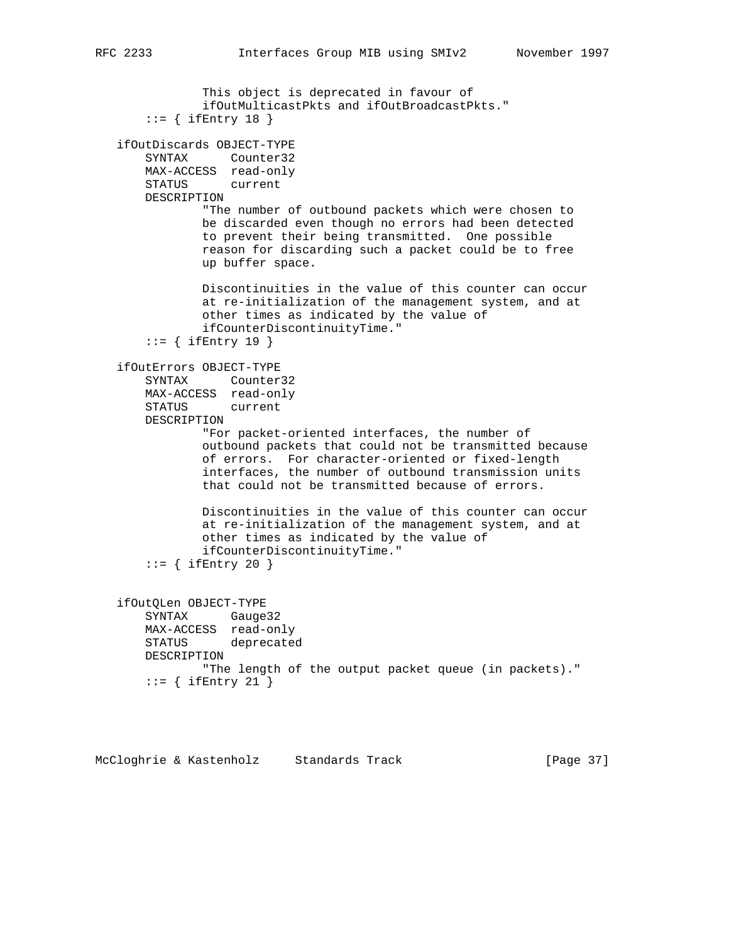```
 This object is deprecated in favour of
               ifOutMulticastPkts and ifOutBroadcastPkts."
      ::= { ifEntry 18 }
   ifOutDiscards OBJECT-TYPE
       SYNTAX Counter32
       MAX-ACCESS read-only
       STATUS current
       DESCRIPTION
               "The number of outbound packets which were chosen to
               be discarded even though no errors had been detected
               to prevent their being transmitted. One possible
               reason for discarding such a packet could be to free
               up buffer space.
               Discontinuities in the value of this counter can occur
               at re-initialization of the management system, and at
               other times as indicated by the value of
               ifCounterDiscontinuityTime."
      ::= { ifEntry 19 }
   ifOutErrors OBJECT-TYPE
       SYNTAX Counter32
       MAX-ACCESS read-only
       STATUS current
       DESCRIPTION
               "For packet-oriented interfaces, the number of
               outbound packets that could not be transmitted because
 of errors. For character-oriented or fixed-length
 interfaces, the number of outbound transmission units
               that could not be transmitted because of errors.
               Discontinuities in the value of this counter can occur
               at re-initialization of the management system, and at
               other times as indicated by the value of
               ifCounterDiscontinuityTime."
      ::= { ifEntry 20 }
   ifOutQLen OBJECT-TYPE
       SYNTAX Gauge32
       MAX-ACCESS read-only
       STATUS deprecated
       DESCRIPTION
               "The length of the output packet queue (in packets)."
      ::= { ifEntry 21 }
```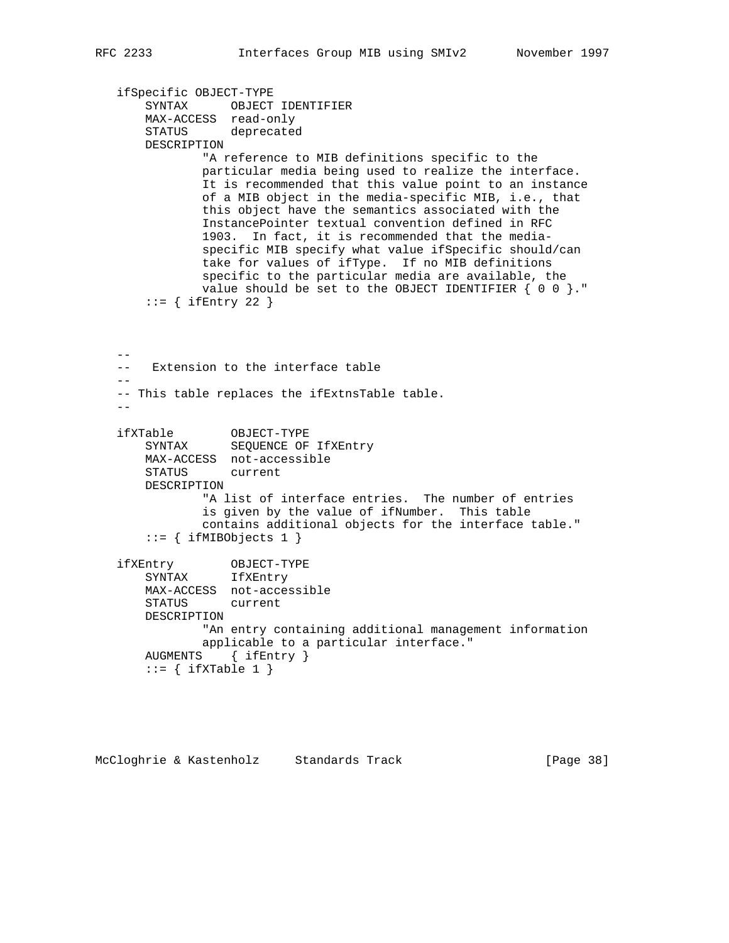```
 ifSpecific OBJECT-TYPE
 SYNTAX OBJECT IDENTIFIER
 MAX-ACCESS read-only
       STATUS deprecated
       DESCRIPTION
               "A reference to MIB definitions specific to the
               particular media being used to realize the interface.
               It is recommended that this value point to an instance
               of a MIB object in the media-specific MIB, i.e., that
               this object have the semantics associated with the
               InstancePointer textual convention defined in RFC
               1903. In fact, it is recommended that the media-
               specific MIB specify what value ifSpecific should/can
               take for values of ifType. If no MIB definitions
               specific to the particular media are available, the
               value should be set to the OBJECT IDENTIFIER { 0 0 }."
      ::= { ifEntry 22 }
  - -- Extension to the interface table
 --
   -- This table replaces the ifExtnsTable table.
  - ifXTable OBJECT-TYPE
 SYNTAX SEQUENCE OF IfXEntry
       MAX-ACCESS not-accessible
       STATUS current
       DESCRIPTION
               "A list of interface entries. The number of entries
               is given by the value of ifNumber. This table
               contains additional objects for the interface table."
      ::= { ifMIBObjects 1 }
 ifXEntry OBJECT-TYPE
 SYNTAX IfXEntry
       MAX-ACCESS not-accessible
       STATUS current
       DESCRIPTION
               "An entry containing additional management information
               applicable to a particular interface."
       AUGMENTS { ifEntry }
      ::= { ifXTable 1 }
```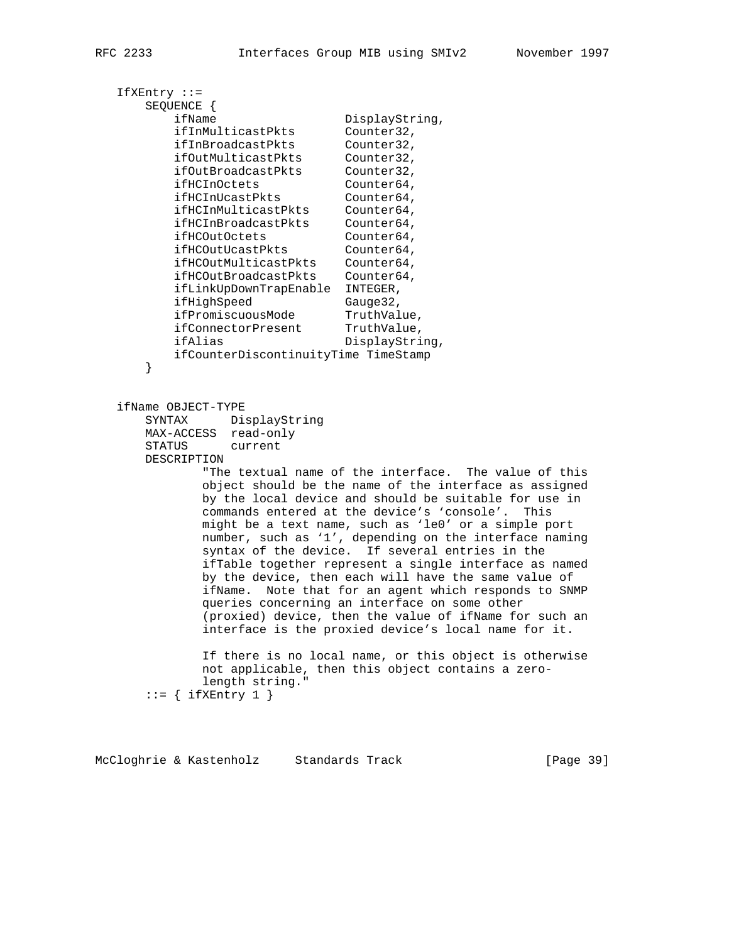```
 IfXEntry ::=
      SEQUENCE {
ifName DisplayString,
 ifInMulticastPkts Counter32,
 ifInBroadcastPkts Counter32,
 ifOutMulticastPkts Counter32,
 ifOutBroadcastPkts Counter32,
ifHCInOctets Counter64,
 ifHCInUcastPkts Counter64,
 ifHCInMulticastPkts Counter64,
 ifHCInBroadcastPkts Counter64,
 ifHCOutOctets Counter64,
ifHCOutUcastPkts Counter64,
 ifHCOutMulticastPkts Counter64,
 ifHCOutBroadcastPkts Counter64,
          ifLinkUpDownTrapEnable INTEGER,
         ifHighSpeed
ifPromiscuousMode TruthValue,
ifConnectorPresent TruthValue,
ifAlias DisplayString,
          ifCounterDiscontinuityTime TimeStamp
       }
   ifName OBJECT-TYPE
      SYNTAX DisplayString
      MAX-ACCESS read-only
      STATUS current
      DESCRIPTION
             "The textual name of the interface. The value of this
             object should be the name of the interface as assigned
             by the local device and should be suitable for use in
             commands entered at the device's 'console'. This
             might be a text name, such as 'le0' or a simple port
             number, such as '1', depending on the interface naming
             syntax of the device. If several entries in the
             ifTable together represent a single interface as named
             by the device, then each will have the same value of
             ifName. Note that for an agent which responds to SNMP
             queries concerning an interface on some other
             (proxied) device, then the value of ifName for such an
             interface is the proxied device's local name for it.
             If there is no local name, or this object is otherwise
             not applicable, then this object contains a zero-
             length string."
      ::= { ifXEntry 1 }
McCloghrie & Kastenholz Standards Track [Page 39]
```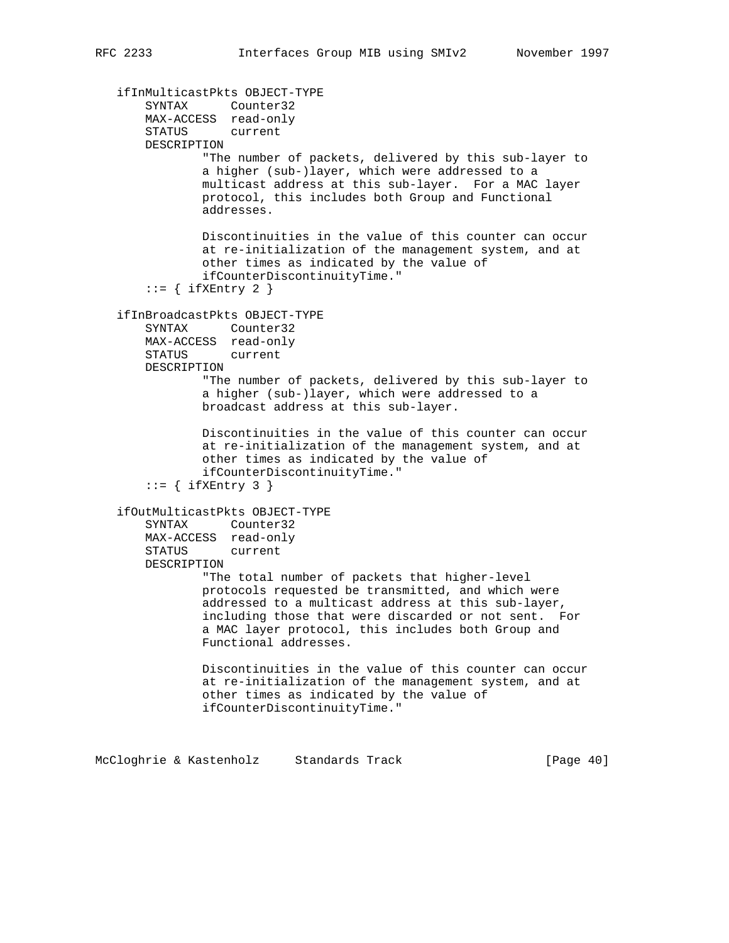```
 ifInMulticastPkts OBJECT-TYPE
 SYNTAX Counter32
 MAX-ACCESS read-only
       STATUS current
       DESCRIPTION
               "The number of packets, delivered by this sub-layer to
               a higher (sub-)layer, which were addressed to a
               multicast address at this sub-layer. For a MAC layer
               protocol, this includes both Group and Functional
               addresses.
               Discontinuities in the value of this counter can occur
               at re-initialization of the management system, and at
               other times as indicated by the value of
               ifCounterDiscontinuityTime."
      ::= { ifXEntry 2 }
   ifInBroadcastPkts OBJECT-TYPE
       SYNTAX Counter32
       MAX-ACCESS read-only
       STATUS current
       DESCRIPTION
                "The number of packets, delivered by this sub-layer to
               a higher (sub-)layer, which were addressed to a
               broadcast address at this sub-layer.
               Discontinuities in the value of this counter can occur
               at re-initialization of the management system, and at
               other times as indicated by the value of
               ifCounterDiscontinuityTime."
      ::= { ifXEntry 3 }
   ifOutMulticastPkts OBJECT-TYPE
       SYNTAX Counter32
       MAX-ACCESS read-only
       STATUS current
       DESCRIPTION
               "The total number of packets that higher-level
               protocols requested be transmitted, and which were
               addressed to a multicast address at this sub-layer,
               including those that were discarded or not sent. For
               a MAC layer protocol, this includes both Group and
               Functional addresses.
               Discontinuities in the value of this counter can occur
               at re-initialization of the management system, and at
               other times as indicated by the value of
               ifCounterDiscontinuityTime."
```
McCloghrie & Kastenholz Standards Track [Page 40]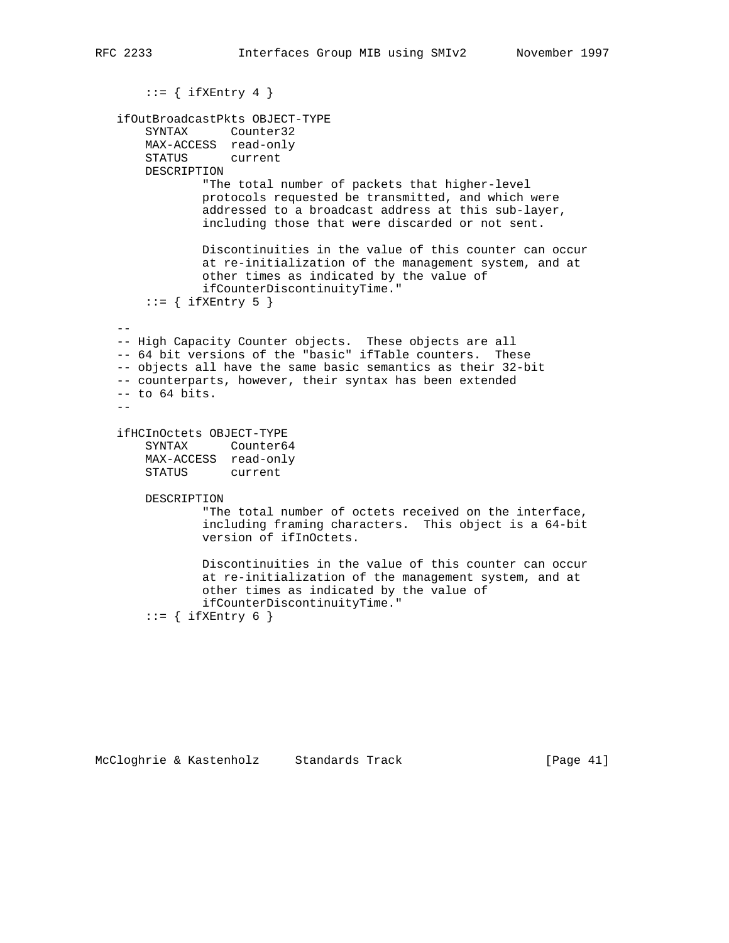```
::= { ifXEntry 4 }
   ifOutBroadcastPkts OBJECT-TYPE
       SYNTAX Counter32
       MAX-ACCESS read-only
       STATUS current
       DESCRIPTION
               "The total number of packets that higher-level
               protocols requested be transmitted, and which were
               addressed to a broadcast address at this sub-layer,
                including those that were discarded or not sent.
               Discontinuities in the value of this counter can occur
               at re-initialization of the management system, and at
               other times as indicated by the value of
               ifCounterDiscontinuityTime."
      ::= { ifXEntry 5 }
 --
   -- High Capacity Counter objects. These objects are all
   -- 64 bit versions of the "basic" ifTable counters. These
   -- objects all have the same basic semantics as their 32-bit
   -- counterparts, however, their syntax has been extended
   -- to 64 bits.
  - ifHCInOctets OBJECT-TYPE
       SYNTAX Counter64
       MAX-ACCESS read-only
       STATUS current
       DESCRIPTION
                "The total number of octets received on the interface,
               including framing characters. This object is a 64-bit
               version of ifInOctets.
               Discontinuities in the value of this counter can occur
               at re-initialization of the management system, and at
               other times as indicated by the value of
               ifCounterDiscontinuityTime."
       ::= { ifXEntry 6 }
```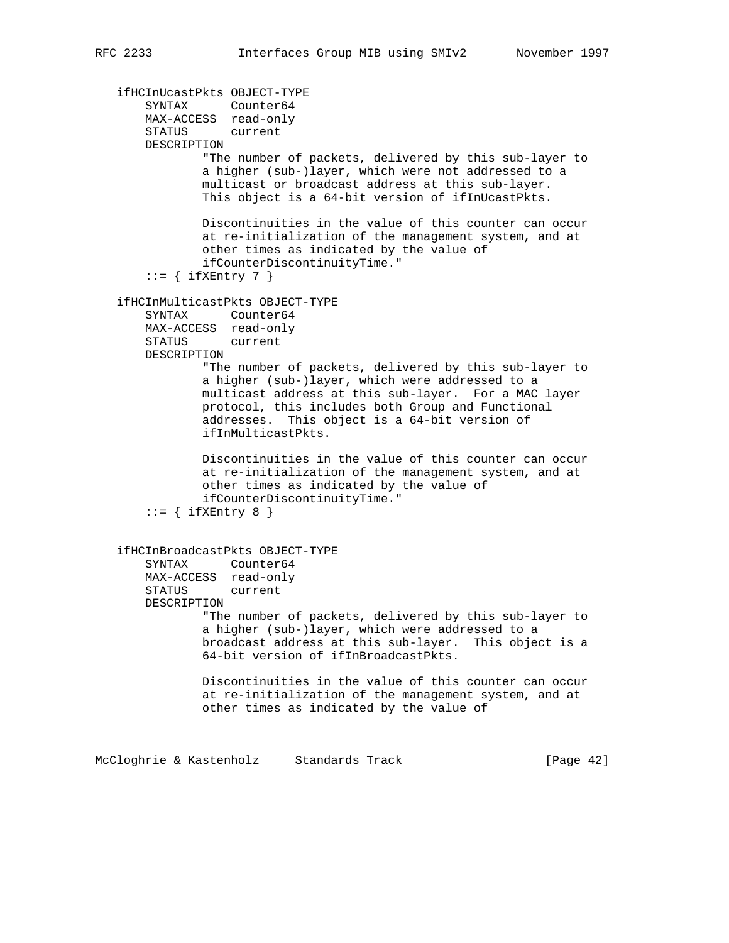```
 ifHCInUcastPkts OBJECT-TYPE
 SYNTAX Counter64
 MAX-ACCESS read-only
       STATUS current
       DESCRIPTION
               "The number of packets, delivered by this sub-layer to
               a higher (sub-)layer, which were not addressed to a
               multicast or broadcast address at this sub-layer.
               This object is a 64-bit version of ifInUcastPkts.
               Discontinuities in the value of this counter can occur
               at re-initialization of the management system, and at
               other times as indicated by the value of
               ifCounterDiscontinuityTime."
       ::= { ifXEntry 7 }
   ifHCInMulticastPkts OBJECT-TYPE
       SYNTAX Counter64
       MAX-ACCESS read-only
       STATUS current
       DESCRIPTION
               "The number of packets, delivered by this sub-layer to
               a higher (sub-)layer, which were addressed to a
               multicast address at this sub-layer. For a MAC layer
               protocol, this includes both Group and Functional
               addresses. This object is a 64-bit version of
               ifInMulticastPkts.
               Discontinuities in the value of this counter can occur
               at re-initialization of the management system, and at
               other times as indicated by the value of
               ifCounterDiscontinuityTime."
       ::= { ifXEntry 8 }
   ifHCInBroadcastPkts OBJECT-TYPE
       SYNTAX Counter64
       MAX-ACCESS read-only
       STATUS current
       DESCRIPTION
               "The number of packets, delivered by this sub-layer to
               a higher (sub-)layer, which were addressed to a
               broadcast address at this sub-layer. This object is a
               64-bit version of ifInBroadcastPkts.
               Discontinuities in the value of this counter can occur
               at re-initialization of the management system, and at
               other times as indicated by the value of
McCloghrie & Kastenholz Standards Track [Page 42]
```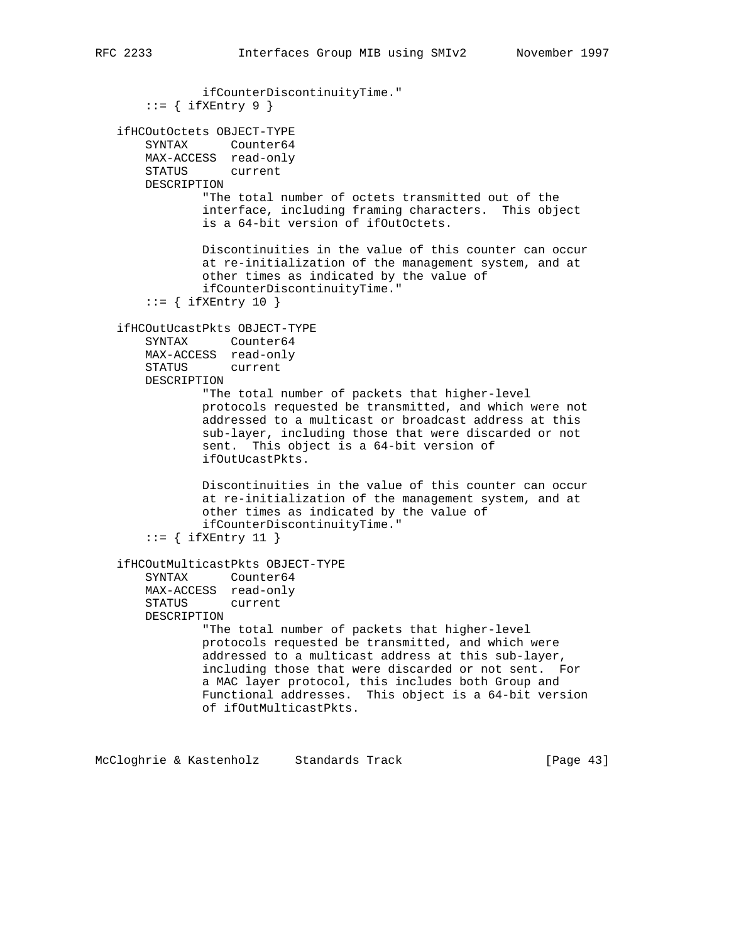```
 ifCounterDiscontinuityTime."
    ::= { ifXEntry 9 }
 ifHCOutOctets OBJECT-TYPE
     SYNTAX Counter64
    MAX-ACCESS read-only
    STATUS current
    DESCRIPTION
            "The total number of octets transmitted out of the
             interface, including framing characters. This object
             is a 64-bit version of ifOutOctets.
            Discontinuities in the value of this counter can occur
             at re-initialization of the management system, and at
             other times as indicated by the value of
             ifCounterDiscontinuityTime."
    ::= { ifXEntry 10 }
 ifHCOutUcastPkts OBJECT-TYPE
    SYNTAX Counter64
    MAX-ACCESS read-only
    STATUS current
    DESCRIPTION
            "The total number of packets that higher-level
            protocols requested be transmitted, and which were not
             addressed to a multicast or broadcast address at this
             sub-layer, including those that were discarded or not
             sent. This object is a 64-bit version of
             ifOutUcastPkts.
            Discontinuities in the value of this counter can occur
             at re-initialization of the management system, and at
             other times as indicated by the value of
             ifCounterDiscontinuityTime."
    ::= { ifXEntry 11 }
 ifHCOutMulticastPkts OBJECT-TYPE
     SYNTAX Counter64
    MAX-ACCESS read-only
    STATUS current
    DESCRIPTION
             "The total number of packets that higher-level
             protocols requested be transmitted, and which were
             addressed to a multicast address at this sub-layer,
             including those that were discarded or not sent. For
             a MAC layer protocol, this includes both Group and
            Functional addresses. This object is a 64-bit version
            of ifOutMulticastPkts.
```
McCloghrie & Kastenholz Standards Track [Page 43]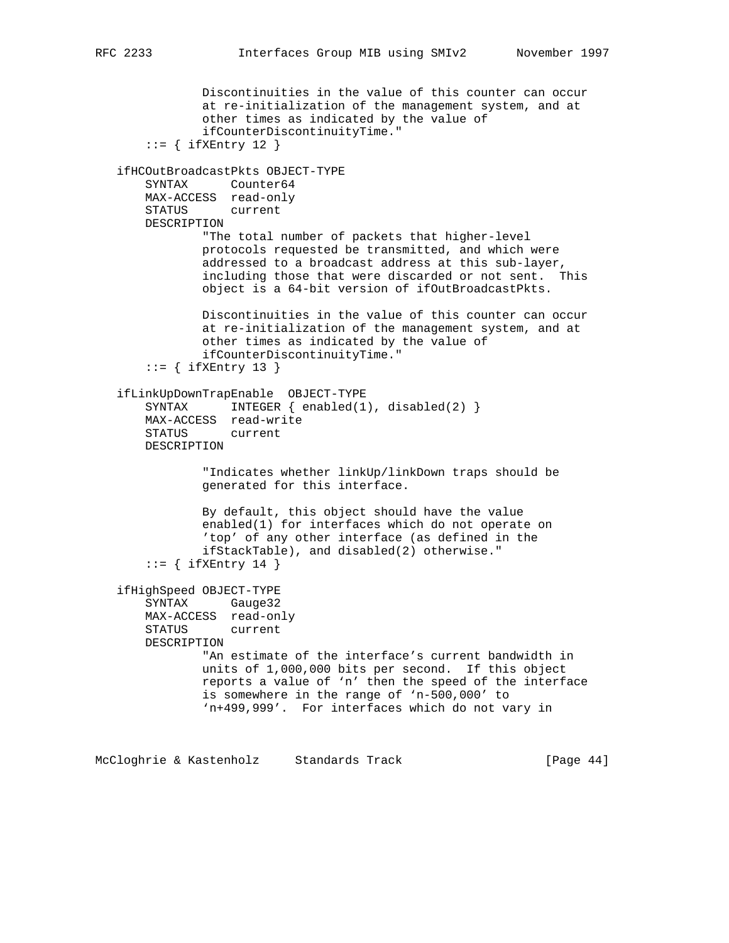```
 Discontinuities in the value of this counter can occur
               at re-initialization of the management system, and at
               other times as indicated by the value of
               ifCounterDiscontinuityTime."
       ::= { ifXEntry 12 }
   ifHCOutBroadcastPkts OBJECT-TYPE
       SYNTAX Counter64
       MAX-ACCESS read-only
       STATUS current
       DESCRIPTION
               "The total number of packets that higher-level
               protocols requested be transmitted, and which were
               addressed to a broadcast address at this sub-layer,
               including those that were discarded or not sent. This
               object is a 64-bit version of ifOutBroadcastPkts.
               Discontinuities in the value of this counter can occur
               at re-initialization of the management system, and at
               other times as indicated by the value of
               ifCounterDiscontinuityTime."
       ::= { ifXEntry 13 }
   ifLinkUpDownTrapEnable OBJECT-TYPE
      SYNTAX INTEGER { enabled(1), disabled(2) }
       MAX-ACCESS read-write
       STATUS current
       DESCRIPTION
                "Indicates whether linkUp/linkDown traps should be
               generated for this interface.
               By default, this object should have the value
               enabled(1) for interfaces which do not operate on
                'top' of any other interface (as defined in the
               ifStackTable), and disabled(2) otherwise."
       ::= { ifXEntry 14 }
   ifHighSpeed OBJECT-TYPE
       SYNTAX Gauge32
       MAX-ACCESS read-only
       STATUS current
       DESCRIPTION
               "An estimate of the interface's current bandwidth in
               units of 1,000,000 bits per second. If this object
               reports a value of 'n' then the speed of the interface
               is somewhere in the range of 'n-500,000' to
               'n+499,999'. For interfaces which do not vary in
McCloghrie & Kastenholz Standards Track [Page 44]
```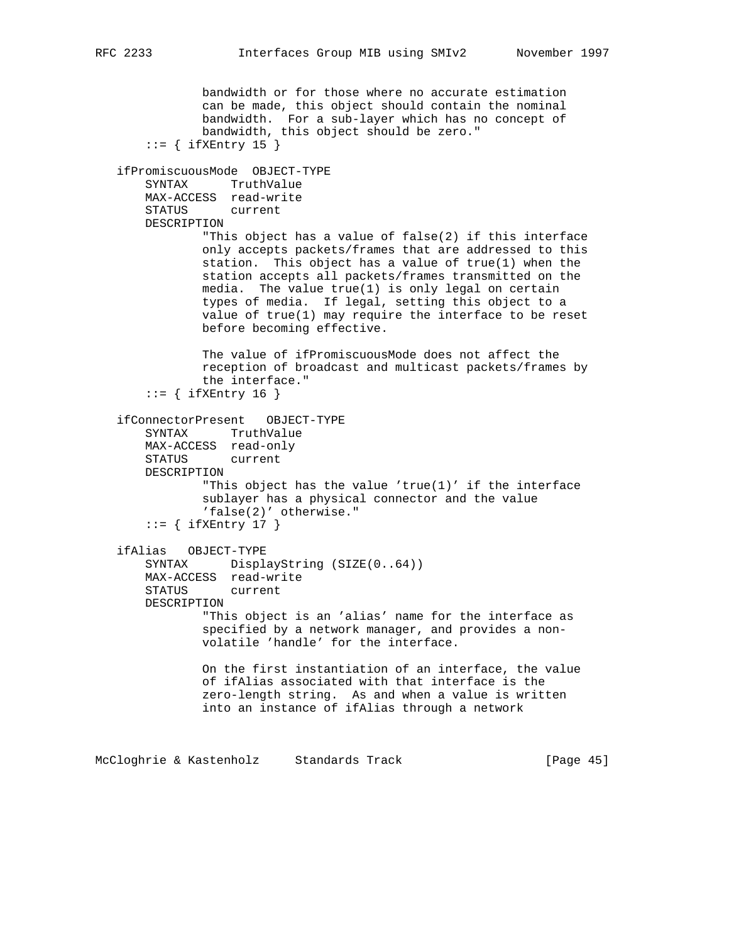bandwidth or for those where no accurate estimation can be made, this object should contain the nominal bandwidth. For a sub-layer which has no concept of bandwidth, this object should be zero."  $::=$  { ifXEntry 15 } ifPromiscuousMode OBJECT-TYPE SYNTAX TruthValue MAX-ACCESS read-write STATUS current DESCRIPTION "This object has a value of false(2) if this interface only accepts packets/frames that are addressed to this station. This object has a value of true(1) when the station accepts all packets/frames transmitted on the media. The value true(1) is only legal on certain types of media. If legal, setting this object to a value of true(1) may require the interface to be reset before becoming effective. The value of ifPromiscuousMode does not affect the reception of broadcast and multicast packets/frames by the interface."  $::=$  { ifXEntry 16 } ifConnectorPresent OBJECT-TYPE SYNTAX TruthValue MAX-ACCESS read-only STATUS current DESCRIPTION "This object has the value 'true(1)' if the interface sublayer has a physical connector and the value 'false(2)' otherwise."  $::=$  { ifXEntry 17 } ifAlias OBJECT-TYPE SYNTAX DisplayString (SIZE(0..64)) MAX-ACCESS read-write STATUS current DESCRIPTION

> "This object is an 'alias' name for the interface as specified by a network manager, and provides a non volatile 'handle' for the interface.

 On the first instantiation of an interface, the value of ifAlias associated with that interface is the zero-length string. As and when a value is written into an instance of ifAlias through a network

McCloghrie & Kastenholz Standards Track [Page 45]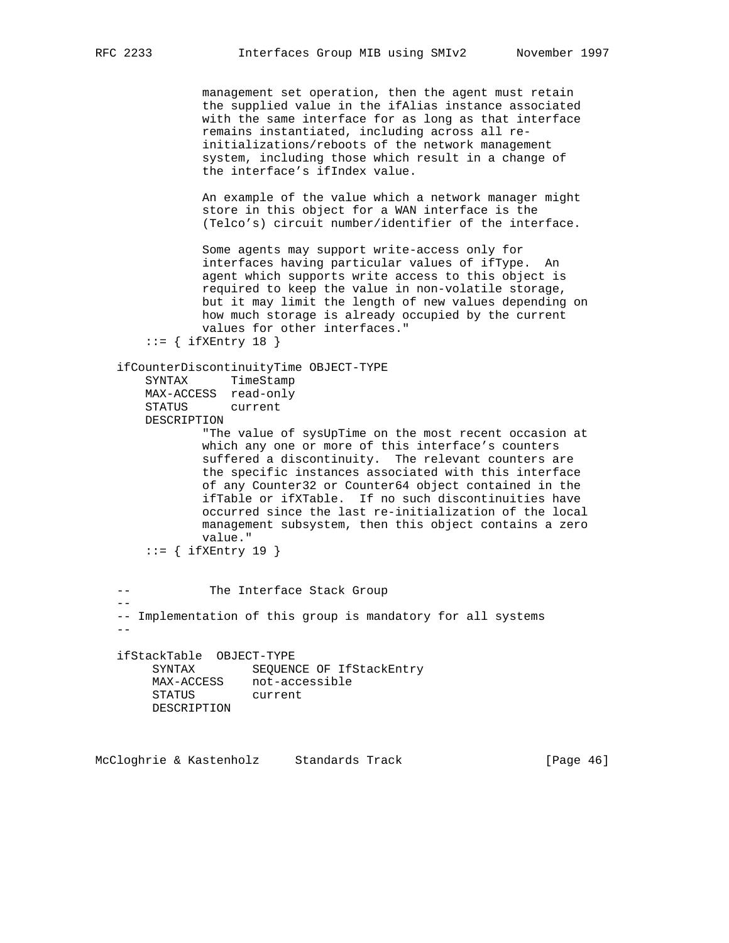management set operation, then the agent must retain the supplied value in the ifAlias instance associated with the same interface for as long as that interface remains instantiated, including across all re initializations/reboots of the network management system, including those which result in a change of the interface's ifIndex value.

 An example of the value which a network manager might store in this object for a WAN interface is the (Telco's) circuit number/identifier of the interface.

 Some agents may support write-access only for interfaces having particular values of ifType. An agent which supports write access to this object is required to keep the value in non-volatile storage, but it may limit the length of new values depending on how much storage is already occupied by the current values for other interfaces."

```
::= { ifXEntry 18 }
```
#### ifCounterDiscontinuityTime OBJECT-TYPE

```
 SYNTAX TimeStamp
 MAX-ACCESS read-only
 STATUS current
 DESCRIPTION
```
 "The value of sysUpTime on the most recent occasion at which any one or more of this interface's counters suffered a discontinuity. The relevant counters are the specific instances associated with this interface of any Counter32 or Counter64 object contained in the ifTable or ifXTable. If no such discontinuities have occurred since the last re-initialization of the local management subsystem, then this object contains a zero value."

 $::=$  { ifXEntry 19 }

--

 $-$ 

-- The Interface Stack Group

-- Implementation of this group is mandatory for all systems

 ifStackTable OBJECT-TYPE SYNTAX SEQUENCE OF IfStackEntry MAX-ACCESS not-accessible STATUS current DESCRIPTION

McCloghrie & Kastenholz Standards Track [Page 46]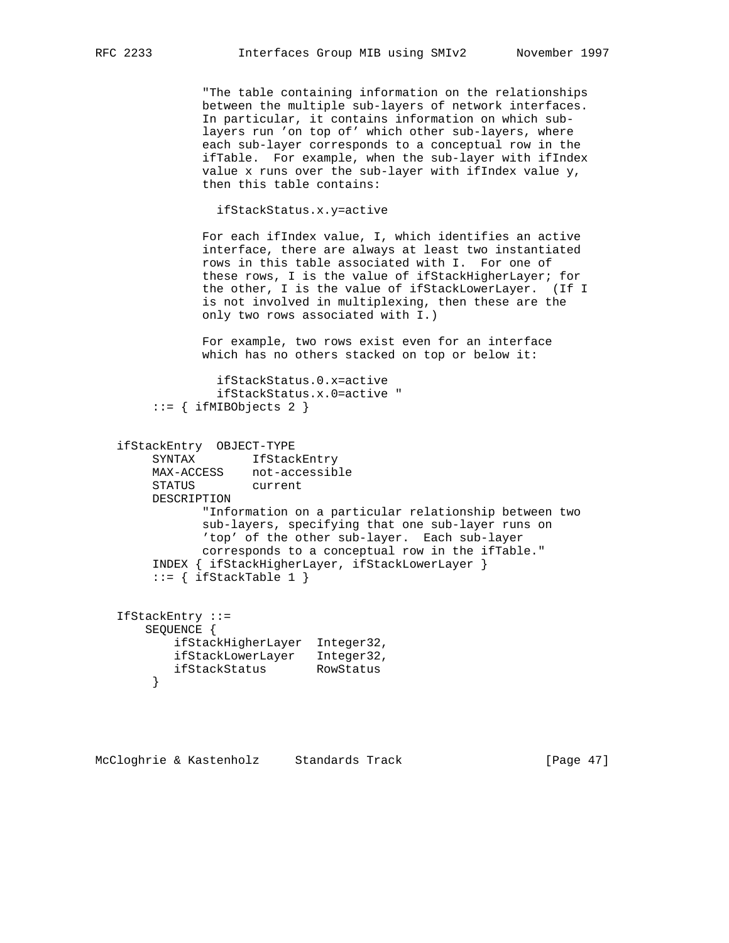"The table containing information on the relationships between the multiple sub-layers of network interfaces. In particular, it contains information on which sub layers run 'on top of' which other sub-layers, where each sub-layer corresponds to a conceptual row in the ifTable. For example, when the sub-layer with ifIndex value x runs over the sub-layer with ifIndex value y, then this table contains:

ifStackStatus.x.y=active

 For each ifIndex value, I, which identifies an active interface, there are always at least two instantiated rows in this table associated with I. For one of these rows, I is the value of ifStackHigherLayer; for the other, I is the value of ifStackLowerLayer. (If I is not involved in multiplexing, then these are the only two rows associated with I.)

 For example, two rows exist even for an interface which has no others stacked on top or below it:

```
 ifStackStatus.0.x=active
          ifStackStatus.x.0=active "
 ::= { ifMIBObjects 2 }
```

```
 ifStackEntry OBJECT-TYPE
     SYNTAX IfStackEntry<br>MAX-ACCESS not-accessib
                  not-accessible
      STATUS current
      DESCRIPTION
             "Information on a particular relationship between two
            sub-layers, specifying that one sub-layer runs on
             'top' of the other sub-layer. Each sub-layer
            corresponds to a conceptual row in the ifTable."
      INDEX { ifStackHigherLayer, ifStackLowerLayer }
     ::= { ifStackTable 1 }
```

```
 IfStackEntry ::=
    SEQUENCE {
        ifStackHigherLayer Integer32,
        ifStackLowerLayer Integer32,
        ifStackStatus RowStatus
      }
```
McCloghrie & Kastenholz Standards Track [Page 47]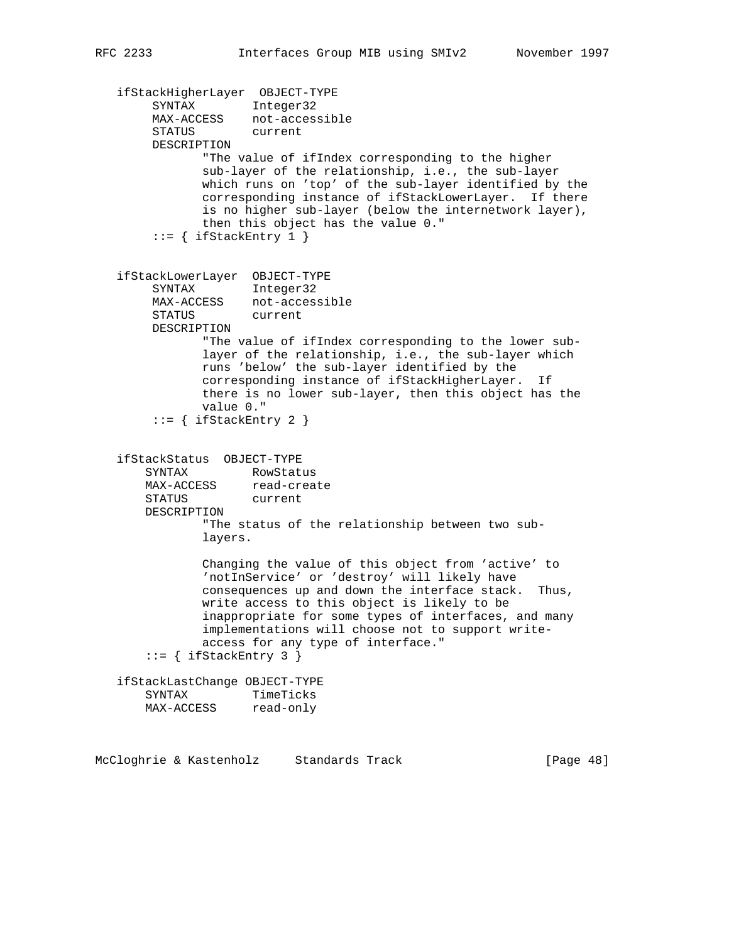```
 ifStackHigherLayer OBJECT-TYPE
 SYNTAX Integer32
 MAX-ACCESS not-accessible
        STATUS current
        DESCRIPTION
               "The value of ifIndex corresponding to the higher
               sub-layer of the relationship, i.e., the sub-layer
               which runs on 'top' of the sub-layer identified by the
               corresponding instance of ifStackLowerLayer. If there
               is no higher sub-layer (below the internetwork layer),
               then this object has the value 0."
        ::= { ifStackEntry 1 }
   ifStackLowerLayer OBJECT-TYPE
        SYNTAX Integer32
       MAX-ACCESS not-accessible<br>STATUS current
       STATUS
        DESCRIPTION
               "The value of ifIndex corresponding to the lower sub-
               layer of the relationship, i.e., the sub-layer which
               runs 'below' the sub-layer identified by the
               corresponding instance of ifStackHigherLayer. If
               there is no lower sub-layer, then this object has the
               value 0."
       ::= { ifStackEntry 2 }
   ifStackStatus OBJECT-TYPE
       SYNTAX RowStatus
      MAX-ACCESS read-create
       STATUS current
       DESCRIPTION
               "The status of the relationship between two sub-
               layers.
               Changing the value of this object from 'active' to
               'notInService' or 'destroy' will likely have
               consequences up and down the interface stack. Thus,
               write access to this object is likely to be
               inappropriate for some types of interfaces, and many
               implementations will choose not to support write-
               access for any type of interface."
      ::= { ifStackEntry 3 }
   ifStackLastChange OBJECT-TYPE
 SYNTAX TimeTicks
 MAX-ACCESS read-only
```
McCloghrie & Kastenholz Standards Track [Page 48]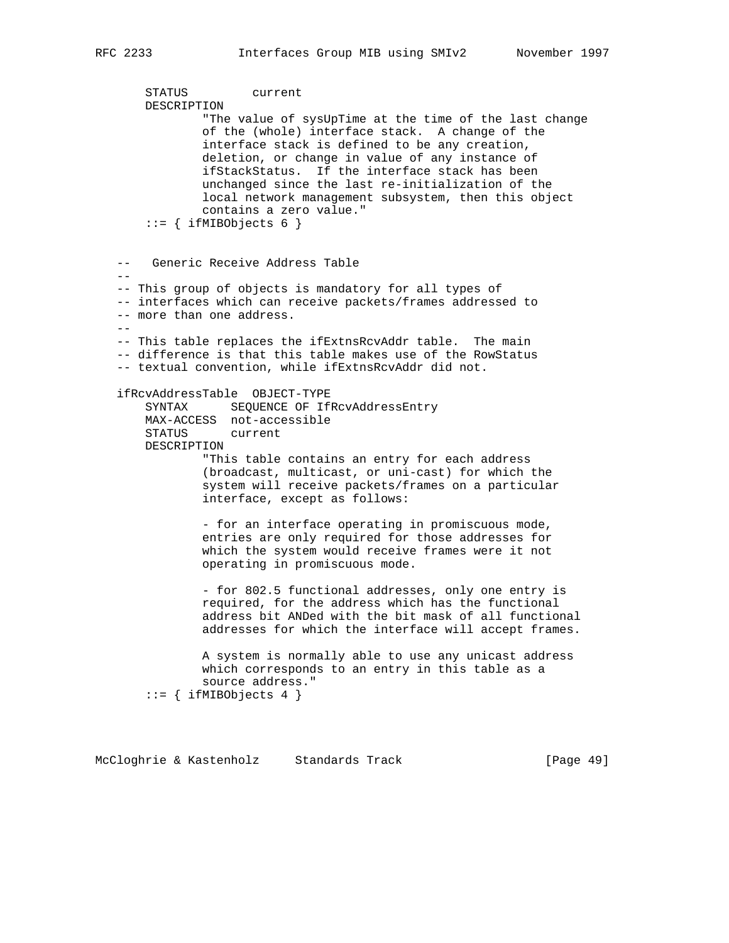```
 STATUS current
       DESCRIPTION
                "The value of sysUpTime at the time of the last change
                of the (whole) interface stack. A change of the
                interface stack is defined to be any creation,
               deletion, or change in value of any instance of
                ifStackStatus. If the interface stack has been
                unchanged since the last re-initialization of the
               local network management subsystem, then this object
               contains a zero value."
       ::= { ifMIBObjects 6 }
   -- Generic Receive Address Table
- -- This group of objects is mandatory for all types of
   -- interfaces which can receive packets/frames addressed to
   -- more than one address.
  - -- This table replaces the ifExtnsRcvAddr table. The main
   -- difference is that this table makes use of the RowStatus
   -- textual convention, while ifExtnsRcvAddr did not.
   ifRcvAddressTable OBJECT-TYPE
       SYNTAX SEQUENCE OF IfRcvAddressEntry
       MAX-ACCESS not-accessible
       STATUS current
       DESCRIPTION
                "This table contains an entry for each address
                (broadcast, multicast, or uni-cast) for which the
                system will receive packets/frames on a particular
                interface, except as follows:
                - for an interface operating in promiscuous mode,
                entries are only required for those addresses for
               which the system would receive frames were it not
                operating in promiscuous mode.
                - for 802.5 functional addresses, only one entry is
               required, for the address which has the functional
                address bit ANDed with the bit mask of all functional
               addresses for which the interface will accept frames.
               A system is normally able to use any unicast address
               which corresponds to an entry in this table as a
                source address."
        ::= { ifMIBObjects 4 }
```
McCloghrie & Kastenholz Standards Track [Page 49]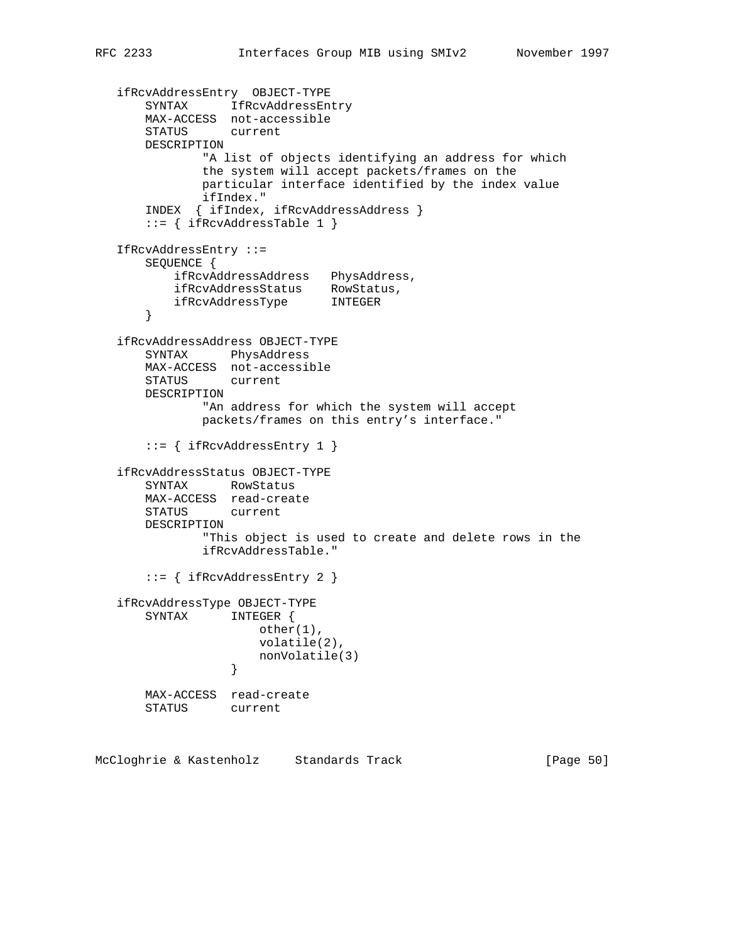```
 ifRcvAddressEntry OBJECT-TYPE
 SYNTAX IfRcvAddressEntry
 MAX-ACCESS not-accessible
       STATUS current
       DESCRIPTION
               "A list of objects identifying an address for which
              the system will accept packets/frames on the
              particular interface identified by the index value
              ifIndex."
       INDEX { ifIndex, ifRcvAddressAddress }
       ::= { ifRcvAddressTable 1 }
   IfRcvAddressEntry ::=
       SEQUENCE {
           ifRcvAddressAddress PhysAddress,
 ifRcvAddressStatus RowStatus,
 ifRcvAddressType INTEGER
       }
   ifRcvAddressAddress OBJECT-TYPE
       SYNTAX PhysAddress
       MAX-ACCESS not-accessible
       STATUS current
       DESCRIPTION
               "An address for which the system will accept
               packets/frames on this entry's interface."
       ::= { ifRcvAddressEntry 1 }
   ifRcvAddressStatus OBJECT-TYPE
       SYNTAX RowStatus
       MAX-ACCESS read-create
       STATUS current
       DESCRIPTION
               "This object is used to create and delete rows in the
               ifRcvAddressTable."
       ::= { ifRcvAddressEntry 2 }
   ifRcvAddressType OBJECT-TYPE
       SYNTAX INTEGER {
                      other(1),
                      volatile(2),
                 nonVolatile(3)<br>}
 }
       MAX-ACCESS read-create
       STATUS current
```
McCloghrie & Kastenholz Standards Track [Page 50]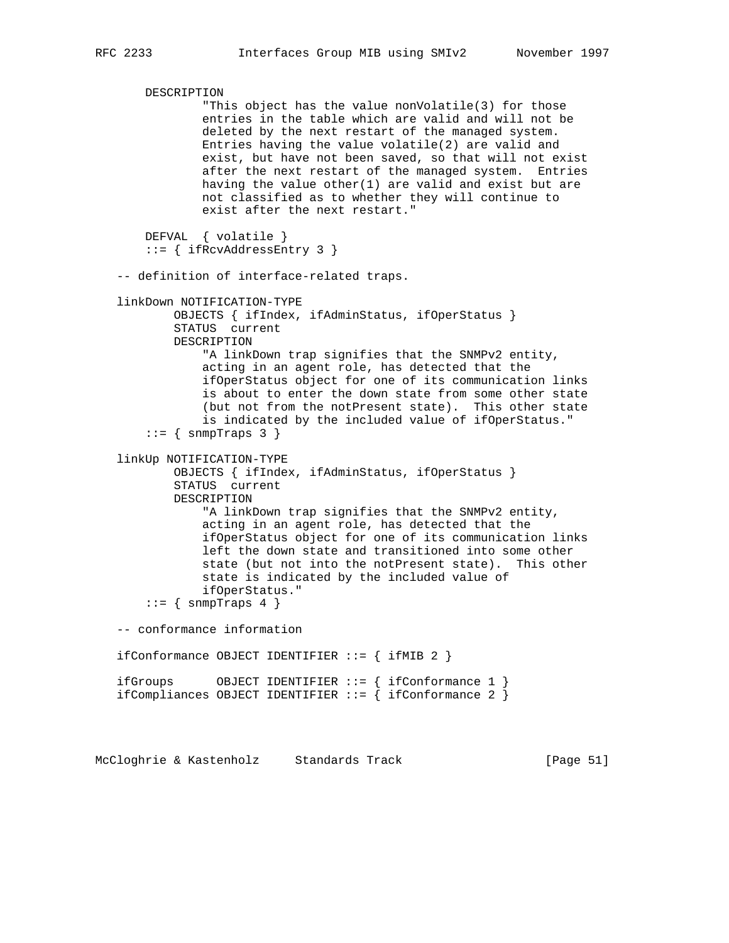DESCRIPTION "This object has the value nonVolatile(3) for those entries in the table which are valid and will not be deleted by the next restart of the managed system. Entries having the value volatile(2) are valid and exist, but have not been saved, so that will not exist after the next restart of the managed system. Entries having the value other $(1)$  are valid and exist but are not classified as to whether they will continue to exist after the next restart." DEFVAL { volatile } ::= { ifRcvAddressEntry 3 } -- definition of interface-related traps. linkDown NOTIFICATION-TYPE OBJECTS { ifIndex, ifAdminStatus, ifOperStatus } STATUS current DESCRIPTION "A linkDown trap signifies that the SNMPv2 entity, acting in an agent role, has detected that the ifOperStatus object for one of its communication links is about to enter the down state from some other state (but not from the notPresent state). This other state is indicated by the included value of ifOperStatus."  $::=$  { snmpTraps 3 } linkUp NOTIFICATION-TYPE OBJECTS { ifIndex, ifAdminStatus, ifOperStatus } STATUS current DESCRIPTION "A linkDown trap signifies that the SNMPv2 entity, acting in an agent role, has detected that the ifOperStatus object for one of its communication links left the down state and transitioned into some other state (but not into the notPresent state). This other state is indicated by the included value of ifOperStatus."  $::=$  { snmpTraps 4 } -- conformance information ifConformance OBJECT IDENTIFIER  $::=$  { ifMIB 2 } ifGroups OBJECT IDENTIFIER ::= { ifConformance 1 } ifCompliances OBJECT IDENTIFIER ::= { ifConformance 2 }

McCloghrie & Kastenholz Standards Track [Page 51]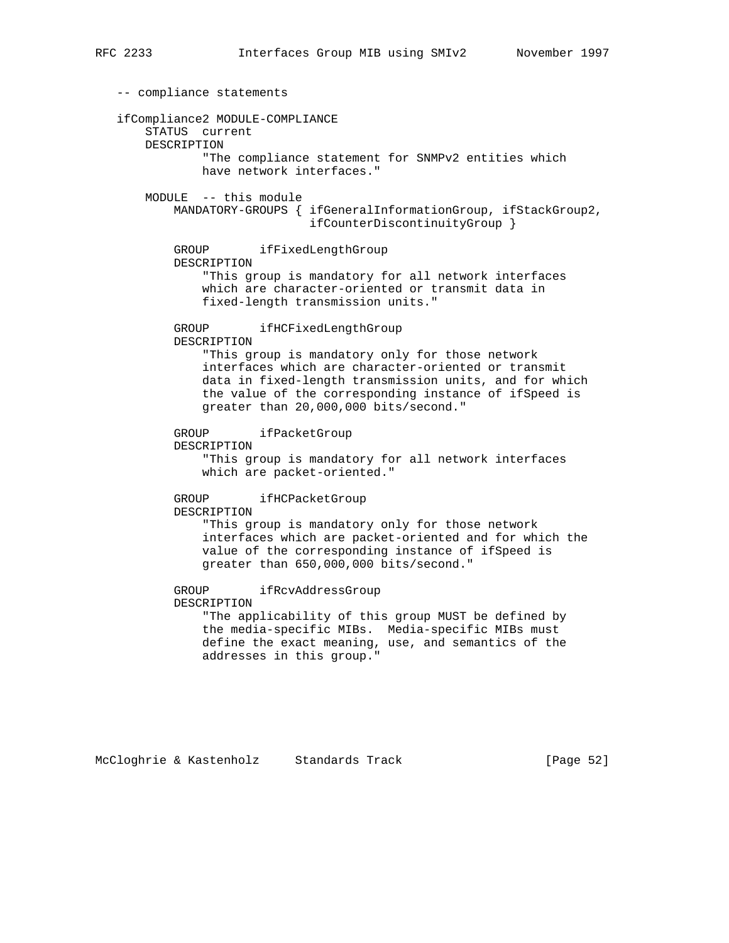-- compliance statements ifCompliance2 MODULE-COMPLIANCE STATUS current DESCRIPTION "The compliance statement for SNMPv2 entities which have network interfaces." MODULE -- this module MANDATORY-GROUPS { ifGeneralInformationGroup, ifStackGroup2, ifCounterDiscontinuityGroup } GROUP ifFixedLengthGroup DESCRIPTION "This group is mandatory for all network interfaces which are character-oriented or transmit data in fixed-length transmission units." GROUP ifHCFixedLengthGroup DESCRIPTION "This group is mandatory only for those network interfaces which are character-oriented or transmit data in fixed-length transmission units, and for which the value of the corresponding instance of ifSpeed is greater than 20,000,000 bits/second." GROUP ifPacketGroup DESCRIPTION "This group is mandatory for all network interfaces which are packet-oriented." GROUP ifHCPacketGroup DESCRIPTION "This group is mandatory only for those network interfaces which are packet-oriented and for which the value of the corresponding instance of ifSpeed is greater than 650,000,000 bits/second." GROUP ifRcvAddressGroup DESCRIPTION "The applicability of this group MUST be defined by the media-specific MIBs. Media-specific MIBs must define the exact meaning, use, and semantics of the addresses in this group."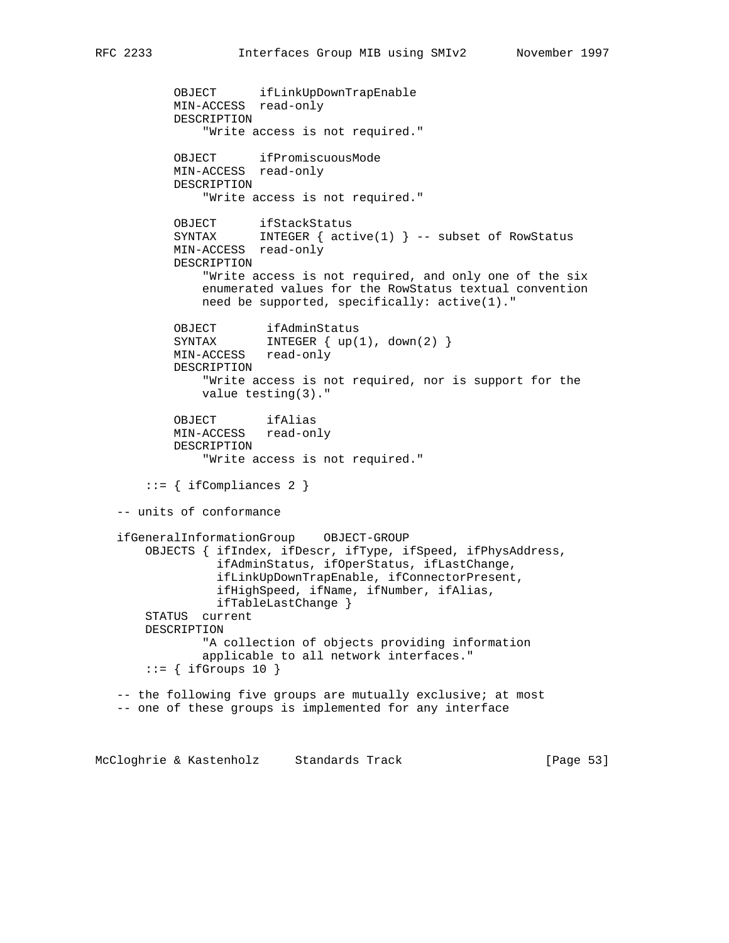```
 OBJECT ifLinkUpDownTrapEnable
           MIN-ACCESS read-only
           DESCRIPTION
               "Write access is not required."
          OBJECT ifPromiscuousMode
           MIN-ACCESS read-only
           DESCRIPTION
               "Write access is not required."
 OBJECT ifStackStatus
 SYNTAX INTEGER { active(1) } -- subset of RowStatus
           MIN-ACCESS read-only
           DESCRIPTION
               "Write access is not required, and only one of the six
               enumerated values for the RowStatus textual convention
               need be supported, specifically: active(1)."
OBJECT ifAdminStatus
SYNTAX INTEGER { up(1), down(2) }
           MIN-ACCESS read-only
           DESCRIPTION
               "Write access is not required, nor is support for the
               value testing(3)."
           OBJECT ifAlias
           MIN-ACCESS read-only
           DESCRIPTION
               "Write access is not required."
       ::= { ifCompliances 2 }
   -- units of conformance
   ifGeneralInformationGroup OBJECT-GROUP
       OBJECTS { ifIndex, ifDescr, ifType, ifSpeed, ifPhysAddress,
                 ifAdminStatus, ifOperStatus, ifLastChange,
                 ifLinkUpDownTrapEnable, ifConnectorPresent,
                 ifHighSpeed, ifName, ifNumber, ifAlias,
                 ifTableLastChange }
       STATUS current
       DESCRIPTION
               "A collection of objects providing information
               applicable to all network interfaces."
      ::= { ifGroups 10 }
   -- the following five groups are mutually exclusive; at most
   -- one of these groups is implemented for any interface
```
McCloghrie & Kastenholz Standards Track [Page 53]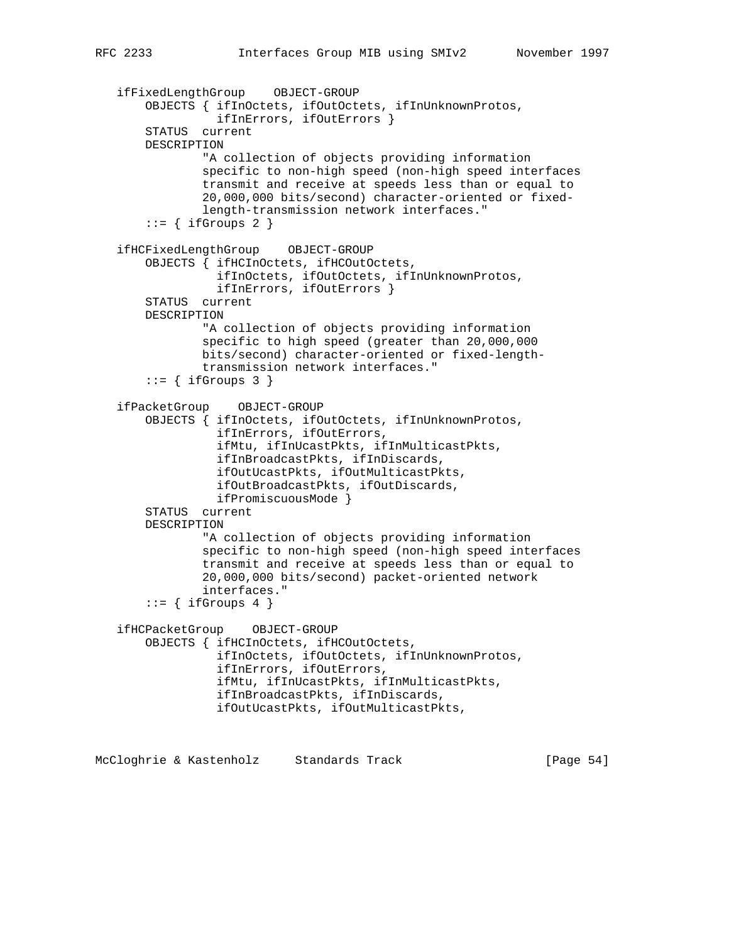```
 ifFixedLengthGroup OBJECT-GROUP
     OBJECTS { ifInOctets, ifOutOctets, ifInUnknownProtos,
               ifInErrors, ifOutErrors }
     STATUS current
     DESCRIPTION
             "A collection of objects providing information
             specific to non-high speed (non-high speed interfaces
             transmit and receive at speeds less than or equal to
             20,000,000 bits/second) character-oriented or fixed-
             length-transmission network interfaces."
    ::= { ifGroups 2 }
 ifHCFixedLengthGroup OBJECT-GROUP
     OBJECTS { ifHCInOctets, ifHCOutOctets,
               ifInOctets, ifOutOctets, ifInUnknownProtos,
               ifInErrors, ifOutErrors }
     STATUS current
     DESCRIPTION
             "A collection of objects providing information
             specific to high speed (greater than 20,000,000
             bits/second) character-oriented or fixed-length-
             transmission network interfaces."
    ::= { ifGroups 3 }
 ifPacketGroup OBJECT-GROUP
     OBJECTS { ifInOctets, ifOutOctets, ifInUnknownProtos,
               ifInErrors, ifOutErrors,
               ifMtu, ifInUcastPkts, ifInMulticastPkts,
               ifInBroadcastPkts, ifInDiscards,
               ifOutUcastPkts, ifOutMulticastPkts,
               ifOutBroadcastPkts, ifOutDiscards,
              ifPromiscuousMode }
     STATUS current
     DESCRIPTION
             "A collection of objects providing information
             specific to non-high speed (non-high speed interfaces
             transmit and receive at speeds less than or equal to
             20,000,000 bits/second) packet-oriented network
             interfaces."
    ::= { ifGroups 4 }
 ifHCPacketGroup OBJECT-GROUP
     OBJECTS { ifHCInOctets, ifHCOutOctets,
               ifInOctets, ifOutOctets, ifInUnknownProtos,
               ifInErrors, ifOutErrors,
               ifMtu, ifInUcastPkts, ifInMulticastPkts,
               ifInBroadcastPkts, ifInDiscards,
               ifOutUcastPkts, ifOutMulticastPkts,
```
McCloghrie & Kastenholz Standards Track [Page 54]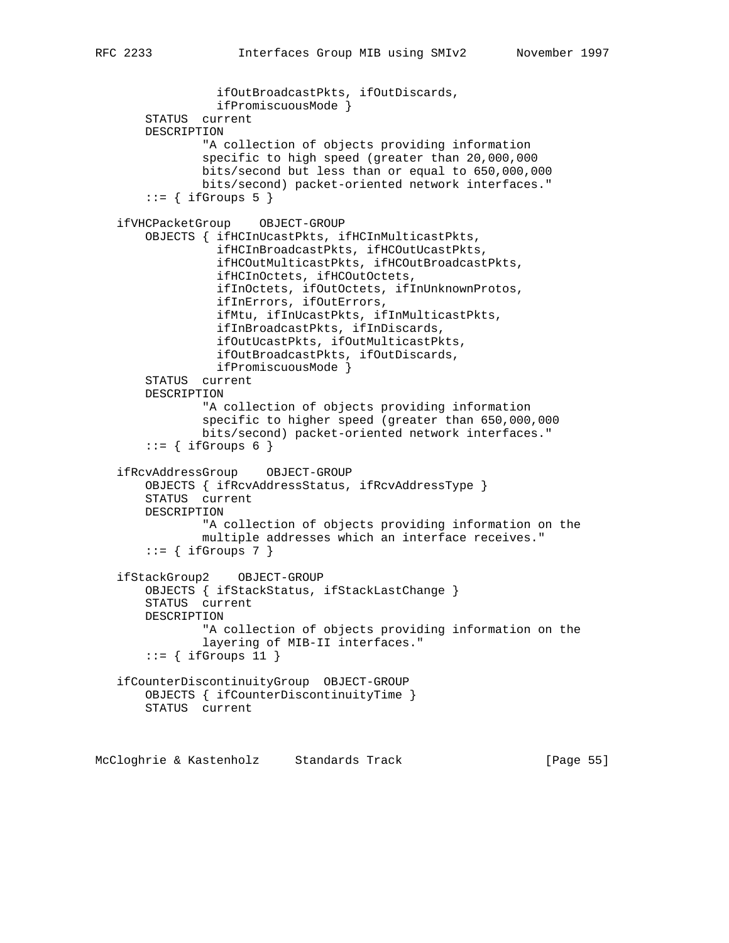```
 ifOutBroadcastPkts, ifOutDiscards,
               ifPromiscuousMode }
     STATUS current
     DESCRIPTION
             "A collection of objects providing information
             specific to high speed (greater than 20,000,000
             bits/second but less than or equal to 650,000,000
             bits/second) packet-oriented network interfaces."
    ::= { ifGroups 5 }
 ifVHCPacketGroup OBJECT-GROUP
     OBJECTS { ifHCInUcastPkts, ifHCInMulticastPkts,
               ifHCInBroadcastPkts, ifHCOutUcastPkts,
               ifHCOutMulticastPkts, ifHCOutBroadcastPkts,
               ifHCInOctets, ifHCOutOctets,
               ifInOctets, ifOutOctets, ifInUnknownProtos,
               ifInErrors, ifOutErrors,
               ifMtu, ifInUcastPkts, ifInMulticastPkts,
               ifInBroadcastPkts, ifInDiscards,
               ifOutUcastPkts, ifOutMulticastPkts,
               ifOutBroadcastPkts, ifOutDiscards,
               ifPromiscuousMode }
     STATUS current
     DESCRIPTION
             "A collection of objects providing information
             specific to higher speed (greater than 650,000,000
             bits/second) packet-oriented network interfaces."
    ::= { ifGroups 6 }
 ifRcvAddressGroup OBJECT-GROUP
     OBJECTS { ifRcvAddressStatus, ifRcvAddressType }
     STATUS current
    DESCRIPTION
             "A collection of objects providing information on the
             multiple addresses which an interface receives."
    ::= { ifGroups 7 }
 ifStackGroup2 OBJECT-GROUP
     OBJECTS { ifStackStatus, ifStackLastChange }
     STATUS current
    DESCRIPTION
             "A collection of objects providing information on the
             layering of MIB-II interfaces."
    ::= { ifGroups 11 }
 ifCounterDiscontinuityGroup OBJECT-GROUP
     OBJECTS { ifCounterDiscontinuityTime }
    STATUS current
```
McCloghrie & Kastenholz Standards Track [Page 55]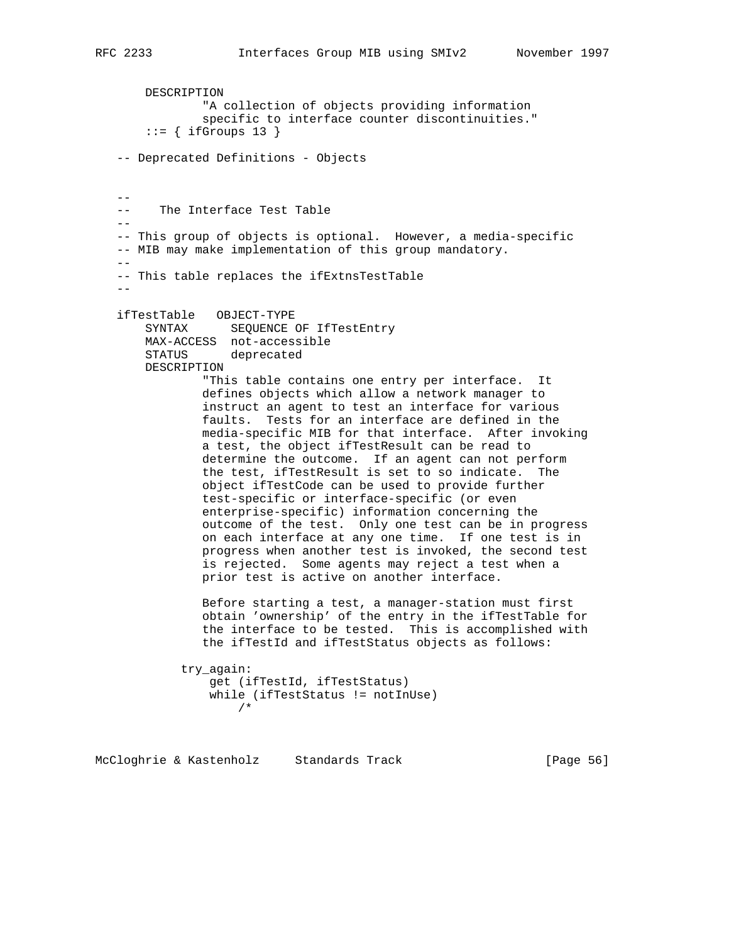DESCRIPTION "A collection of objects providing information specific to interface counter discontinuities."  $::=$  { ifGroups 13 } -- Deprecated Definitions - Objects  $- -$  -- The Interface Test Table  $- -$  -- This group of objects is optional. However, a media-specific -- MIB may make implementation of this group mandatory. -- -- This table replaces the ifExtnsTestTable - ifTestTable OBJECT-TYPE SYNTAX SEQUENCE OF IfTestEntry MAX-ACCESS not-accessible STATUS deprecated DESCRIPTION "This table contains one entry per interface. It defines objects which allow a network manager to instruct an agent to test an interface for various faults. Tests for an interface are defined in the media-specific MIB for that interface. After invoking a test, the object ifTestResult can be read to determine the outcome. If an agent can not perform the test, ifTestResult is set to so indicate. The object ifTestCode can be used to provide further test-specific or interface-specific (or even enterprise-specific) information concerning the outcome of the test. Only one test can be in progress on each interface at any one time. If one test is in progress when another test is invoked, the second test is rejected. Some agents may reject a test when a prior test is active on another interface. Before starting a test, a manager-station must first obtain 'ownership' of the entry in the ifTestTable for the interface to be tested. This is accomplished with the ifTestId and ifTestStatus objects as follows: try\_again: get (ifTestId, ifTestStatus) while (ifTestStatus != notInUse) /\*

McCloghrie & Kastenholz Standards Track [Page 56]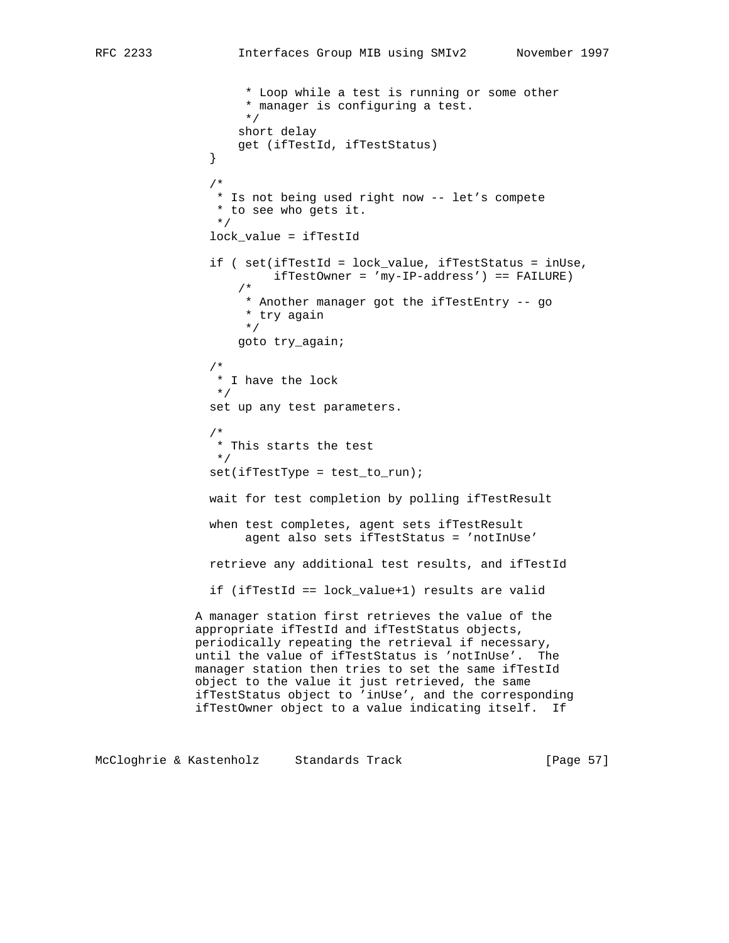\* Loop while a test is running or some other \* manager is configuring a test. \*/ short delay get (ifTestId, ifTestStatus) } /\* \* Is not being used right now -- let's compete \* to see who gets it. \*/ lock\_value = ifTestId if ( set(ifTestId = lock\_value, ifTestStatus = inUse, ifTestOwner = 'my-IP-address') == FAILURE) /\* \* Another manager got the ifTestEntry -- go \* try again \*/ goto try\_again; /\* \* I have the lock  $\star$  $\star/$  set up any test parameters. /\* \* This starts the test  $\star/$  set(ifTestType = test\_to\_run); wait for test completion by polling ifTestResult when test completes, agent sets ifTestResult agent also sets ifTestStatus = 'notInUse' retrieve any additional test results, and ifTestId if (ifTestId == lock\_value+1) results are valid A manager station first retrieves the value of the appropriate ifTestId and ifTestStatus objects, periodically repeating the retrieval if necessary, until the value of ifTestStatus is 'notInUse'. The manager station then tries to set the same ifTestId object to the value it just retrieved, the same ifTestStatus object to 'inUse', and the corresponding ifTestOwner object to a value indicating itself. If

McCloghrie & Kastenholz Standards Track [Page 57]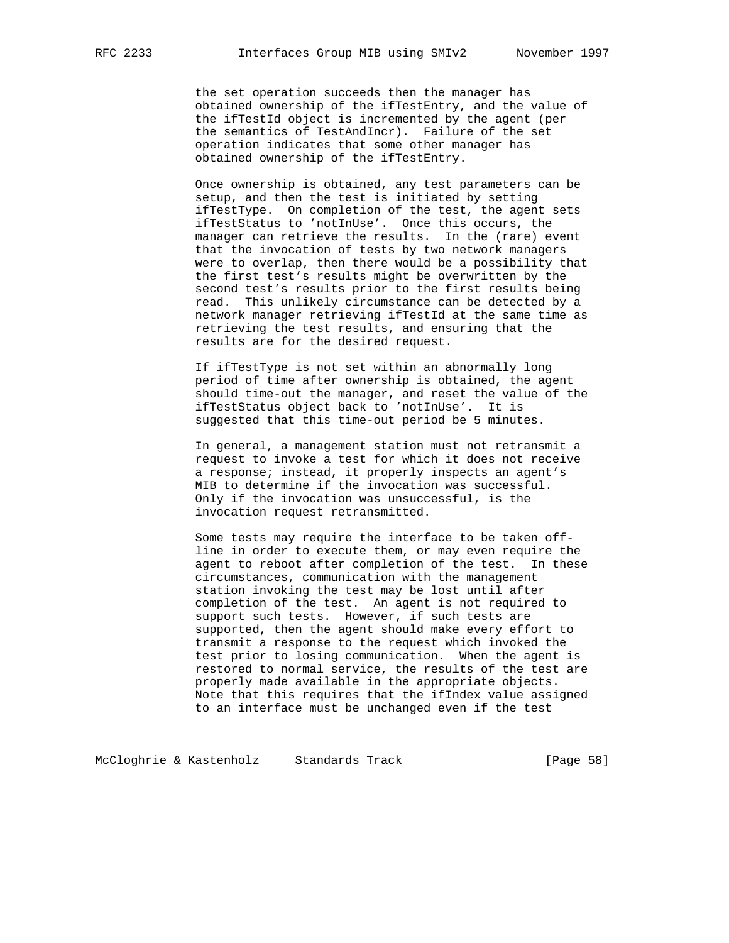the set operation succeeds then the manager has obtained ownership of the ifTestEntry, and the value of the ifTestId object is incremented by the agent (per the semantics of TestAndIncr). Failure of the set operation indicates that some other manager has obtained ownership of the ifTestEntry.

 Once ownership is obtained, any test parameters can be setup, and then the test is initiated by setting ifTestType. On completion of the test, the agent sets ifTestStatus to 'notInUse'. Once this occurs, the manager can retrieve the results. In the (rare) event that the invocation of tests by two network managers were to overlap, then there would be a possibility that the first test's results might be overwritten by the second test's results prior to the first results being read. This unlikely circumstance can be detected by a network manager retrieving ifTestId at the same time as retrieving the test results, and ensuring that the results are for the desired request.

 If ifTestType is not set within an abnormally long period of time after ownership is obtained, the agent should time-out the manager, and reset the value of the ifTestStatus object back to 'notInUse'. It is suggested that this time-out period be 5 minutes.

 In general, a management station must not retransmit a request to invoke a test for which it does not receive a response; instead, it properly inspects an agent's MIB to determine if the invocation was successful. Only if the invocation was unsuccessful, is the invocation request retransmitted.

 Some tests may require the interface to be taken off line in order to execute them, or may even require the agent to reboot after completion of the test. In these circumstances, communication with the management station invoking the test may be lost until after completion of the test. An agent is not required to support such tests. However, if such tests are supported, then the agent should make every effort to transmit a response to the request which invoked the test prior to losing communication. When the agent is restored to normal service, the results of the test are properly made available in the appropriate objects. Note that this requires that the ifIndex value assigned to an interface must be unchanged even if the test

McCloghrie & Kastenholz Standards Track [Page 58]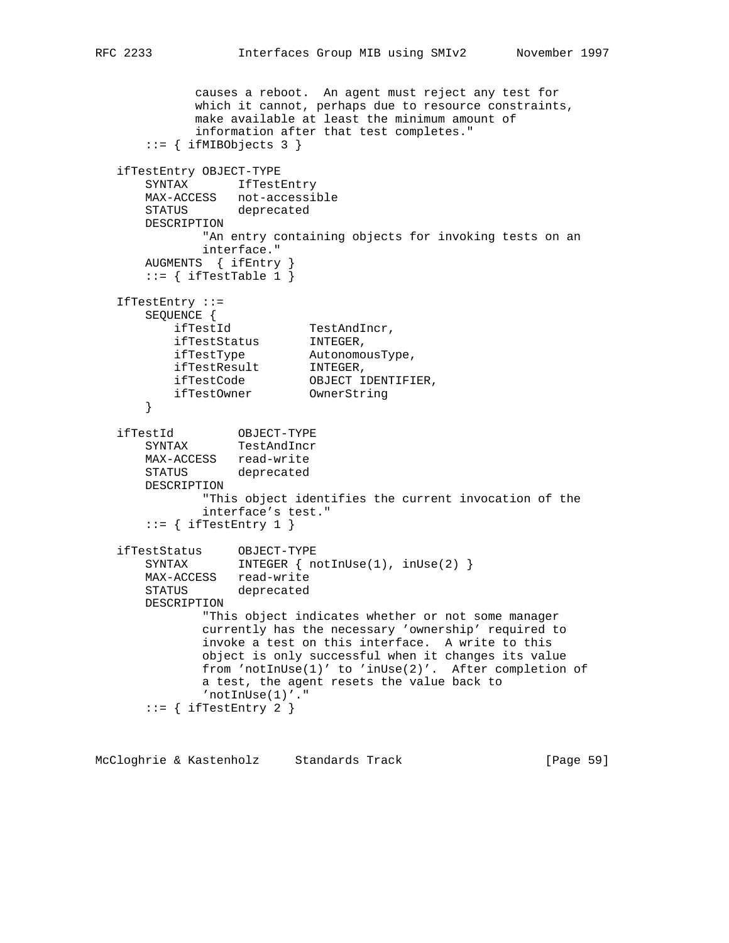```
 causes a reboot. An agent must reject any test for
             which it cannot, perhaps due to resource constraints,
             make available at least the minimum amount of
             information after that test completes."
      ::= { ifMIBObjects 3 }
   ifTestEntry OBJECT-TYPE
      SYNTAX IfTestEntry
      MAX-ACCESS not-accessible
      STATUS deprecated
      DESCRIPTION
             "An entry containing objects for invoking tests on an
             interface."
      AUGMENTS { ifEntry }
      ::= { ifTestTable 1 }
   IfTestEntry ::=
      SEQUENCE {
 ifTestId TestAndIncr,
ifTestStatus INTEGER,
 ifTestType AutonomousType,
ifTestResult INTEGER,
 ifTestCode OBJECT IDENTIFIER,
 ifTestOwner OwnerString
       }
 ifTestId OBJECT-TYPE
 SYNTAX TestAndIncr
 MAX-ACCESS read-write
 STATUS deprecated
      DESCRIPTION
              "This object identifies the current invocation of the
              interface's test."
      ::= { ifTestEntry 1 }
 ifTestStatus OBJECT-TYPE
 SYNTAX INTEGER { notInUse(1), inUse(2) }
     MAX-ACCESS read-write
      STATUS deprecated
      DESCRIPTION
              "This object indicates whether or not some manager
              currently has the necessary 'ownership' required to
              invoke a test on this interface. A write to this
              object is only successful when it changes its value
              from 'notInUse(1)' to 'inUse(2)'. After completion of
              a test, the agent resets the value back to
              'notInUse(1)'."
      ::= { ifTestEntry 2 }
```
McCloghrie & Kastenholz Standards Track [Page 59]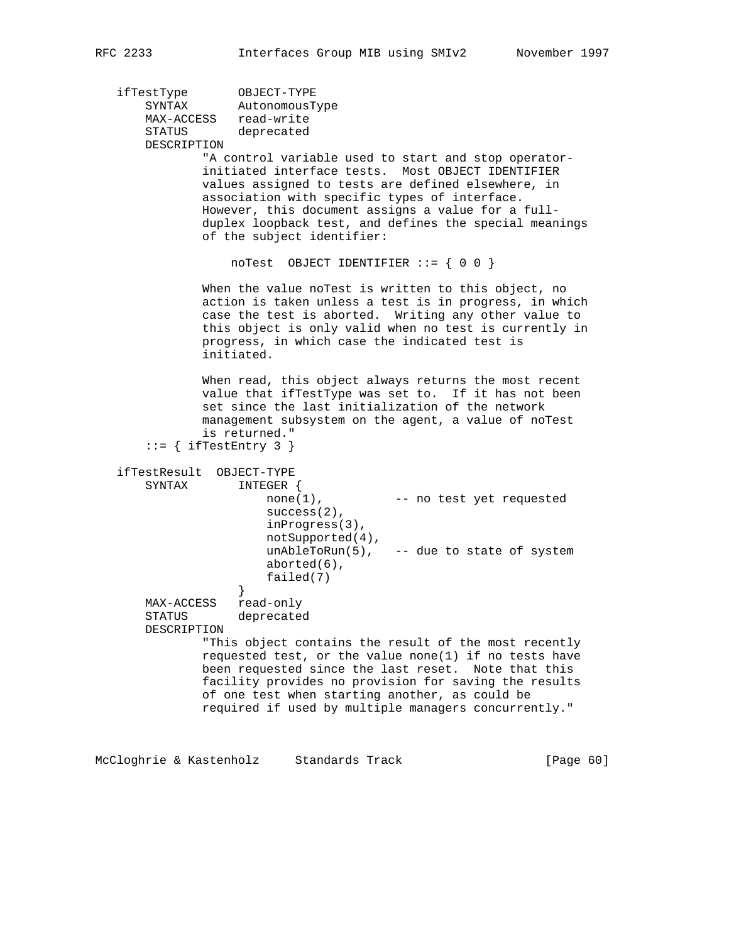ifTestType OBJECT-TYPE SYNTAX AutonomousType MAX-ACCESS read-write STATUS deprecated DESCRIPTION "A control variable used to start and stop operator initiated interface tests. Most OBJECT IDENTIFIER values assigned to tests are defined elsewhere, in association with specific types of interface. However, this document assigns a value for a full duplex loopback test, and defines the special meanings of the subject identifier: noTest OBJECT IDENTIFIER ::= { 0 0 } When the value noTest is written to this object, no action is taken unless a test is in progress, in which case the test is aborted. Writing any other value to this object is only valid when no test is currently in progress, in which case the indicated test is initiated.

> When read, this object always returns the most recent value that ifTestType was set to. If it has not been set since the last initialization of the network management subsystem on the agent, a value of noTest is returned."

```
::= { ifTestEntry 3 }
```
 ifTestResult OBJECT-TYPE SYNTAX INTEGER { none(1), -- no test yet requested success(2), inProgress(3), notSupported(4),  $unAbleroRun(5)$ , -- due to state of system aborted(6), failed(7)<br>} } MAX-ACCESS read-only STATUS deprecated DESCRIPTION "This object contains the result of the most recently requested test, or the value none(1) if no tests have been requested since the last reset. Note that this facility provides no provision for saving the results of one test when starting another, as could be required if used by multiple managers concurrently."

McCloghrie & Kastenholz Standards Track [Page 60]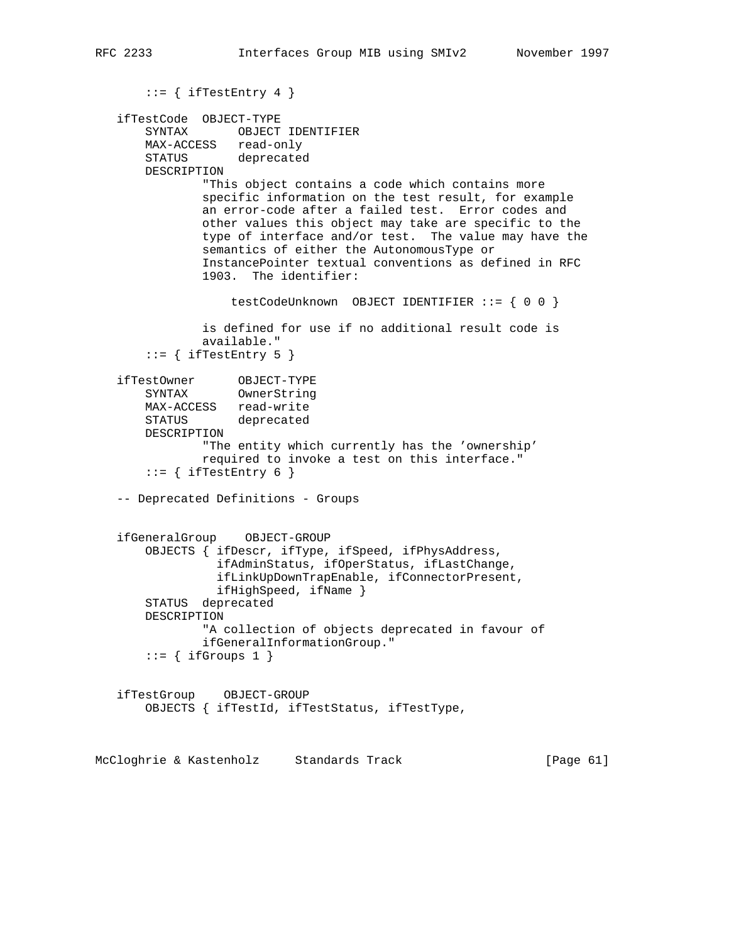```
::= { ifTestEntry 4 }
    ifTestCode OBJECT-TYPE
        SYNTAX OBJECT IDENTIFIER
       MAX-ACCESS read-only
       STATUS deprecated
       DESCRIPTION
               "This object contains a code which contains more
               specific information on the test result, for example
               an error-code after a failed test. Error codes and
               other values this object may take are specific to the
               type of interface and/or test. The value may have the
               semantics of either the AutonomousType or
               InstancePointer textual conventions as defined in RFC
               1903. The identifier:
                   testCodeUnknown OBJECT IDENTIFIER ::= { 0 0 }
               is defined for use if no additional result code is
               available."
       ::= { ifTestEntry 5 }
 ifTestOwner OBJECT-TYPE
 SYNTAX OwnerString
       MAX-ACCESS read-write
       STATUS deprecated
       DESCRIPTION
               "The entity which currently has the 'ownership'
               required to invoke a test on this interface."
       ::= { ifTestEntry 6 }
    -- Deprecated Definitions - Groups
    ifGeneralGroup OBJECT-GROUP
        OBJECTS { ifDescr, ifType, ifSpeed, ifPhysAddress,
                 ifAdminStatus, ifOperStatus, ifLastChange,
                 ifLinkUpDownTrapEnable, ifConnectorPresent,
                 ifHighSpeed, ifName }
        STATUS deprecated
       DESCRIPTION
                "A collection of objects deprecated in favour of
               ifGeneralInformationGroup."
       ::= { ifGroups 1 }
    ifTestGroup OBJECT-GROUP
       OBJECTS { ifTestId, ifTestStatus, ifTestType,
McCloghrie & Kastenholz Standards Track [Page 61]
```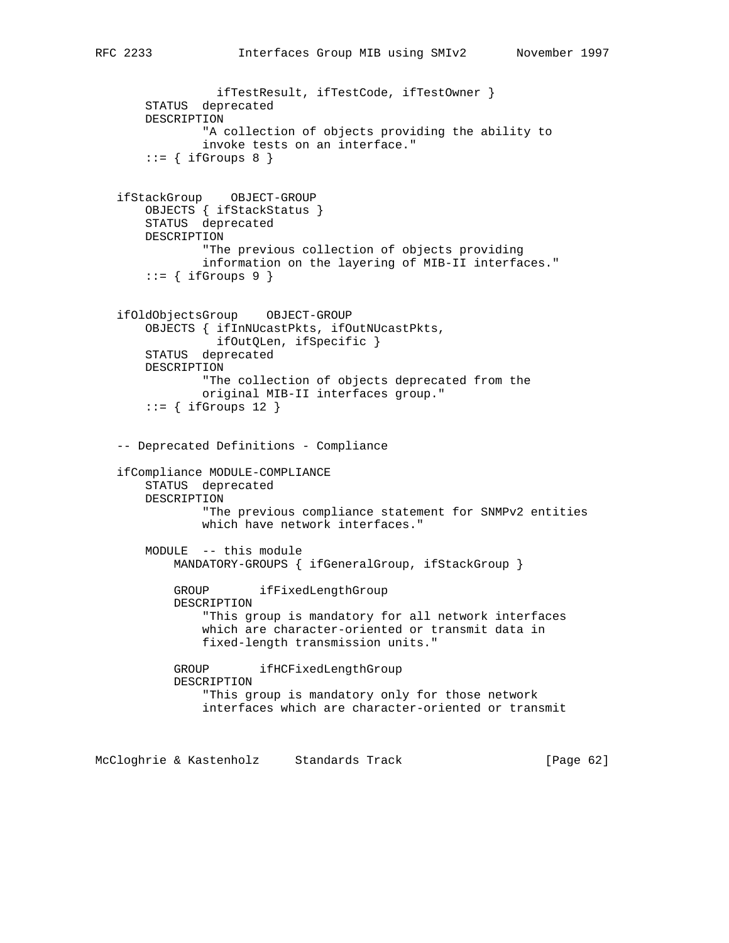```
 ifTestResult, ifTestCode, ifTestOwner }
     STATUS deprecated
    DESCRIPTION
             "A collection of objects providing the ability to
             invoke tests on an interface."
    ::= { ifGroups 8 }
 ifStackGroup OBJECT-GROUP
    OBJECTS { ifStackStatus }
    STATUS deprecated
    DESCRIPTION
             "The previous collection of objects providing
             information on the layering of MIB-II interfaces."
    ::= { ifGroups 9 }
 ifOldObjectsGroup OBJECT-GROUP
     OBJECTS { ifInNUcastPkts, ifOutNUcastPkts,
              ifOutQLen, ifSpecific }
     STATUS deprecated
    DESCRIPTION
             "The collection of objects deprecated from the
             original MIB-II interfaces group."
    ::= { ifGroups 12 }
 -- Deprecated Definitions - Compliance
 ifCompliance MODULE-COMPLIANCE
    STATUS deprecated
    DESCRIPTION
             "The previous compliance statement for SNMPv2 entities
             which have network interfaces."
    MODULE -- this module
         MANDATORY-GROUPS { ifGeneralGroup, ifStackGroup }
         GROUP ifFixedLengthGroup
         DESCRIPTION
             "This group is mandatory for all network interfaces
             which are character-oriented or transmit data in
             fixed-length transmission units."
         GROUP ifHCFixedLengthGroup
         DESCRIPTION
             "This group is mandatory only for those network
             interfaces which are character-oriented or transmit
```
McCloghrie & Kastenholz Standards Track [Page 62]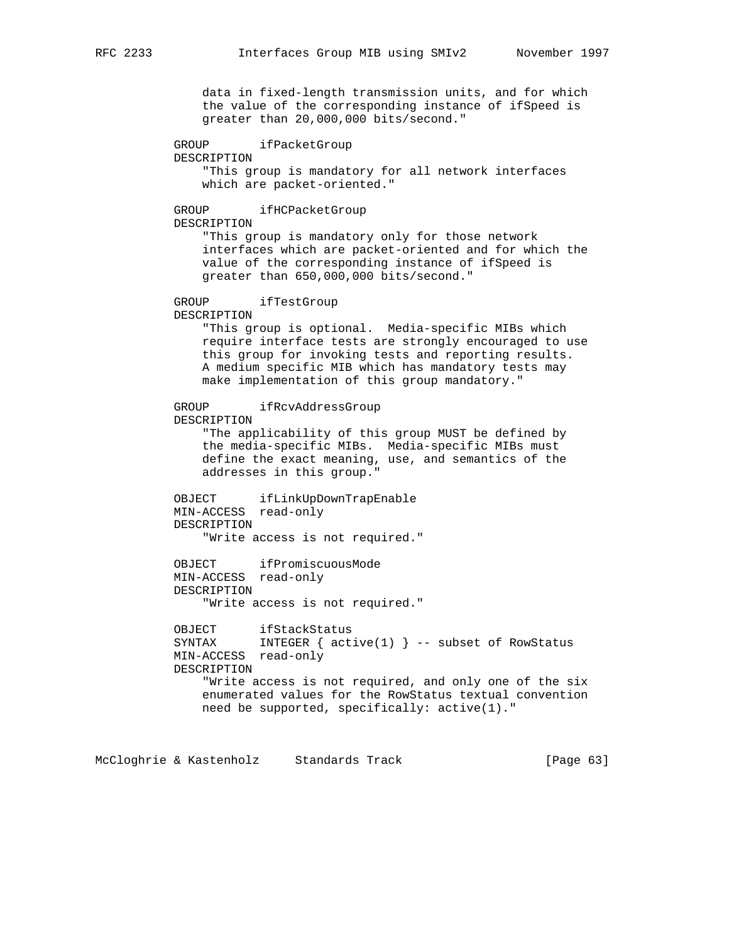data in fixed-length transmission units, and for which the value of the corresponding instance of ifSpeed is greater than 20,000,000 bits/second."

 GROUP ifPacketGroup DESCRIPTION "This group is mandatory for all network interfaces which are packet-oriented."

# GROUP ifHCPacketGroup

DESCRIPTION

 "This group is mandatory only for those network interfaces which are packet-oriented and for which the value of the corresponding instance of ifSpeed is greater than 650,000,000 bits/second."

# GROUP ifTestGroup

DESCRIPTION

 "This group is optional. Media-specific MIBs which require interface tests are strongly encouraged to use this group for invoking tests and reporting results. A medium specific MIB which has mandatory tests may make implementation of this group mandatory."

 GROUP ifRcvAddressGroup DESCRIPTION

 "The applicability of this group MUST be defined by the media-specific MIBs. Media-specific MIBs must define the exact meaning, use, and semantics of the addresses in this group."

 OBJECT ifLinkUpDownTrapEnable MIN-ACCESS read-only DESCRIPTION "Write access is not required."

 OBJECT ifPromiscuousMode MIN-ACCESS read-only DESCRIPTION "Write access is not required."

 OBJECT ifStackStatus SYNTAX INTEGER  $\{$  active(1)  $\}$  -- subset of RowStatus MIN-ACCESS read-only DESCRIPTION "Write access is not required, and only one of the six enumerated values for the RowStatus textual convention need be supported, specifically: active(1)."

McCloghrie & Kastenholz Standards Track [Page 63]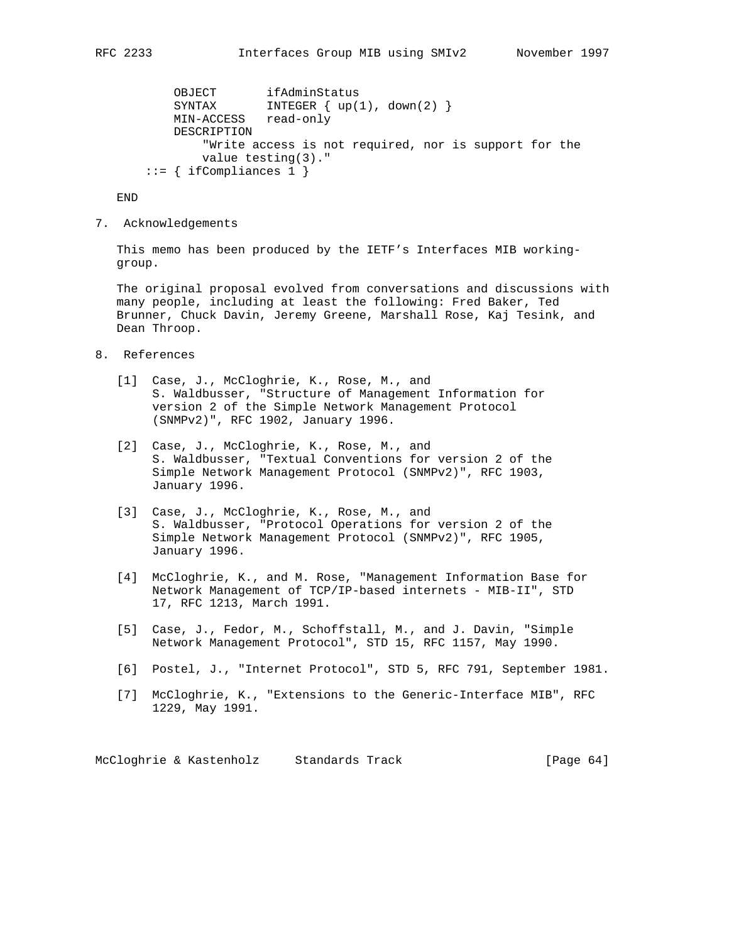```
OBJECT ifAdminStatus<br>SYNTAX INTEGER { un /
                 INTEGER \{ up(1), down(2) \} MIN-ACCESS read-only
     DESCRIPTION
         "Write access is not required, nor is support for the
         value testing(3)."
 ::= { ifCompliances 1 }
```
END

7. Acknowledgements

 This memo has been produced by the IETF's Interfaces MIB working group.

 The original proposal evolved from conversations and discussions with many people, including at least the following: Fred Baker, Ted Brunner, Chuck Davin, Jeremy Greene, Marshall Rose, Kaj Tesink, and Dean Throop.

- 8. References
	- [1] Case, J., McCloghrie, K., Rose, M., and S. Waldbusser, "Structure of Management Information for version 2 of the Simple Network Management Protocol (SNMPv2)", RFC 1902, January 1996.
	- [2] Case, J., McCloghrie, K., Rose, M., and S. Waldbusser, "Textual Conventions for version 2 of the Simple Network Management Protocol (SNMPv2)", RFC 1903, January 1996.
	- [3] Case, J., McCloghrie, K., Rose, M., and S. Waldbusser, "Protocol Operations for version 2 of the Simple Network Management Protocol (SNMPv2)", RFC 1905, January 1996.
	- [4] McCloghrie, K., and M. Rose, "Management Information Base for Network Management of TCP/IP-based internets - MIB-II", STD 17, RFC 1213, March 1991.
	- [5] Case, J., Fedor, M., Schoffstall, M., and J. Davin, "Simple Network Management Protocol", STD 15, RFC 1157, May 1990.
	- [6] Postel, J., "Internet Protocol", STD 5, RFC 791, September 1981.
	- [7] McCloghrie, K., "Extensions to the Generic-Interface MIB", RFC 1229, May 1991.

McCloghrie & Kastenholz Standards Track [Page 64]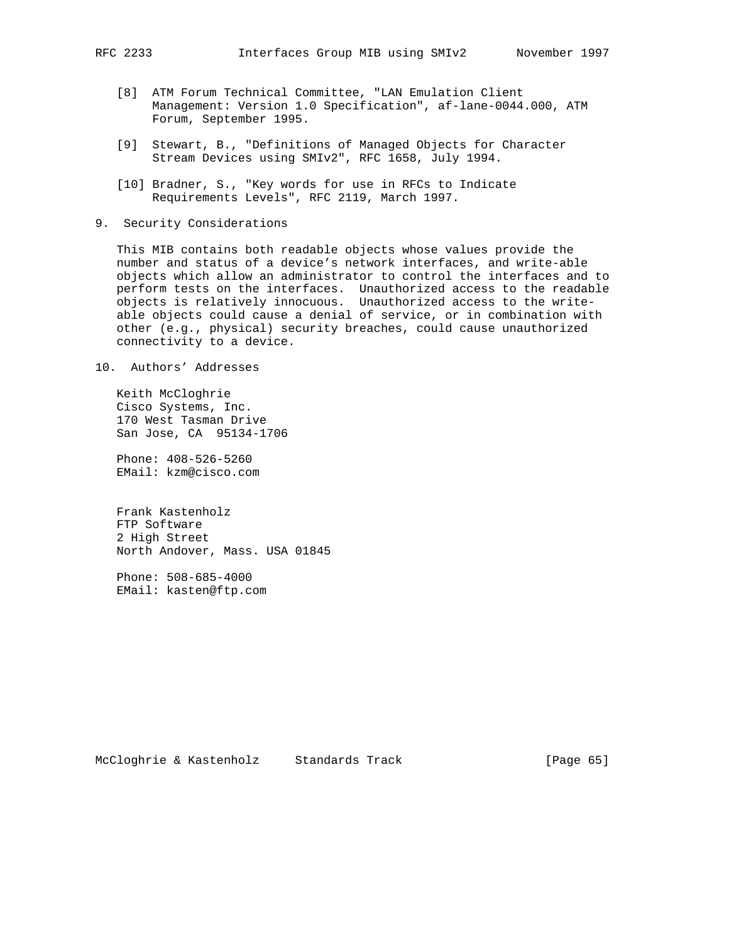- [8] ATM Forum Technical Committee, "LAN Emulation Client Management: Version 1.0 Specification", af-lane-0044.000, ATM Forum, September 1995.
- [9] Stewart, B., "Definitions of Managed Objects for Character Stream Devices using SMIv2", RFC 1658, July 1994.
- [10] Bradner, S., "Key words for use in RFCs to Indicate Requirements Levels", RFC 2119, March 1997.
- 9. Security Considerations

 This MIB contains both readable objects whose values provide the number and status of a device's network interfaces, and write-able objects which allow an administrator to control the interfaces and to perform tests on the interfaces. Unauthorized access to the readable objects is relatively innocuous. Unauthorized access to the write able objects could cause a denial of service, or in combination with other (e.g., physical) security breaches, could cause unauthorized connectivity to a device.

10. Authors' Addresses

 Keith McCloghrie Cisco Systems, Inc. 170 West Tasman Drive San Jose, CA 95134-1706

 Phone: 408-526-5260 EMail: kzm@cisco.com

 Frank Kastenholz FTP Software 2 High Street North Andover, Mass. USA 01845

 Phone: 508-685-4000 EMail: kasten@ftp.com